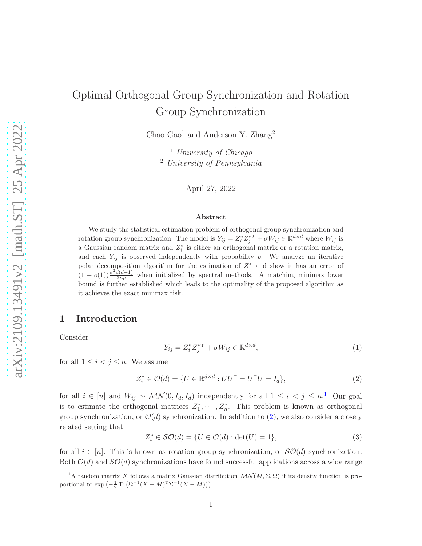# Optimal Orthogonal Group Synchronization and Rotation Group Synchronization

Chao Gao<sup>1</sup> and Anderson Y. Zhang<sup>2</sup>

<sup>1</sup> University of Chicago <sup>2</sup> University of Pennsylvania

April 27, 2022

#### Abstract

We study the statistical estimation problem of orthogonal group synchronization and rotation group synchronization. The model is  $Y_{ij} = Z_i^* Z_j^{*T} + \sigma W_{ij} \in \mathbb{R}^{d \times d}$  where  $W_{ij}$  is a Gaussian random matrix and  $Z_i^*$  is either an orthogonal matrix or a rotation matrix, and each  $Y_{ij}$  is observed independently with probability p. We analyze an iterative polar decomposition algorithm for the estimation of  $Z^*$  and show it has an error of  $(1+o(1))\frac{\sigma^2 d(d-1)}{2np}$  when initialized by spectral methods. A matching minimax lower bound is further established which leads to the optimality of the proposed algorithm as it achieves the exact minimax risk.

## <span id="page-0-3"></span>1 Introduction

Consider

<span id="page-0-2"></span>
$$
Y_{ij} = Z_i^* Z_j^{*T} + \sigma W_{ij} \in \mathbb{R}^{d \times d},\tag{1}
$$

for all  $1 \leq i < j \leq n$ . We assume

<span id="page-0-1"></span>
$$
Z_i^* \in \mathcal{O}(d) = \{ U \in \mathbb{R}^{d \times d} : U U^{\mathrm{T}} = U^{\mathrm{T}} U = I_d \},\tag{2}
$$

for all  $i \in [n]$  and  $W_{ij} \sim \mathcal{MN}(0, I_d, I_d)$  independently for all  $1 \leq i \leq j \leq n$  $1 \leq i \leq j \leq n$ .<sup>1</sup> Our goal is to estimate the orthogonal matrices  $Z_1^*, \cdots, Z_n^*$ . This problem is known as orthogonal group synchronization, or  $\mathcal{O}(d)$  synchronization. In addition to [\(2\)](#page-0-1), we also consider a closely related setting that

<span id="page-0-4"></span>
$$
Z_i^* \in \mathcal{SO}(d) = \{ U \in \mathcal{O}(d) : \det(U) = 1 \},\tag{3}
$$

for all  $i \in [n]$ . This is known as rotation group synchronization, or  $\mathcal{SO}(d)$  synchronization. Both  $\mathcal{O}(d)$  and  $\mathcal{SO}(d)$  synchronizations have found successful applications across a wide range

<span id="page-0-0"></span><sup>&</sup>lt;sup>1</sup>A random matrix X follows a matrix Gaussian distribution  $\mathcal{MN}(M,\Sigma,\Omega)$  if its density function is proportional to  $\exp\left(-\frac{1}{2}\operatorname{Tr}\left(\Omega^{-1}(X-M)^{\mathrm{T}}\Sigma^{-1}(X-M)\right)\right)$ .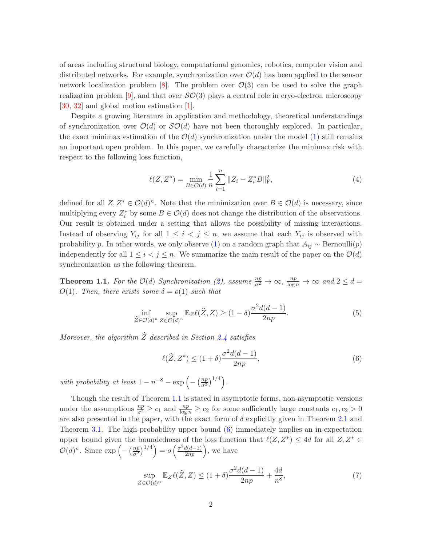of areas including structural biology, computational genomics, robotics, computer vision and distributed networks. For example, synchronization over  $\mathcal{O}(d)$  has been applied to the sensor network localization problem [\[8](#page-38-0)]. The problem over  $\mathcal{O}(3)$  can be used to solve the graph realization problem [\[9](#page-38-1)], and that over  $\mathcal{SO}(3)$  plays a central role in cryo-electron microscopy [\[30](#page-39-0), [32\]](#page-39-1) and global motion estimation [\[1\]](#page-37-0).

Despite a growing literature in application and methodology, theoretical understandings of synchronization over  $\mathcal{O}(d)$  or  $\mathcal{SO}(d)$  have not been thoroughly explored. In particular, the exact minimax estimation of the  $\mathcal{O}(d)$  synchronization under the model [\(1\)](#page-0-2) still remains an important open problem. In this paper, we carefully characterize the minimax risk with respect to the following loss function,

<span id="page-1-3"></span>
$$
\ell(Z, Z^*) = \min_{B \in \mathcal{O}(d)} \frac{1}{n} \sum_{i=1}^n \|Z_i - Z_i^* B\|_{\text{F}}^2,\tag{4}
$$

defined for all  $Z, Z^* \in \mathcal{O}(d)^n$ . Note that the minimization over  $B \in \mathcal{O}(d)$  is necessary, since multiplying every  $Z_i^*$  by some  $B \in \mathcal{O}(d)$  does not change the distribution of the observations. Our result is obtained under a setting that allows the possibility of missing interactions. Instead of observing  $Y_{ij}$  for all  $1 \leq i \leq j \leq n$ , we assume that each  $Y_{ij}$  is observed with probability p. In other words, we only observe [\(1\)](#page-0-2) on a random graph that  $A_{ij} \sim \text{Bernoulli}(p)$ independently for all  $1 \leq i \leq j \leq n$ . We summarize the main result of the paper on the  $\mathcal{O}(d)$ synchronization as the following theorem.

<span id="page-1-0"></span>**Theorem 1.1.** For the  $\mathcal{O}(d)$  Synchronization [\(2\)](#page-0-1), assume  $\frac{np}{\sigma^2} \to \infty$ ,  $\frac{np}{\log n} \to \infty$  and  $2 \leq d =$ O(1). Then, there exists some  $\delta = o(1)$  such that

$$
\inf_{\widehat{Z}\in\mathcal{O}(d)^n} \sup_{Z\in\mathcal{O}(d)^n} \mathbb{E}_Z \ell(\widehat{Z}, Z) \ge (1 - \delta) \frac{\sigma^2 d(d - 1)}{2np}.
$$
\n(5)

Moreover, the algorithm  $\widehat{Z}$  described in Section [2.4](#page-9-0) satisfies

<span id="page-1-1"></span>
$$
\ell(\widehat{Z}, Z^*) \le (1+\delta) \frac{\sigma^2 d(d-1)}{2np},\tag{6}
$$

with probability at least  $1 - n^{-8} - \exp\left(-\left(\frac{np}{\sigma^2}\right)\right)$  $\frac{np}{\sigma^2}\big)^{1/4}\bigg).$ 

Though the result of Theorem [1.1](#page-1-0) is stated in asymptotic forms, non-asymptotic versions under the assumptions  $\frac{np}{\sigma^2} \ge c_1$  and  $\frac{np}{\log n} \ge c_2$  for some sufficiently large constants  $c_1, c_2 > 0$ are also presented in the paper, with the exact form of  $\delta$  explicitly given in Theorem [2.1](#page-10-0) and Theorem [3.1.](#page-14-0) The high-probability upper bound [\(6\)](#page-1-1) immediately implies an in-expectation upper bound given the boundedness of the loss function that  $\ell(Z, Z^*) \leq 4d$  for all  $Z, Z^* \in$  $\mathcal{O}(d)^n$ . Since  $\exp\left(-\left(\frac{np}{\sigma^2}\right)^{1/4}\right) = o\left(\frac{\sigma^2 d(d-1)}{2np}\right)$ , we have

<span id="page-1-2"></span>
$$
\sup_{Z \in \mathcal{O}(d)^n} \mathbb{E}_Z \ell(\widehat{Z}, Z) \le (1 + \delta) \frac{\sigma^2 d(d - 1)}{2np} + \frac{4d}{n^8},\tag{7}
$$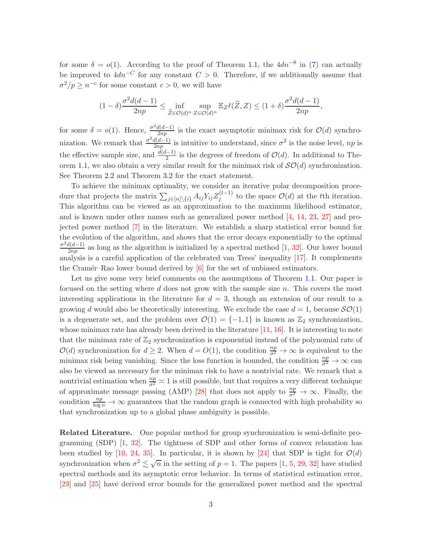for some  $\delta = o(1)$ . According to the proof of Theorem [1.1,](#page-1-0) the  $4dn^{-8}$  in [\(7\)](#page-1-2) can actually be improved to  $4dn^{-C}$  for any constant  $C > 0$ . Therefore, if we additionally assume that  $\sigma^2/p \geq n^{-c}$  for some constant  $c > 0$ , we will have

$$
(1-\delta)\frac{\sigma^2d(d-1)}{2np} \leq \inf_{\widehat{Z}\in\mathcal{O}(d)^n} \sup_{Z\in\mathcal{O}(d)^n} \mathbb{E}_Z \ell(\widehat{Z}, Z) \leq (1+\delta)\frac{\sigma^2d(d-1)}{2np},
$$

for some  $\delta = o(1)$ . Hence,  $\frac{\sigma^2 d(d-1)}{2np}$  is the exact asymptotic minimax risk for  $\mathcal{O}(d)$  synchronization. We remark that  $\frac{\sigma^2 d(d-1)}{2np}$  is intuitive to understand, since  $\sigma^2$  is the noise level, np is the effective sample size, and  $\frac{d(d-1)}{2}$  is the degrees of freedom of  $\mathcal{O}(d)$ . In additional to The-orem [1.1,](#page-1-0) we also obtain a very similar result for the minimax risk of  $\mathcal{SO}(d)$  synchronization. See Theorem [2.2](#page-11-0) and Theorem [3.2](#page-14-1) for the exact statement.

To achieve the minimax optimality, we consider an iterative polar decomposition procedure that projects the matrix  $\sum_{j\in[n]\backslash\{i\}} A_{ij} Y_{ij} Z_j^{(t-1)}$  to the space  $\mathcal{O}(d)$  at the tth iteration. This algorithm can be viewed as an approximation to the maximum likelihood estimator, and is known under other names such as generalized power method  $[4, 14, 23, 27]$  $[4, 14, 23, 27]$  $[4, 14, 23, 27]$  $[4, 14, 23, 27]$  $[4, 14, 23, 27]$  $[4, 14, 23, 27]$  and projected power method [\[7](#page-38-3)] in the literature. We establish a sharp statistical error bound for the evolution of the algorithm, and shows that the error decays exponentially to the optimal  $\frac{\sigma^2 d(d-1)}{2np}$  as long as the algorithm is initialized by a spectral method [\[1](#page-37-0), [32](#page-39-1)]. Our lower bound analysis is a careful application of the celebrated van Trees' inequality [\[17\]](#page-38-4). It complements the Cramér–Rao lower bound derived by  $[6]$  for the set of unbiased estimators.

Let us give some very brief comments on the assumptions of Theorem [1.1.](#page-1-0) Our paper is focused on the setting where d does not grow with the sample size  $n$ . This covers the most interesting applications in the literature for  $d = 3$ , though an extension of our result to a growing d would also be theoretically interesting. We exclude the case  $d = 1$ , because  $\mathcal{SO}(1)$ is a degenerate set, and the problem over  $\mathcal{O}(1) = \{-1,1\}$  is known as  $\mathbb{Z}_2$  synchronization, whose minimax rate has already been derived in the literature [\[11,](#page-38-6) [16](#page-38-7)]. It is interesting to note that the minimax rate of  $\mathbb{Z}_2$  synchronization is exponential instead of the polynomial rate of  $\mathcal{O}(d)$  synchronization for  $d \geq 2$ . When  $d = O(1)$ , the condition  $\frac{np}{\sigma^2} \to \infty$  is equivalent to the minimax risk being vanishing. Since the loss function is bounded, the condition  $\frac{np}{\sigma^2} \to \infty$  can also be viewed as necessary for the minimax risk to have a nontrivial rate. We remark that a nontrivial estimation when  $\frac{np}{\sigma^2} \asymp 1$  is still possible, but that requires a very different technique of approximate message passing (AMP) [\[28](#page-39-4)] that does not apply to  $\frac{np}{\sigma^2} \to \infty$ . Finally, the condition  $\frac{np}{\log n} \to \infty$  guarantees that the random graph is connected with high probability so that synchronization up to a global phase ambiguity is possible.

Related Literature. One popular method for group synchronization is semi-definite programming (SDP) [\[1](#page-37-0), [32\]](#page-39-1). The tightness of SDP and other forms of convex relaxation has been studied by [\[10,](#page-38-8) [24](#page-39-5), [35\]](#page-40-0). In particular, it is shown by [\[24\]](#page-39-5) that SDP is tight for  $\mathcal{O}(d)$ synchronization when  $\sigma^2 \lesssim \sqrt{n}$  in the setting of  $p = 1$ . The papers [\[1,](#page-37-0) [5,](#page-37-2) [29,](#page-39-6) [32\]](#page-39-1) have studied spectral methods and its asymptotic error behavior. In terms of statistical estimation error, [\[23](#page-39-2)] and [\[25](#page-39-7)] have derived error bounds for the generalized power method and the spectral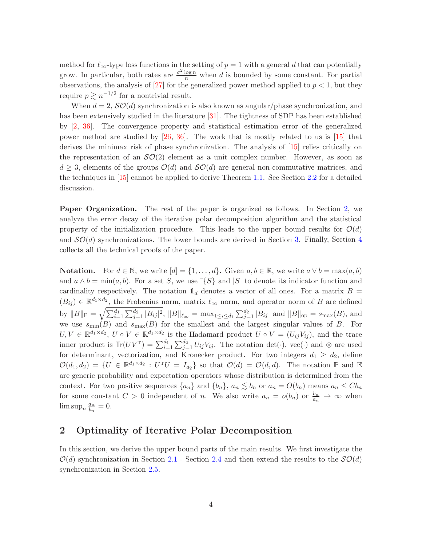method for  $\ell_{\infty}$ -type loss functions in the setting of  $p = 1$  with a general d that can potentially grow. In particular, both rates are  $\frac{\sigma^2 \log n}{n}$  when d is bounded by some constant. For partial observations, the analysis of  $[27]$  for the generalized power method applied to  $p < 1$ , but they require  $p \gtrsim n^{-1/2}$  for a nontrivial result.

When  $d = 2$ ,  $\mathcal{SO}(d)$  synchronization is also known as angular/phase synchronization, and has been extensively studied in the literature [\[31\]](#page-39-8). The tightness of SDP has been established by [\[2,](#page-37-3) [36](#page-40-1)]. The convergence property and statistical estimation error of the generalized power method are studied by [\[26](#page-39-9), [36](#page-40-1)]. The work that is mostly related to us is [\[15\]](#page-38-9) that derives the minimax risk of phase synchronization. The analysis of [\[15](#page-38-9)] relies critically on the representation of an  $\mathcal{SO}(2)$  element as a unit complex number. However, as soon as  $d \geq 3$ , elements of the groups  $\mathcal{O}(d)$  and  $\mathcal{SO}(d)$  are general non-commutative matrices, and the techniques in [\[15\]](#page-38-9) cannot be applied to derive Theorem [1.1.](#page-1-0) See Section [2.2](#page-4-0) for a detailed discussion.

Paper Organization. The rest of the paper is organized as follows. In Section [2,](#page-3-0) we analyze the error decay of the iterative polar decomposition algorithm and the statistical property of the initialization procedure. This leads to the upper bound results for  $\mathcal{O}(d)$ and  $\mathcal{SO}(d)$  synchronizations. The lower bounds are derived in Section [3.](#page-12-0) Finally, Section [4](#page-14-2) collects all the technical proofs of the paper.

**Notation.** For  $d \in \mathbb{N}$ , we write  $[d] = \{1, \ldots, d\}$ . Given  $a, b \in \mathbb{R}$ , we write  $a \vee b = \max(a, b)$ and  $a \wedge b = \min(a, b)$ . For a set S, we use  $\mathbb{I}{S}$  and  $|S|$  to denote its indicator function and cardinality respectively. The notation  $1_d$  denotes a vector of all ones. For a matrix  $B =$  $(B_{ij}) \in \mathbb{R}^{d_1 \times d_2}$ , the Frobenius norm, matrix  $\ell_{\infty}$  norm, and operator norm of B are defined by  $||B||_F = \sqrt{\sum_{i=1}^{d_1} \sum_{j=1}^{d_2} |B_{ij}|^2}$ ,  $||B||_{\ell_{\infty}} = \max_{1 \le i \le d_1} \sum_{j=1}^{d_2} |B_{ij}|$  and  $||B||_{op} = s_{\max}(B)$ , and we use  $s_{\min}(B)$  and  $s_{\max}(B)$  for the smallest and the largest singular values of B. For  $U, V \in \mathbb{R}^{d_1 \times d_2}$ ,  $U \circ V \in \mathbb{R}^{d_1 \times d_2}$  is the Hadamard product  $U \circ V = (U_{ij}V_{ij})$ , and the trace inner product is  $Tr(UV^T) = \sum_{i=1}^{d_1} \sum_{j=1}^{d_2} U_{ij} V_{ij}$ . The notation  $det(\cdot)$ , vec $(\cdot)$  and  $\otimes$  are used for determinant, vectorization, and Kronecker product. For two integers  $d_1 \geq d_2$ , define  $\mathcal{O}(d_1, d_2) = \{U \in \mathbb{R}^{d_1 \times d_2} : U^T U = I_{d_2}\}\$  so that  $\mathcal{O}(d) = \mathcal{O}(d, d)$ . The notation  $\mathbb P$  and  $\mathbb E$ are generic probability and expectation operators whose distribution is determined from the context. For two positive sequences  $\{a_n\}$  and  $\{b_n\}$ ,  $a_n \lesssim b_n$  or  $a_n = O(b_n)$  means  $a_n \leq Cb_n$ for some constant  $C > 0$  independent of n. We also write  $a_n = o(b_n)$  or  $\frac{b_n}{a_n} \to \infty$  when  $\limsup_n \frac{a_n}{b_n}$  $\frac{a_n}{b_n}=0.$ 

# <span id="page-3-0"></span>2 Optimality of Iterative Polar Decomposition

In this section, we derive the upper bound parts of the main results. We first investigate the  $\mathcal{O}(d)$  synchronization in Section [2.1](#page-4-1) - Section [2.4](#page-9-0) and then extend the results to the  $\mathcal{SO}(d)$ synchronization in Section [2.5.](#page-10-1)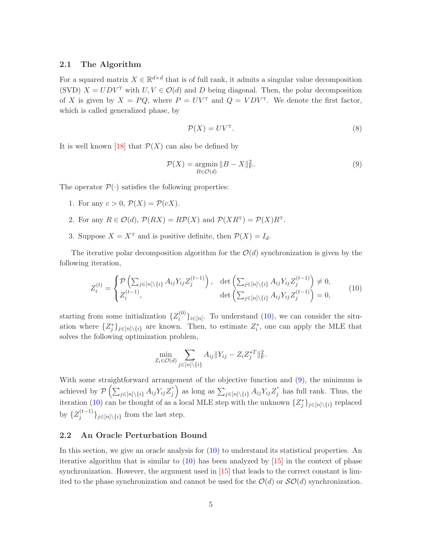## <span id="page-4-1"></span>2.1 The Algorithm

For a squared matrix  $X \in \mathbb{R}^{d \times d}$  that is of full rank, it admits a singular value decomposition (SVD)  $X = U D V^T$  with  $U, V \in \mathcal{O}(d)$  and D being diagonal. Then, the polar decomposition of X is given by  $X = PQ$ , where  $P = UV<sup>T</sup>$  and  $Q = VDV<sup>T</sup>$ . We denote the first factor, which is called generalized phase, by

<span id="page-4-4"></span>
$$
\mathcal{P}(X) = UV^{\mathrm{T}}.\tag{8}
$$

It is well known [\[18\]](#page-38-10) that  $\mathcal{P}(X)$  can also be defined by

<span id="page-4-3"></span>
$$
\mathcal{P}(X) = \underset{B \in \mathcal{O}(d)}{\operatorname{argmin}} \|B - X\|_{\mathcal{F}}^2.
$$
\n(9)

The operator  $\mathcal{P}(\cdot)$  satisfies the following properties:

- 1. For any  $c > 0$ ,  $\mathcal{P}(X) = \mathcal{P}(cX)$ .
- 2. For any  $R \in \mathcal{O}(d)$ ,  $\mathcal{P}(RX) = R\mathcal{P}(X)$  and  $\mathcal{P}(XR^{\mathrm{T}}) = \mathcal{P}(X)R^{\mathrm{T}}$ .
- 3. Suppose  $X = X^T$  and is positive definite, then  $\mathcal{P}(X) = I_d$ .

The iterative polar decomposition algorithm for the  $\mathcal{O}(d)$  synchronization is given by the following iteration,

<span id="page-4-2"></span>
$$
Z_i^{(t)} = \begin{cases} \mathcal{P}\left(\sum_{j \in [n] \setminus \{i\}} A_{ij} Y_{ij} Z_j^{(t-1)}\right), & \det\left(\sum_{j \in [n] \setminus \{i\}} A_{ij} Y_{ij} Z_j^{(t-1)}\right) \neq 0, \\ Z_i^{(t-1)}, & \det\left(\sum_{j \in [n] \setminus \{i\}} A_{ij} Y_{ij} Z_j^{(t-1)}\right) = 0, \end{cases}
$$
(10)

starting from some initialization  $\{Z_i^{(0)}\}$  $\{e^{(0)}\}_{i\in[n]}$ . To understand [\(10\)](#page-4-2), we can consider the situation where  $\{Z_j^*\}_{j\in[n]\setminus\{i\}}$  are known. Then, to estimate  $Z_i^*$ , one can apply the MLE that solves the following optimization problem,

$$
\min_{Z_i \in \mathcal{O}(d)} \sum_{j \in [n] \setminus \{i\}} A_{ij} ||Y_{ij} - Z_i Z_j^{*T}||_{\mathrm{F}}^2.
$$

With some straightforward arrangement of the objective function and [\(9\)](#page-4-3), the minimum is achieved by  $\mathcal{P}\left(\sum_{j\in[n]\backslash\{i\}}A_{ij}Y_{ij}Z_j^*\right)$ j ) as long as  $\sum_{j \in [n] \setminus \{i\}} A_{ij} Y_{ij} Z_j^*$  $j$  has full rank. Thus, the iteration [\(10\)](#page-4-2) can be thought of as a local MLE step with the unknown  $\{Z_j^*\}_{j\in[n]\setminus\{i\}}$  replaced by  $\{Z_j^{(t-1)}\}_{j\in[n]\setminus\{i\}}$  from the last step.

#### <span id="page-4-0"></span>2.2 An Oracle Perturbation Bound

In this section, we give an oracle analysis for [\(10\)](#page-4-2) to understand its statistical properties. An iterative algorithm that is similar to [\(10\)](#page-4-2) has been analyzed by [\[15](#page-38-9)] in the context of phase synchronization. However, the argument used in  $[15]$  that leads to the correct constant is limited to the phase synchronization and cannot be used for the  $\mathcal{O}(d)$  or  $\mathcal{SO}(d)$  synchronization.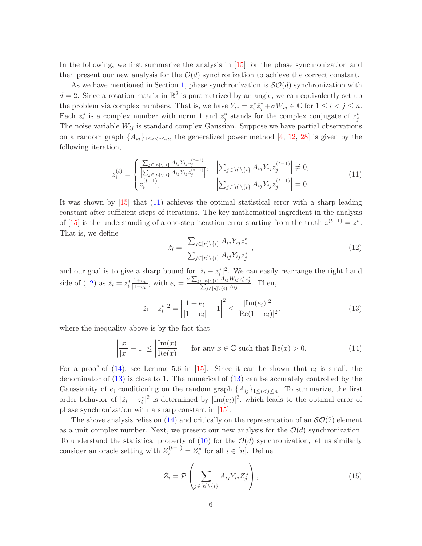In the following, we first summarize the analysis in [\[15\]](#page-38-9) for the phase synchronization and then present our new analysis for the  $\mathcal{O}(d)$  synchronization to achieve the correct constant.

As we have mentioned in Section [1,](#page-0-3) phase synchronization is  $\mathcal{SO}(d)$  synchronization with  $d=2$ . Since a rotation matrix in  $\mathbb{R}^2$  is parametrized by an angle, we can equivalently set up the problem via complex numbers. That is, we have  $Y_{ij} = z_i^* \overline{z}_j^* + \sigma W_{ij} \in \mathbb{C}$  for  $1 \leq i < j \leq n$ . Each  $z_i^*$  is a complex number with norm 1 and  $\bar{z}_j^*$  stands for the complex conjugate of  $z_j^*$ . The noise variable  $W_{ij}$  is standard complex Gaussian. Suppose we have partial observations on a random graph  $\{A_{ij}\}_{1\leq i\leq j\leq n}$ , the generalized power method [\[4](#page-37-1), [12](#page-38-11), [28](#page-39-4)] is given by the following iteration,

<span id="page-5-0"></span>
$$
z_i^{(t)} = \begin{cases} \frac{\sum_{j \in [n] \setminus \{i\}} A_{ij} Y_{ij} z_j^{(t-1)}}{\left| \sum_{j \in [n] \setminus \{i\}} A_{ij} Y_{ij} z_j^{(t-1)} \right|}, & \left| \sum_{j \in [n] \setminus \{i\}} A_{ij} Y_{ij} z_j^{(t-1)} \right| \neq 0, \\ z_i^{(t-1)}, & \left| \sum_{j \in [n] \setminus \{i\}} A_{ij} Y_{ij} z_j^{(t-1)} \right| = 0. \end{cases} (11)
$$

It was shown by [\[15](#page-38-9)] that [\(11\)](#page-5-0) achieves the optimal statistical error with a sharp leading constant after sufficient steps of iterations. The key mathematical ingredient in the analysis of [\[15\]](#page-38-9) is the understanding of a one-step iteration error starting from the truth  $z^{(t-1)} = z^*$ . That is, we define

<span id="page-5-1"></span>
$$
\check{z}_i = \frac{\sum_{j \in [n] \setminus \{i\}} A_{ij} Y_{ij} z_j^*}{\left| \sum_{j \in [n] \setminus \{i\}} A_{ij} Y_{ij} z_j^* \right|},\tag{12}
$$

and our goal is to give a sharp bound for  $|\tilde{z}_i - z_i^*|^2$ . We can easily rearrange the right hand side of [\(12\)](#page-5-1) as  $\check{z}_i = z_i^* \frac{1+e_i}{|1+e_i|}$  $\frac{1+e_i}{|1+e_i|}$ , with  $e_i = \frac{\sigma \sum_{j \in [n] \setminus \{i\}}^{\infty} A_{ij} W_{ij} \bar{z}_i^* z_j^*}{\sum_{j \in [n] \setminus \{i\}} A_{ij}}$  $\frac{\sum_{j\in[n]\setminus\{i\}} A_{ij}W_{ij}z_i z_j}{\sum_{j\in[n]\setminus\{i\}} A_{ij}}$ . Then,

<span id="page-5-3"></span>
$$
|\check{z}_i - z_i^*|^2 = \left| \frac{1 + e_i}{|1 + e_i|} - 1 \right|^2 \le \frac{|\text{Im}(e_i)|^2}{|\text{Re}(1 + e_i)|^2},\tag{13}
$$

where the inequality above is by the fact that

<span id="page-5-2"></span>
$$
\left|\frac{x}{|x|} - 1\right| \le \left|\frac{\text{Im}(x)}{\text{Re}(x)}\right| \quad \text{for any } x \in \mathbb{C} \text{ such that } \text{Re}(x) > 0. \tag{14}
$$

For a proof of  $(14)$ , see Lemma 5.6 in [\[15](#page-38-9)]. Since it can be shown that  $e_i$  is small, the denominator of [\(13\)](#page-5-3) is close to 1. The numerical of [\(13\)](#page-5-3) can be accurately controlled by the Gaussianity of  $e_i$  conditioning on the random graph  $\{A_{ij}\}_{1\leq i < j \leq n}$ . To summarize, the first order behavior of  $|\check{z}_i - z_i^*|^2$  is determined by  $|\text{Im}(e_i)|^2$ , which leads to the optimal error of phase synchronization with a sharp constant in [\[15](#page-38-9)].

The above analysis relies on  $(14)$  and critically on the representation of an  $\mathcal{SO}(2)$  element as a unit complex number. Next, we present our new analysis for the  $\mathcal{O}(d)$  synchronization. To understand the statistical property of  $(10)$  for the  $\mathcal{O}(d)$  synchronization, let us similarly consider an oracle setting with  $Z_i^{(t-1)} = Z_i^*$  for all  $i \in [n]$ . Define

<span id="page-5-4"></span>
$$
\check{Z}_i = \mathcal{P}\left(\sum_{j \in [n] \setminus \{i\}} A_{ij} Y_{ij} Z_j^*\right),\tag{15}
$$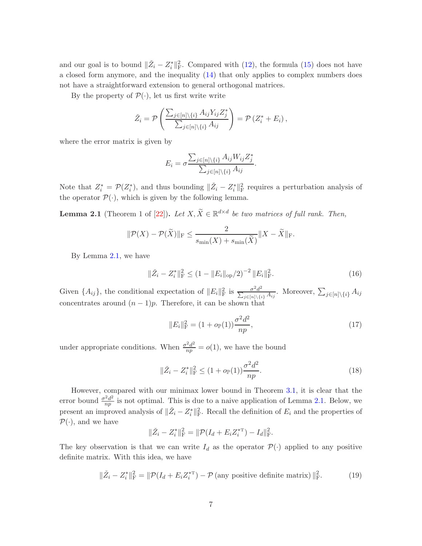and our goal is to bound  $\|\check{Z}_i - Z_i^*\|_{\text{F}}^2$ . Compared with [\(12\)](#page-5-1), the formula [\(15\)](#page-5-4) does not have a closed form anymore, and the inequality [\(14\)](#page-5-2) that only applies to complex numbers does not have a straightforward extension to general orthogonal matrices.

By the property of  $\mathcal{P}(\cdot)$ , let us first write write

$$
\check{Z}_i = \mathcal{P}\left(\frac{\sum_{j\in[n]\backslash\{i\}} A_{ij} Y_{ij} Z_j^*}{\sum_{j\in[n]\backslash\{i\}} A_{ij}}\right) = \mathcal{P}\left(Z_i^* + E_i\right),\,
$$

where the error matrix is given by

$$
E_i = \sigma \frac{\sum_{j \in [n] \setminus \{i\}} A_{ij} W_{ij} Z_j^*}{\sum_{j \in [n] \setminus \{i\}} A_{ij}}
$$

Note that  $Z_i^* = \mathcal{P}(Z_i^*)$ , and thus bounding  $\|\check{Z}_i - Z_i^*\|_{\text{F}}^2$  requires a perturbation analysis of the operator  $\mathcal{P}(\cdot)$ , which is given by the following lemma.

<span id="page-6-0"></span>**Lemma 2.1** (Theorem 1 of [\[22\]](#page-39-10)). Let  $X, \tilde{X} \in \mathbb{R}^{d \times d}$  be two matrices of full rank. Then,

$$
\|\mathcal{P}(X) - \mathcal{P}(\widetilde{X})\|_{\mathrm{F}} \le \frac{2}{s_{\min}(X) + s_{\min}(\widetilde{X})} \|X - \widetilde{X}\|_{\mathrm{F}}.
$$

By Lemma [2.1,](#page-6-0) we have

<span id="page-6-2"></span>
$$
\|\check{Z}_i - Z_i^*\|_{\mathrm{F}}^2 \le (1 - \|E_i\|_{\mathrm{op}}/2)^{-2} \|E_i\|_{\mathrm{F}}^2.
$$
 (16)

.

Given  $\{A_{ij}\}\$ , the conditional expectation of  $||E_i||_F^2$  is  $\frac{\sigma^2 d^2}{\sum_{j\in[n]\setminus\{i\}} A_{ij}}$ . Moreover,  $\sum_{j\in[n]\setminus\{i\}} A_{ij}$ concentrates around  $(n-1)p$ . Therefore, it can be shown that

<span id="page-6-1"></span>
$$
||E_i||_{\mathcal{F}}^2 = (1 + o_{\mathbb{P}}(1))\frac{\sigma^2 d^2}{np},\tag{17}
$$

under appropriate conditions. When  $\frac{\sigma^2 d^2}{np} = o(1)$ , we have the bound

<span id="page-6-3"></span>
$$
\|\check{Z}_i - Z_i^*\|_{\mathrm{F}}^2 \le (1 + o_{\mathbb{P}}(1)) \frac{\sigma^2 d^2}{np}.
$$
\n(18)

However, compared with our minimax lower bound in Theorem [3.1,](#page-14-0) it is clear that the error bound  $\frac{\sigma^2 d^2}{n}$  $rac{r_a}{np}$  is not optimal. This is due to a naive application of Lemma [2.1.](#page-6-0) Below, we present an improved analysis of  $\|\check{Z}_i - Z_i^*\|_{\text{F}}^2$ . Recall the definition of  $E_i$  and the properties of  $\mathcal{P}(\cdot)$ , and we have

$$
\|\check{Z}_i - Z_i^*\|_{\mathrm{F}}^2 = \|\mathcal{P}(I_d + E_i Z_i^{*\mathrm{T}}) - I_d\|_{\mathrm{F}}^2.
$$

The key observation is that we can write  $I_d$  as the operator  $\mathcal{P}(\cdot)$  applied to any positive definite matrix. With this idea, we have

$$
\|\check{Z}_i - Z_i^*\|_{\mathrm{F}}^2 = \|\mathcal{P}(I_d + E_i Z_i^{*\mathrm{T}}) - \mathcal{P}(\text{any positive definite matrix})\|_{\mathrm{F}}^2.
$$
 (19)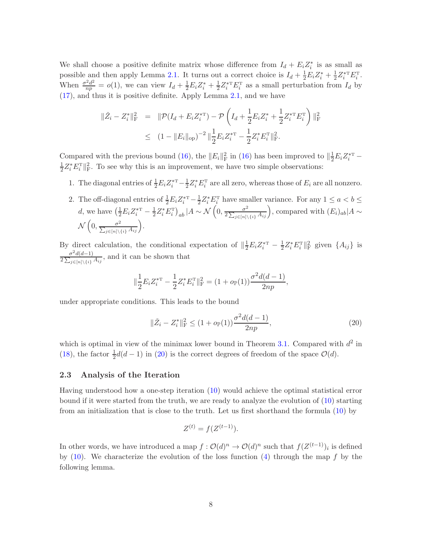We shall choose a positive definite matrix whose difference from  $I_d + E_i Z_i^*$  is as small as possible and then apply Lemma [2.1.](#page-6-0) It turns out a correct choice is  $I_d + \frac{1}{2}E_i Z_i^* + \frac{1}{2}Z_i^{*\text{T}} E_i^{\text{T}}$ . When  $\frac{\sigma^2 d^2}{np} = o(1)$ , we can view  $I_d + \frac{1}{2} E_i Z_i^* + \frac{1}{2} Z_i^{*T} E_i^{T}$  as a small perturbation from  $I_d$  by [\(17\)](#page-6-1), and thus it is positive definite. Apply Lemma [2.1,](#page-6-0) and we have

$$
\|\check{Z}_i - Z_i^*\|_{\mathrm{F}}^2 = \|\mathcal{P}(I_d + E_i Z_i^{*\mathrm{T}}) - \mathcal{P}\left(I_d + \frac{1}{2}E_i Z_i^* + \frac{1}{2}Z_i^{*\mathrm{T}} E_i^{\mathrm{T}}\right)\|_{\mathrm{F}}^2
$$
  

$$
\leq (1 - \|E_i\|_{\mathrm{op}})^{-2} \|\frac{1}{2}E_i Z_i^{*\mathrm{T}} - \frac{1}{2}Z_i^* E_i^{\mathrm{T}}\|_{\mathrm{F}}^2.
$$

Compared with the previous bound [\(16\)](#page-6-2), the  $||E_i||_F^2$  in (16) has been improved to  $||\frac{1}{2}E_i Z_i^{*T} -$ 1  $\frac{1}{2}Z_i^*E_i^{\mathrm{T}}\|_{\mathrm{F}}^2$ . To see why this is an improvement, we have two simple observations:

- 1. The diagonal entries of  $\frac{1}{2}E_i Z_i^{*T} \frac{1}{2}Z_i^* E_i^T$  are all zero, whereas those of  $E_i$  are all nonzero.
- 2. The off-diagonal entries of  $\frac{1}{2}E_i Z_i^{*T} \frac{1}{2}Z_i^* E_i^T$  have smaller variance. For any  $1 \le a < b \le$ d, we have  $\left(\frac{1}{2}E_i Z_i^{*\mathrm{T}} - \frac{1}{2}Z_i^* E_i^{\mathrm{T}}\right)_{ab} |A \sim \mathcal{N}\left(0, \frac{\sigma^2}{2\sum_{i \in [n]} \sum_{i} E_i^* E_i^* E_i^*}\right)$  $\frac{\sigma^2}{2\sum_{j\in[n]\backslash\{i\}} A_{ij}}\Big)$ , compared with  $(E_i)_{ab}|A \sim$  $\sqrt{2}$  $\left(0, \frac{\sigma^2}{\sum_{j\in[n]\backslash\{i\}} A_{ij}}\right).$

By direct calculation, the conditional expectation of  $\|\frac{1}{2}E_iZ_i^{*\mathrm{T}} - \frac{1}{2}Z_i^*E_i^{\mathrm{T}}\|_{\mathrm{F}}^2$  given  $\{A_{ij}\}\$ is  $\frac{\sigma^2 d(d-1)}{2\sum_{j\in[n]\backslash\{i\}} A_{ij}},$  and it can be shown that

$$
\|\frac{1}{2}E_iZ_i^{*\mathrm{T}}-\frac{1}{2}Z_i^*E_i^{\mathrm{T}}\|_{\mathrm{F}}^2=(1+o_{\mathbb{P}}(1))\frac{\sigma^2d(d-1)}{2np},
$$

under appropriate conditions. This leads to the bound

<span id="page-7-0"></span>
$$
\|\check{Z}_i - Z_i^*\|_{\mathrm{F}}^2 \le (1 + o_{\mathbb{P}}(1)) \frac{\sigma^2 d(d-1)}{2np},\tag{20}
$$

which is optimal in view of the minimax lower bound in Theorem [3.1.](#page-14-0) Compared with  $d^2$  in [\(18\)](#page-6-3), the factor  $\frac{1}{2}d(d-1)$  in [\(20\)](#page-7-0) is the correct degrees of freedom of the space  $\mathcal{O}(d)$ .

#### 2.3 Analysis of the Iteration

Having understood how a one-step iteration [\(10\)](#page-4-2) would achieve the optimal statistical error bound if it were started from the truth, we are ready to analyze the evolution of [\(10\)](#page-4-2) starting from an initialization that is close to the truth. Let us first shorthand the formula [\(10\)](#page-4-2) by

$$
Z^{(t)} = f(Z^{(t-1)}).
$$

In other words, we have introduced a map  $f: \mathcal{O}(d)^n \to \mathcal{O}(d)^n$  such that  $f(Z^{(t-1)})_i$  is defined by  $(10)$ . We characterize the evolution of the loss function  $(4)$  through the map f by the following lemma.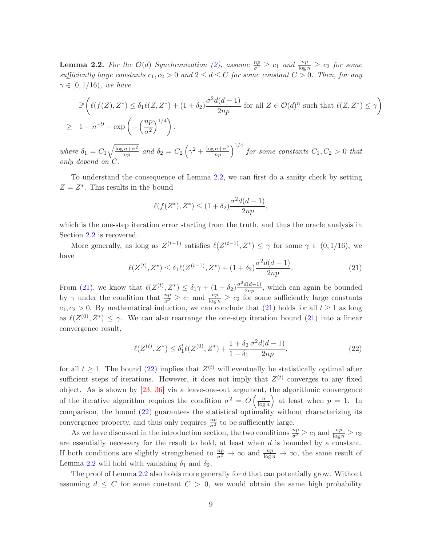<span id="page-8-0"></span>**Lemma 2.2.** For the  $\mathcal{O}(d)$  Synchronization [\(2\)](#page-0-1), assume  $\frac{np}{\sigma^2} \geq c_1$  and  $\frac{np}{\log n} \geq c_2$  for some sufficiently large constants  $c_1, c_2 > 0$  and  $2 \leq d \leq C$  for some constant  $C > 0$ . Then, for any  $\gamma \in [0, 1/16)$ , we have

$$
\mathbb{P}\left(\ell(f(Z), Z^*) \le \delta_1 \ell(Z, Z^*) + (1 + \delta_2) \frac{\sigma^2 d(d-1)}{2np} \text{ for all } Z \in \mathcal{O}(d)^n \text{ such that } \ell(Z, Z^*) \le \gamma\right)
$$
  

$$
\ge 1 - n^{-9} - \exp\left(-\left(\frac{np}{\sigma^2}\right)^{1/4}\right),
$$

where  $\delta_1 = C_1 \sqrt{\frac{\log n + \sigma^2}{n n}}$  $\frac{n+\sigma^2}{np}$  and  $\delta_2 = C_2 \left(\gamma^2 + \frac{\log n + \sigma^2}{np}\right)^{1/4}$  for some constants  $C_1, C_2 > 0$  that only depend on C.

To understand the consequence of Lemma [2.2,](#page-8-0) we can first do a sanity check by setting  $Z = Z^*$ . This results in the bound

$$
\ell(f(Z^*), Z^*) \le (1 + \delta_2) \frac{\sigma^2 d(d-1)}{2np},
$$

which is the one-step iteration error starting from the truth, and thus the oracle analysis in Section [2.2](#page-4-0) is recovered.

More generally, as long as  $Z^{(t-1)}$  satisfies  $\ell(Z^{(t-1)}, Z^*) \leq \gamma$  for some  $\gamma \in (0, 1/16)$ , we have

<span id="page-8-1"></span>
$$
\ell(Z^{(t)}, Z^*) \le \delta_1 \ell(Z^{(t-1)}, Z^*) + (1 + \delta_2) \frac{\sigma^2 d(d-1)}{2np}.
$$
\n(21)

From [\(21\)](#page-8-1), we know that  $\ell(Z^{(t)}, Z^*) \leq \delta_1 \gamma + (1 + \delta_2) \frac{\sigma^2 d(d-1)}{2np}$ , which can again be bounded by  $\gamma$  under the condition that  $\frac{np}{\sigma^2} \geq c_1$  and  $\frac{np}{\log n} \geq c_2$  for some sufficiently large constants  $c_1, c_2 > 0$ . By mathematical induction, we can conclude that [\(21\)](#page-8-1) holds for all  $t \ge 1$  as long as  $\ell(Z^{(0)}, Z^*) \leq \gamma$ . We can also rearrange the one-step iteration bound [\(21\)](#page-8-1) into a linear convergence result,

<span id="page-8-2"></span>
$$
\ell(Z^{(t)}, Z^*) \le \delta_1^t \ell(Z^{(0)}, Z^*) + \frac{1 + \delta_2}{1 - \delta_1} \frac{\sigma^2 d(d - 1)}{2np},\tag{22}
$$

for all  $t \geq 1$ . The bound [\(22\)](#page-8-2) implies that  $Z^{(t)}$  will eventually be statistically optimal after sufficient steps of iterations. However, it does not imply that  $Z^{(t)}$  converges to any fixed object. As is shown by [\[23](#page-39-2), [36\]](#page-40-1) via a leave-one-out argument, the algorithmic convergence of the iterative algorithm requires the condition  $\sigma^2 = O\left(\frac{n}{\log n}\right)$  $\log n$ ) at least when  $p = 1$ . In comparison, the bound [\(22\)](#page-8-2) guarantees the statistical optimality without characterizing its convergence property, and thus only requires  $\frac{np}{\sigma^2}$  to be sufficiently large.

As we have discussed in the introduction section, the two conditions  $\frac{np}{\sigma^2} \ge c_1$  and  $\frac{np}{\log n} \ge c_2$ are essentially necessary for the result to hold, at least when d is bounded by a constant. If both conditions are slightly strengthened to  $\frac{np}{\sigma^2} \to \infty$  and  $\frac{np}{\log n} \to \infty$ , the same result of Lemma [2.2](#page-8-0) will hold with vanishing  $\delta_1$  and  $\delta_2$ .

The proof of Lemma [2.2](#page-8-0) also holds more generally for d that can potentially grow. Without assuming  $d \leq C$  for some constant  $C > 0$ , we would obtain the same high probability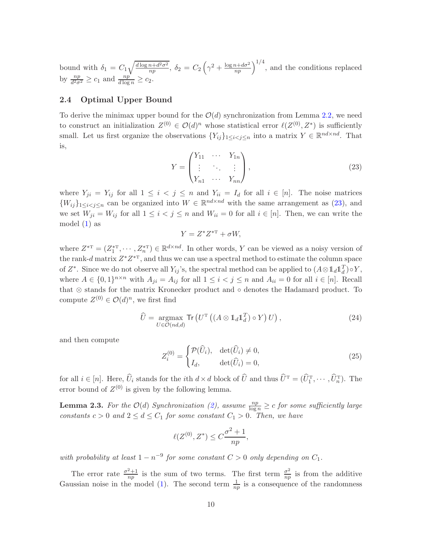bound with  $\delta_1 = C_1 \sqrt{\frac{d \log n + d^2 \sigma^2}{n p}}$  $\frac{\overline{n+d^2\sigma^2}}{np}, \delta_2 = C_2 \left(\gamma^2 + \frac{\log n + d\sigma^2}{np}\right)^{1/4},$  and the conditions replaced by  $\frac{np}{d^2\sigma^2} \geq c_1$  and  $\frac{np}{d \log n} \geq c_2$ .

## <span id="page-9-0"></span>2.4 Optimal Upper Bound

To derive the minimax upper bound for the  $\mathcal{O}(d)$  synchronization from Lemma [2.2,](#page-8-0) we need to construct an initialization  $Z^{(0)} \in \mathcal{O}(d)^n$  whose statistical error  $\ell(Z^{(0)}, Z^*)$  is sufficiently small. Let us first organize the observations  $\{Y_{ij}\}_{1 \leq i < j \leq n}$  into a matrix  $Y \in \mathbb{R}^{nd \times nd}$ . That is,

<span id="page-9-1"></span>
$$
Y = \begin{pmatrix} Y_{11} & \cdots & Y_{1n} \\ \vdots & \ddots & \vdots \\ Y_{n1} & \cdots & Y_{nn} \end{pmatrix},
$$
\n(23)

where  $Y_{ji} = Y_{ij}$  for all  $1 \leq i \leq j \leq n$  and  $Y_{ii} = I_d$  for all  $i \in [n]$ . The noise matrices  $\{W_{ij}\}_{1\leq i < j \leq n}$  can be organized into  $W \in \mathbb{R}^{nd \times nd}$  with the same arrangement as [\(23\)](#page-9-1), and we set  $W_{ji} = W_{ij}$  for all  $1 \leq i < j \leq n$  and  $W_{ii} = 0$  for all  $i \in [n]$ . Then, we can write the model  $(1)$  as

$$
Y = Z^* Z^{*\mathrm{T}} + \sigma W,
$$

where  $Z^{*T} = (Z_1^{*T}, \dots, Z_n^{*T}) \in \mathbb{R}^{d \times nd}$ . In other words, Y can be viewed as a noisy version of the rank-d matrix  $Z^*Z^{*\mathrm{T}}$ , and thus we can use a spectral method to estimate the column space of  $Z^*$ . Since we do not observe all  $Y_{ij}$ 's, the spectral method can be applied to  $(A \otimes \mathbb{1}_d \mathbb{1}_d^T) \circ Y$ , where  $A \in \{0,1\}^{n \times n}$  with  $A_{ji} = A_{ij}$  for all  $1 \leq i < j \leq n$  and  $A_{ii} = 0$  for all  $i \in [n]$ . Recall that ⊗ stands for the matrix Kronecker product and ◦ denotes the Hadamard product. To compute  $Z^{(0)} \in \mathcal{O}(d)^n$ , we first find

<span id="page-9-4"></span>
$$
\widehat{U} = \underset{U \in \mathcal{O}(nd,d)}{\operatorname{argmax}} \operatorname{Tr} \left( U^{\mathrm{T}} \left( \left( A \otimes \mathbb{1}_d \mathbb{1}_d^T \right) \circ Y \right) U \right), \tag{24}
$$

and then compute

<span id="page-9-3"></span>
$$
Z_i^{(0)} = \begin{cases} \mathcal{P}(\widehat{U}_i), & \det(\widehat{U}_i) \neq 0, \\ I_d, & \det(\widehat{U}_i) = 0, \end{cases}
$$
\n(25)

for all  $i \in [n]$ . Here,  $U_i$  stands for the *i*th  $d \times d$  block of U and thus  $U^T = (U_1^T, \dots, U_n^T)$ . The error bound of  $Z^{(0)}$  is given by the following lemma.

<span id="page-9-2"></span>**Lemma 2.3.** For the  $\mathcal{O}(d)$  Synchronization [\(2\)](#page-0-1), assume  $\frac{np}{\log n} \geq c$  for some sufficiently large constants  $c > 0$  and  $2 \leq d \leq C_1$  for some constant  $C_1 > 0$ . Then, we have

$$
\ell(Z^{(0)}, Z^*) \le C \frac{\sigma^2 + 1}{np},
$$

with probability at least  $1 - n^{-9}$  for some constant  $C > 0$  only depending on  $C_1$ .

The error rate  $\frac{\sigma^2+1}{nn}$  $rac{2+1}{np}$  is the sum of two terms. The first term  $\frac{\sigma^2}{np}$  $\frac{\sigma^2}{np}$  is from the additive Gaussian noise in the model [\(1\)](#page-0-2). The second term  $\frac{1}{np}$  is a consequence of the randomness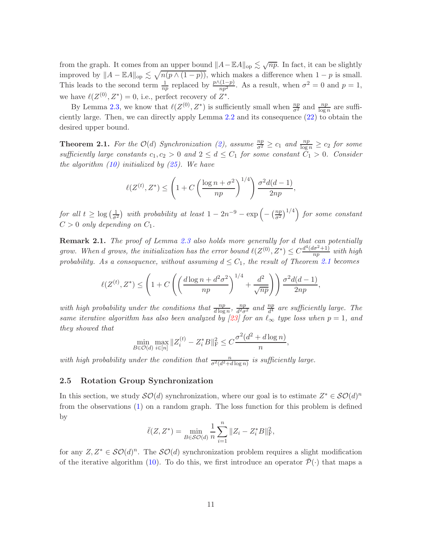from the graph. It comes from an upper bound  $||A-EA||_{op} \lesssim \sqrt{np}$ . In fact, it can be slightly improved by  $||A - \mathbb{E}A||_{op} \lesssim \sqrt{n(p \wedge (1-p))}$ , which makes a difference when  $1-p$  is small. This leads to the second term  $\frac{1}{np}$  replaced by  $\frac{p\wedge(1-p)}{np^2}$ . As a result, when  $\sigma^2 = 0$  and  $p = 1$ , we have  $\ell(Z^{(0)}, Z^*) = 0$ , i.e., perfect recovery of  $Z^*$ .

By Lemma [2.3,](#page-9-2) we know that  $\ell(Z^{(0)}, Z^*)$  is sufficiently small when  $\frac{np}{\sigma^2}$  and  $\frac{np}{\log n}$  are sufficiently large. Then, we can directly apply Lemma [2.2](#page-8-0) and its consequence [\(22\)](#page-8-2) to obtain the desired upper bound.

<span id="page-10-0"></span>**Theorem 2.1.** For the  $\mathcal{O}(d)$  Synchronization [\(2\)](#page-0-1), assume  $\frac{np}{\sigma^2} \ge c_1$  and  $\frac{np}{\log n} \ge c_2$  for some sufficiently large constants  $c_1, c_2 > 0$  and  $2 \leq d \leq C_1$  for some constant  $C_1 > 0$ . Consider the algorithm  $(10)$  initialized by  $(25)$ . We have

$$
\ell(Z^{(t)}, Z^*) \le \left(1 + C\left(\frac{\log n + \sigma^2}{np}\right)^{1/4}\right) \frac{\sigma^2 d(d-1)}{2np},
$$

for all  $t \geq \log(\frac{1}{\sigma^2})$  with probability at least  $1 - 2n^{-9} - \exp(-(\frac{np}{\sigma^2})^{1/4})$  for some constant  $C > 0$  only depending on  $C_1$ .

Remark 2.1. The proof of Lemma [2.3](#page-9-2) also holds more generally for d that can potentially grow. When d grows, the initialization has the error bound  $\ell(Z^{(0)}, Z^*) \leq C \frac{d^4(d\sigma^2+1)}{np}$  $\frac{p(p-1)}{np}$  with high probability. As a consequence, without assuming  $d \leq C_1$ , the result of Theorem [2.1](#page-10-0) becomes

$$
\ell(Z^{(t)}, Z^*) \le \left(1 + C\left(\left(\frac{d\log n + d^2\sigma^2}{np}\right)^{1/4} + \frac{d^2}{\sqrt{np}}\right)\right) \frac{\sigma^2 d(d-1)}{2np},
$$

with high probability under the conditions that  $\frac{np}{d \log n}$ ,  $\frac{np}{d^2\sigma}$  $\frac{np}{d^2\sigma^2}$  and  $\frac{np}{d^4}$  are sufficiently large. The same iterative algorithm has also been analyzed by [\[23\]](#page-39-2) for an  $\ell_{\infty}$  type loss when  $p=1$ , and they showed that

$$
\min_{B \in \mathcal{O}(d)} \max_{i \in [n]} \|Z_i^{(t)} - Z_i^* B\|_{\mathcal{F}}^2 \le C \frac{\sigma^2 (d^2 + d \log n)}{n}
$$

,

with high probability under the condition that  $\frac{n}{\sigma^2(d^2+d\log n)}$  is sufficiently large.

### <span id="page-10-1"></span>2.5 Rotation Group Synchronization

In this section, we study  $\mathcal{SO}(d)$  synchronization, where our goal is to estimate  $Z^* \in \mathcal{SO}(d)^n$ from the observations [\(1\)](#page-0-2) on a random graph. The loss function for this problem is defined by

$$
\bar{\ell}(Z, Z^*) = \min_{B \in \mathcal{SO}(d)} \frac{1}{n} \sum_{i=1}^n \|Z_i - Z_i^* B\|_{\rm F}^2,
$$

for any  $Z, Z^* \in \mathcal{SO}(d)^n$ . The  $\mathcal{SO}(d)$  synchronization problem requires a slight modification of the iterative algorithm [\(10\)](#page-4-2). To do this, we first introduce an operator  $\bar{\mathcal{P}}(\cdot)$  that maps a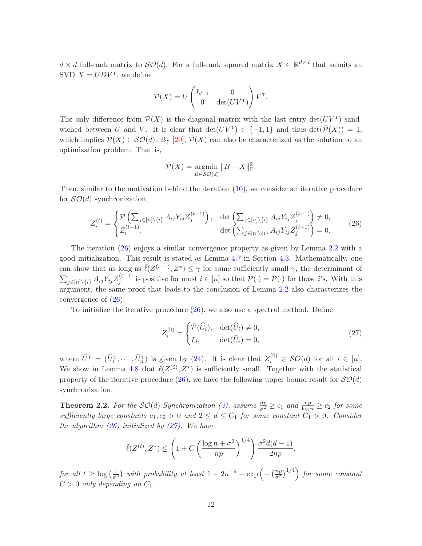$d \times d$  full-rank matrix to  $\mathcal{SO}(d)$ . For a full-rank squared matrix  $X \in \mathbb{R}^{d \times d}$  that admits an SVD  $X = UDV^{\mathrm{T}}$ , we define

$$
\bar{\mathcal{P}}(X) = U \begin{pmatrix} I_{d-1} & 0 \\ 0 & \det(UV^{\mathrm{T}}) \end{pmatrix} V^{\mathrm{T}}.
$$

The only difference from  $\mathcal{P}(X)$  is the diagonal matrix with the last entry  $\det(UV^T)$  sandwiched between U and V. It is clear that  $\det(UV^T) \in \{-1,1\}$  and thus  $\det(\overline{\mathcal{P}}(X)) = 1$ , which implies  $\overline{\mathcal{P}}(X) \in \mathcal{SO}(d)$ . By [\[20](#page-39-11)],  $\overline{\mathcal{P}}(X)$  can also be characterized as the solution to an optimization problem. That is,

$$
\overline{\mathcal{P}}(X) = \underset{B \in \mathcal{SO}(d)}{\operatorname{argmin}} \|B - X\|_{\mathcal{F}}^2.
$$

Then, similar to the motivation behind the iteration [\(10\)](#page-4-2), we consider an iterative procedure for  $\mathcal{SO}(d)$  synchronization,

<span id="page-11-1"></span>
$$
Z_i^{(t)} = \begin{cases} \bar{\mathcal{P}}\left(\sum_{j \in [n] \setminus \{i\}} A_{ij} Y_{ij} Z_j^{(t-1)}\right), & \det\left(\sum_{j \in [n] \setminus \{i\}} A_{ij} Y_{ij} Z_j^{(t-1)}\right) \neq 0, \\ Z_i^{(t-1)}, & \det\left(\sum_{j \in [n] \setminus \{i\}} A_{ij} Y_{ij} Z_j^{(t-1)}\right) = 0. \end{cases}
$$
(26)

The iteration [\(26\)](#page-11-1) enjoys a similar convergence property as given by Lemma [2.2](#page-8-0) with a good initialization. This result is stated as Lemma [4.7](#page-25-0) in Section [4.3.](#page-25-1) Mathematically, one can show that as long as  $\bar{\ell}(Z^{(t-1)}, Z^*) \leq \gamma$  for some sufficiently small  $\gamma$ , the determinant of  $\sum_{j\in[n]\backslash\{i\}} A_{ij} Y_{ij} Z_j^{(t-1)}$  is positive for most  $i \in [n]$  so that  $\overline{\mathcal{P}}(\cdot) = \mathcal{P}(\cdot)$  for those *i*'s. With this argument, the same proof that leads to the conclusion of Lemma [2.2](#page-8-0) also characterizes the convergence of [\(26\)](#page-11-1).

To initialize the iterative procedure [\(26\)](#page-11-1), we also use a spectral method. Define

<span id="page-11-2"></span>
$$
Z_i^{(0)} = \begin{cases} \bar{\mathcal{P}}(\widehat{U}_i), & \det(\widehat{U}_i) \neq 0, \\ I_d, & \det(\widehat{U}_i) = 0, \end{cases}
$$
\n(27)

where  $\widehat{U}^{\mathrm{T}} = (\widehat{U}_1^{\mathrm{T}}, \cdots, \widehat{U}_n^{\mathrm{T}})$  is given by [\(24\)](#page-9-4). It is clear that  $Z_i^{(0)} \in \mathcal{SO}(d)$  for all  $i \in [n]$ . We show in Lemma [4.8](#page-26-0) that  $\bar{\ell}(Z^{(0)}, Z^*)$  is sufficiently small. Together with the statistical property of the iterative procedure [\(26\)](#page-11-1), we have the following upper bound result for  $\mathcal{SO}(d)$ synchronization.

<span id="page-11-0"></span>**Theorem 2.2.** For the  $SO(d)$  Synchronization [\(3\)](#page-0-4), assume  $\frac{np}{\sigma^2} \geq c_1$  and  $\frac{np}{\log n} \geq c_2$  for some sufficiently large constants  $c_1, c_2 > 0$  and  $2 \leq d \leq C_1$  for some constant  $C_1 > 0$ . Consider the algorithm  $(26)$  initialized by  $(27)$ . We have

$$
\bar{\ell}(Z^{(t)}, Z^*) \le \left(1 + C\left(\frac{\log n + \sigma^2}{np}\right)^{1/4}\right) \frac{\sigma^2 d(d-1)}{2np},
$$

for all  $t \geq \log\left(\frac{1}{\sigma^2}\right)$  with probability at least  $1 - 2n^{-9} - \exp\left(-\left(\frac{np}{\sigma^2}\right)\right)$  $\left(\frac{np}{\sigma^2}\right)^{1/4}$  for some constant  $C > 0$  only depending on  $C_1$ .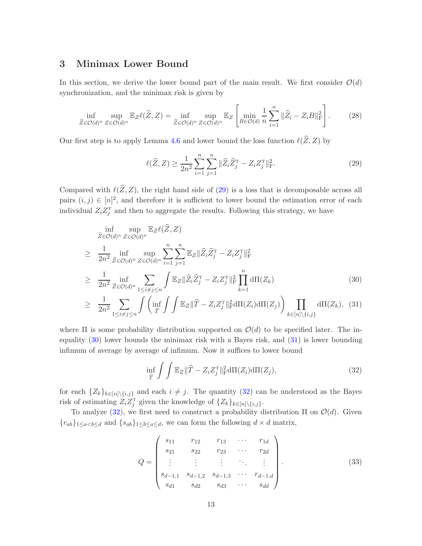# <span id="page-12-0"></span>3 Minimax Lower Bound

In this section, we derive the lower bound part of the main result. We first consider  $\mathcal{O}(d)$ synchronization, and the minimax risk is given by

$$
\inf_{\widehat{Z}\in\mathcal{O}(d)^n}\sup_{Z\in\mathcal{O}(d)^n}\mathbb{E}_Z\ell(\widehat{Z},Z) = \inf_{\widehat{Z}\in\mathcal{O}(d)^n}\sup_{Z\in\mathcal{O}(d)^n}\mathbb{E}_Z\left[\min_{B\in\mathcal{O}(d)}\frac{1}{n}\sum_{i=1}^n\|\widehat{Z}_i - Z_iB\|_{\mathrm{F}}^2\right].\tag{28}
$$

Our first step is to apply Lemma [4.6](#page-18-0) and lower bound the loss function  $\ell(\widehat{Z}, Z)$  by

<span id="page-12-1"></span>
$$
\ell(\widehat{Z}, Z) \ge \frac{1}{2n^2} \sum_{i=1}^n \sum_{j=1}^n \|\widehat{Z}_i \widehat{Z}_j^{\mathrm{T}} - Z_i Z_j^{\mathrm{T}}\|_{\mathrm{F}}^2.
$$
 (29)

Compared with  $\ell(\widehat{Z},Z)$ , the right hand side of [\(29\)](#page-12-1) is a loss that is decomposable across all pairs  $(i, j) \in [n]^2$ , and therefore it is sufficient to lower bound the estimation error of each individual  $Z_i Z_j^{\mathrm{T}}$  and then to aggregate the results. Following this strategy, we have

<span id="page-12-2"></span>
$$
\inf_{\widehat{Z}\in\mathcal{O}(d)^n} \sup_{Z\in\mathcal{O}(d)^n} \mathbb{E}_Z \ell(\widehat{Z}, Z)
$$
\n
$$
\geq \frac{1}{2n^2} \inf_{\widehat{Z}\in\mathcal{O}(d)^n} \sup_{Z\in\mathcal{O}(d)^n} \sum_{i=1}^n \sum_{j=1}^n \mathbb{E}_Z \|\widehat{Z}_i \widehat{Z}_j^T - Z_i Z_j^T\|_{\rm F}^2
$$
\n
$$
\geq \frac{1}{2n^2} \inf_{\widehat{Z}\in\mathcal{O}(d)^n} \sum_{1\leq i\neq j\leq n} \int \mathbb{E}_Z \|\widehat{Z}_i \widehat{Z}_j^T - Z_i Z_j^T\|_{\rm F}^2 \prod_{k=1}^n d\Pi(Z_k)
$$
\n
$$
> \frac{1}{n^2} \sum_{i=1}^n \int \left(\inf_{\widehat{Z}\in\mathcal{P}(d)^n} \int \mathbb{E}_Z \|\widehat{Z}_i - Z_i Z_j^T\|_{\rm F}^2 d\Pi(Z_i) d\Pi(Z_i) \right) \prod_{i=1}^n d\Pi(Z_i)
$$
\n(30)

$$
\geq \frac{1}{2n^2} \sum_{1 \leq i \neq j \leq n} \int \left( \inf_{\widehat{T}} \int \int \mathbb{E}_Z ||\widehat{T} - Z_i Z_j^{\mathrm{T}}||_{\mathrm{F}}^2 d\Pi(Z_i) d\Pi(Z_j) \right) \prod_{k \in [n] \setminus \{i, j\}} d\Pi(Z_k), \tag{31}
$$

where  $\Pi$  is some probability distribution supported on  $\mathcal{O}(d)$  to be specified later. The inequality [\(30\)](#page-12-2) lower bounds the minimax risk with a Bayes risk, and [\(31\)](#page-12-2) is lower bounding infimum of average by average of infimum. Now it suffices to lower bound

<span id="page-12-3"></span>
$$
\inf_{\widehat{T}} \int \int \mathbb{E}_Z \|\widehat{T} - Z_i Z_j^{\mathrm{T}}\|_{\mathrm{F}}^2 \mathrm{d}\Pi(Z_i) \mathrm{d}\Pi(Z_j),\tag{32}
$$

for each  $\{Z_k\}_{k\in[n]\setminus\{i,j\}}$  and each  $i \neq j$ . The quantity [\(32\)](#page-12-3) can be understood as the Bayes risk of estimating  $Z_i Z_j^T$  given the knowledge of  $\{Z_k\}_{k \in [n] \setminus \{i,j\}}$ .

To analyze [\(32\)](#page-12-3), we first need to construct a probability distribution  $\Pi$  on  $\mathcal{O}(d)$ . Given  ${r_{ab}}_{1\leq a < b \leq d}$  and  ${s_{ab}}_{1\leq b \leq a \leq d}$ , we can form the following  $d \times d$  matrix,

<span id="page-12-4"></span>
$$
Q = \begin{pmatrix} s_{11} & r_{12} & r_{13} & \cdots & r_{1d} \\ s_{21} & s_{22} & r_{23} & \cdots & r_{2d} \\ \vdots & \vdots & \vdots & \ddots & \vdots \\ s_{d-1,1} & s_{d-1,2} & s_{d-1,3} & \cdots & r_{d-1,d} \\ s_{d1} & s_{d2} & s_{d3} & \cdots & s_{dd} \end{pmatrix}.
$$
 (33)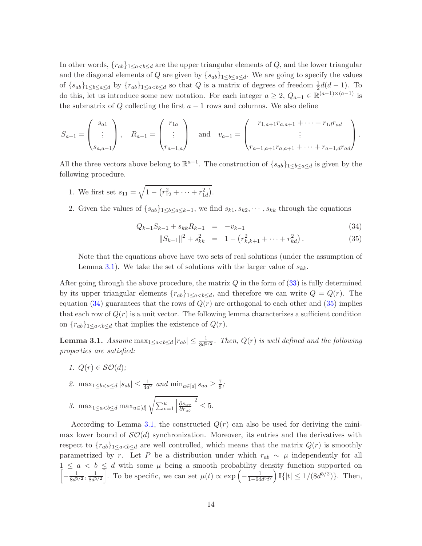In other words,  $\{r_{ab}\}_{1\leq a are the upper triangular elements of Q, and the lower triangular$ and the diagonal elements of Q are given by  $\{s_{ab}\}_{1\leq b\leq a\leq d}$ . We are going to specify the values of  $\{s_{ab}\}_{1\leq b\leq a\leq d}$  by  $\{r_{ab}\}_{1\leq a so that Q is a matrix of degrees of freedom  $\frac{1}{2}d(d-1)$ . To$ do this, let us introduce some new notation. For each integer  $a \geq 2$ ,  $Q_{a-1} \in \mathbb{R}^{(a-1)\times(a-1)}$  is the submatrix of  $Q$  collecting the first  $a - 1$  rows and columns. We also define

$$
S_{a-1} = \begin{pmatrix} s_{a1} \\ \vdots \\ s_{a,a-1} \end{pmatrix}, \quad R_{a-1} = \begin{pmatrix} r_{1a} \\ \vdots \\ r_{a-1,a} \end{pmatrix} \quad \text{and} \quad v_{a-1} = \begin{pmatrix} r_{1,a+1}r_{a,a+1} + \cdots + r_{1d}r_{ad} \\ \vdots \\ r_{a-1,a+1}r_{a,a+1} + \cdots + r_{a-1,d}r_{ad} \end{pmatrix}.
$$

All the three vectors above belong to  $\mathbb{R}^{a-1}$ . The construction of  $\{s_{ab}\}_{1\leq b\leq a\leq d}$  is given by the following procedure.

- 1. We first set  $s_{11} = \sqrt{1 (r_{12}^2 + \dots + r_{1d}^2)}$ .
- 2. Given the values of  $\{s_{ab}\}_{1\leq b\leq a\leq k-1}$ , we find  $s_{k1}, s_{k2}, \cdots, s_{kk}$  through the equations

<span id="page-13-1"></span>
$$
Q_{k-1}S_{k-1} + s_{kk}R_{k-1} = -v_{k-1}
$$
\n(34)

$$
||S_{k-1}||^2 + s_{kk}^2 = 1 - (r_{k,k+1}^2 + \dots + r_{kd}^2).
$$
 (35)

Note that the equations above have two sets of real solutions (under the assumption of Lemma [3.1\)](#page-13-0). We take the set of solutions with the larger value of  $s_{kk}$ .

After going through the above procedure, the matrix  $Q$  in the form of  $(33)$  is fully determined by its upper triangular elements  $\{r_{ab}\}_{1\leq a, and therefore we can write  $Q = Q(r)$ . The$ equation [\(34\)](#page-13-1) guarantees that the rows of  $Q(r)$  are orthogonal to each other and [\(35\)](#page-13-1) implies that each row of  $Q(r)$  is a unit vector. The following lemma characterizes a sufficient condition on  $\{r_{ab}\}_{1\leq a that implies the existence of  $Q(r)$ .$ 

<span id="page-13-0"></span>**Lemma 3.1.** Assume  $\max_{1 \le a < b \le d} |r_{ab}| \le \frac{1}{8d^{5/2}}$ . Then,  $Q(r)$  is well defined and the following properties are satisfied:

1.  $Q(r) \in \mathcal{SO}(d)$ ;

2. 
$$
\max_{1 \leq b < a \leq d} |s_{ab}| \leq \frac{1}{4d^2}
$$
 and  $\min_{a \in [d]} s_{aa} \geq \frac{7}{8}$ ;

3. max<sub>1≤a<br/> $\leq a < b \leq d$  max<sub>u∈[d]</sub></sub> <sup>1</sup>  $\sum_{v=1}^u$   $\partial s_{uv}$  $\partial r_{ab}$   $2^{2} \leq 5$ .

According to Lemma [3.1,](#page-13-0) the constructed  $Q(r)$  can also be used for deriving the minimax lower bound of  $\mathcal{SO}(d)$  synchronization. Moreover, its entries and the derivatives with respect to  ${r_{ab}}_{1\leq a\leq b\leq d}$  are well controlled, which means that the matrix  $Q(r)$  is smoothly parametrized by r. Let P be a distribution under which  $r_{ab} \sim \mu$  independently for all  $\sqrt{ }$  $1 \leq a < b \leq d$  with some  $\mu$  being a smooth probability density function supported on  $-\frac{1}{8d^5}$  $\frac{1}{8d^{5/2}}, \frac{1}{8d^5}$  $\frac{1}{8d^{5/2}}$ . To be specific, we can set  $\mu(t) \propto \exp\left(-\frac{1}{1-64}\right)$  $\frac{1}{1-64d^5t^2}\Big)\mathbb{I}\{|t|\leq 1/(8d^{5/2})\}.$  Then,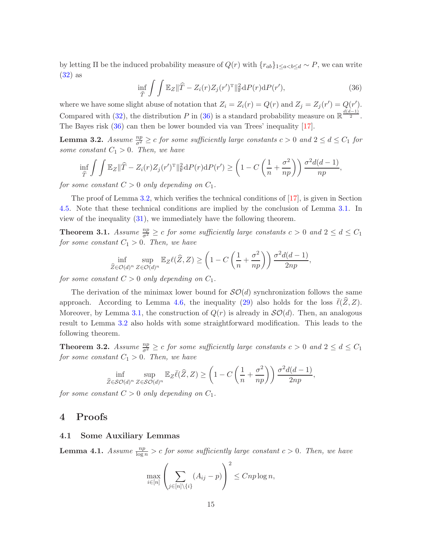by letting  $\Pi$  be the induced probability measure of  $Q(r)$  with  $\{r_{ab}\}_{1\leq a\leq b\leq d} \sim P$ , we can write [\(32\)](#page-12-3) as

<span id="page-14-3"></span>
$$
\inf_{\widehat{T}} \int \int \mathbb{E}_Z \|\widehat{T} - Z_i(r)Z_j(r')^{\mathrm{T}}\|_{\mathrm{F}}^2 \mathrm{d}P(r) \mathrm{d}P(r'),\tag{36}
$$

where we have some slight abuse of notation that  $Z_i = Z_i(r) = Q(r)$  and  $Z_j = Z_j(r') = Q(r')$ . Compared with [\(32\)](#page-12-3), the distribution P in [\(36\)](#page-14-3) is a standard probability measure on  $\mathbb{R}^{\frac{d(d-1)}{2}}$ . The Bayes risk [\(36\)](#page-14-3) can then be lower bounded via van Trees' inequality [\[17](#page-38-4)].

<span id="page-14-4"></span>**Lemma 3.2.** Assume  $\frac{np}{\sigma^2} \geq c$  for some sufficiently large constants  $c > 0$  and  $2 \leq d \leq C_1$  for some constant  $C_1 > 0$ . Then, we have

$$
\inf_{\widehat{T}} \int \int \mathbb{E}_Z ||\widehat{T} - Z_i(r)Z_j(r')^{\mathrm{T}}||^2_{\mathrm{F}} dP(r) dP(r') \ge \left(1 - C\left(\frac{1}{n} + \frac{\sigma^2}{np}\right)\right) \frac{\sigma^2 d(d-1)}{np},
$$

for some constant  $C > 0$  only depending on  $C_1$ .

The proof of Lemma [3.2,](#page-14-4) which verifies the technical conditions of [\[17](#page-38-4)], is given in Section [4.5.](#page-32-0) Note that these technical conditions are implied by the conclusion of Lemma [3.1.](#page-13-0) In view of the inequality [\(31\)](#page-12-2), we immediately have the following theorem.

<span id="page-14-0"></span>**Theorem 3.1.** Assume  $\frac{np}{\sigma^2} \geq c$  for some sufficiently large constants  $c > 0$  and  $2 \leq d \leq C_1$ for some constant  $C_1 > 0$ . Then, we have

$$
\inf_{\widehat{Z}\in\mathcal{O}(d)^n}\sup_{Z\in\mathcal{O}(d)^n}\mathbb{E}_Z\ell(\widehat{Z},Z)\geq \left(1-C\left(\frac{1}{n}+\frac{\sigma^2}{np}\right)\right)\frac{\sigma^2d(d-1)}{2np},
$$

for some constant  $C > 0$  only depending on  $C_1$ .

The derivation of the minimax lower bound for  $\mathcal{SO}(d)$  synchronization follows the same approach. According to Lemma [4.6,](#page-18-0) the inequality [\(29\)](#page-12-1) also holds for the loss  $\ell(Z, Z)$ . Moreover, by Lemma [3.1,](#page-13-0) the construction of  $Q(r)$  is already in  $\mathcal{SO}(d)$ . Then, an analogous result to Lemma [3.2](#page-14-4) also holds with some straightforward modification. This leads to the following theorem.

<span id="page-14-1"></span>**Theorem 3.2.** Assume  $\frac{np}{\sigma^2} \geq c$  for some sufficiently large constants  $c > 0$  and  $2 \leq d \leq C_1$ for some constant  $C_1 > 0$ . Then, we have

$$
\inf_{\widehat{Z}\in\mathcal{SO}(d)^n}\sup_{Z\in\mathcal{SO}(d)^n}\mathbb{E}_Z\overline{\ell}(\widehat{Z},Z)\geq \left(1-C\left(\frac{1}{n}+\frac{\sigma^2}{np}\right)\right)\frac{\sigma^2d(d-1)}{2np},
$$

<span id="page-14-2"></span>for some constant  $C > 0$  only depending on  $C_1$ .

## 4 Proofs

## 4.1 Some Auxiliary Lemmas

<span id="page-14-5"></span>**Lemma 4.1.** Assume  $\frac{np}{\log n} > c$  for some sufficiently large constant  $c > 0$ . Then, we have

$$
\max_{i \in [n]} \left( \sum_{j \in [n] \setminus \{i\}} (A_{ij} - p) \right)^2 \le Cnp \log n,
$$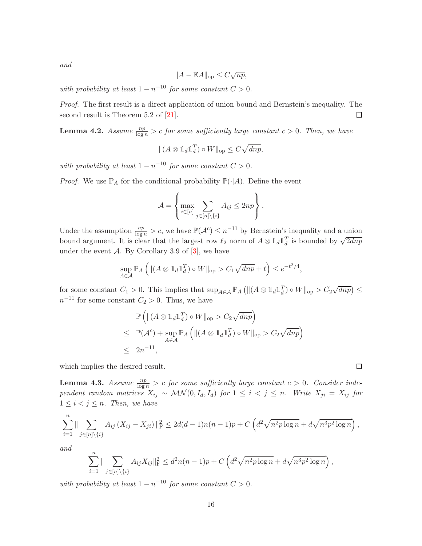and

$$
||A - \mathbb{E}A||_{\text{op}} \leq C\sqrt{np},
$$

with probability at least  $1 - n^{-10}$  for some constant  $C > 0$ .

Proof. The first result is a direct application of union bound and Bernstein's inequality. The second result is Theorem 5.2 of [\[21\]](#page-39-12).  $\Box$ 

<span id="page-15-0"></span>**Lemma 4.2.** Assume  $\frac{np}{\log n} > c$  for some sufficiently large constant  $c > 0$ . Then, we have

$$
\|(A \otimes \mathbb{1}_d \mathbb{1}_d^T) \circ W\|_{\text{op}} \le C\sqrt{dnp},
$$

with probability at least  $1 - n^{-10}$  for some constant  $C > 0$ .

*Proof.* We use  $\mathbb{P}_A$  for the conditional probability  $\mathbb{P}(\cdot|A)$ . Define the event

$$
\mathcal{A} = \left\{ \max_{i \in [n]} \sum_{j \in [n] \setminus \{i\}} A_{ij} \le 2np \right\}.
$$

Under the assumption  $\frac{np}{\log n} > c$ , we have  $\mathbb{P}(\mathcal{A}^c) \leq n^{-11}$  by Bernstein's inequality and a union bound argument. It is clear that the largest row  $\ell_2$  norm of  $A \otimes 1_d 1_d^T$  is bounded by  $\sqrt{2dnp}$ under the event  $\mathcal{A}$ . By Corollary 3.9 of [\[3](#page-37-4)], we have

$$
\sup_{A \in \mathcal{A}} \mathbb{P}_A \left( \| (A \otimes \mathbb{1}_d \mathbb{1}_d^T) \circ W \|_{\text{op}} > C_1 \sqrt{dnp} + t \right) \leq e^{-t^2/4},
$$

for some constant  $C_1 > 0$ . This implies that  $\sup_{A \in \mathcal{A}} \mathbb{P}_A \left( ||(A \otimes 1_d 1_d^T) \circ W||_{op} > C_2 \sqrt{dnp} \right) \le$  $n^{-11}$  for some constant  $C_2 > 0$ . Thus, we have

$$
\mathbb{P}\left(\|(A \otimes \mathbb{1}_d \mathbb{1}_d^T) \circ W\|_{\text{op}} > C_2 \sqrt{dnp}\right)
$$
\n
$$
\leq \mathbb{P}(\mathcal{A}^c) + \sup_{A \in \mathcal{A}} \mathbb{P}_A\left(\|(A \otimes \mathbb{1}_d \mathbb{1}_d^T) \circ W\|_{\text{op}} > C_2 \sqrt{dnp}\right)
$$
\n
$$
\leq 2n^{-11},
$$

which implies the desired result.

<span id="page-15-1"></span>**Lemma 4.3.** Assume  $\frac{np}{\log n} > c$  for some sufficiently large constant  $c > 0$ . Consider independent random matrices  $X_{ij} \sim \mathcal{MN}(0, I_d, I_d)$  for  $1 \leq i \leq j \leq n$ . Write  $X_{ji} = X_{ij}$  for  $1 \leq i < j \leq n$ . Then, we have

$$
\sum_{i=1}^n \|\sum_{j\in[n]\backslash\{i\}} A_{ij} (X_{ij} - X_{ji}) \|_{\mathcal{F}}^2 \le 2d(d-1)n(n-1)p + C\left(d^2\sqrt{n^2p\log n} + d\sqrt{n^3p^2\log n}\right),
$$

and

$$
\sum_{i=1}^n \|\sum_{j\in[n]\backslash\{i\}} A_{ij} X_{ij}\|_{\mathrm{F}}^2 \leq d^2 n(n-1)p + C\left(d^2 \sqrt{n^2 p \log n} + d \sqrt{n^3 p^2 \log n}\right),
$$

with probability at least  $1 - n^{-10}$  for some constant  $C > 0$ .

 $\Box$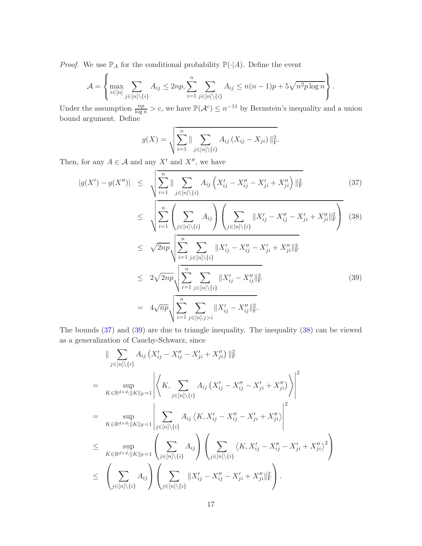*Proof.* We use  $\mathbb{P}_A$  for the conditional probability  $\mathbb{P}(\cdot|A)$ . Define the event

$$
\mathcal{A} = \left\{ \max_{i \in [n]} \sum_{j \in [n] \setminus \{i\}} A_{ij} \le 2np, \sum_{i=1}^n \sum_{j \in [n] \setminus \{i\}} A_{ij} \le n(n-1)p + 5\sqrt{n^2p \log n} \right\}.
$$

Under the assumption  $\frac{np}{\log n} > c$ , we have  $\mathbb{P}(\mathcal{A}^c) \leq n^{-11}$  by Bernstein's inequality and a union bound argument. Define

$$
g(X) = \sqrt{\sum_{i=1}^{n} || \sum_{j \in [n] \setminus \{i\}} A_{ij} (X_{ij} - X_{ji}) ||_{F}^{2}}.
$$

Then, for any  $A \in \mathcal{A}$  and any  $X'$  and  $X''$ , we have

<span id="page-16-0"></span>
$$
|g(X') - g(X'')| \leq \sqrt{\sum_{i=1}^{n} \|\sum_{j \in [n] \setminus \{i\}} A_{ij} \left(X'_{ij} - X''_{ij} - X'_{ji} + X''_{ji}\right)\|_{\mathrm{F}}^{2}}
$$
\n
$$
\leq \sqrt{\sum_{i=1}^{n} \left(\sum_{j \in [n] \setminus \{i\}} A_{ij}\right) \left(\sum_{j \in [n] \setminus \{i\}} \|X'_{ij} - X''_{ij} - X'_{ji} + X''_{ji}\|_{\mathrm{F}}^{2}\right)}
$$
\n
$$
\leq \sqrt{2np} \sqrt{\sum_{i=1}^{n} \sum_{j \in [n] \setminus \{i\}} \|X'_{ij} - X''_{ij} - X'_{ji} + X''_{ji}\|_{\mathrm{F}}^{2}}
$$
\n
$$
\leq 2\sqrt{2np} \sqrt{\sum_{i=1}^{n} \sum_{j \in [n] \setminus \{i\}} \|X'_{ij} - X''_{ij}\|_{\mathrm{F}}^{2}}
$$
\n
$$
= 4\sqrt{np} \sqrt{\sum_{i=1}^{n} \sum_{j \in [n] \setminus j>i} \|X'_{ij} - X''_{ij}\|_{\mathrm{F}}^{2}}.
$$
\n(39)

The bounds [\(37\)](#page-16-0) and [\(39\)](#page-16-0) are due to triangle inequality. The inequality [\(38\)](#page-16-0) can be viewed as a generalization of Cauchy-Schwarz, since

$$
\| \sum_{j \in [n] \setminus \{i\}} A_{ij} (X'_{ij} - X''_{ij} - X'_{ji} + X''_{ji}) \|_{\mathrm{F}}^2
$$
\n
$$
= \sup_{K \in \mathbb{R}^{d \times d} : \|K\|_{\mathrm{F}} = 1} \left| \left\langle K, \sum_{j \in [n] \setminus \{i\}} A_{ij} (X'_{ij} - X''_{ij} - X'_{ji} + X''_{ji}) \right\rangle \right|^2
$$
\n
$$
= \sup_{K \in \mathbb{R}^{d \times d} : \|K\|_{\mathrm{F}} = 1} \left| \sum_{j \in [n] \setminus \{i\}} A_{ij} \left\langle K, X'_{ij} - X''_{ij} - X'_{ji} + X''_{ji} \right\rangle \right|^2
$$
\n
$$
\leq \sup_{K \in \mathbb{R}^{d \times d} : \|K\|_{\mathrm{F}} = 1} \left( \sum_{j \in [n] \setminus \{i\}} A_{ij} \right) \left( \sum_{j \in [n] \setminus \{i\}} \left\langle K, X'_{ij} - X''_{ij} - X'_{ji} + X''_{ji} \right\rangle^2 \right)
$$
\n
$$
\leq \left( \sum_{j \in [n] \setminus \{i\}} A_{ij} \right) \left( \sum_{j \in [n] \setminus \{i\}} \|X'_{ij} - X''_{ij} - X'_{ji} + X''_{ji}\|_{\mathrm{F}}^2 \right).
$$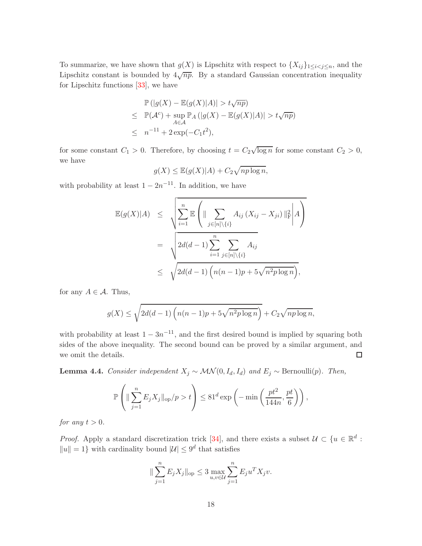To summarize, we have shown that  $g(X)$  is Lipschitz with respect to  $\{X_{ij}\}_{1\leq i < j \leq n}$ , and the Lipschitz constant is bounded by  $4\sqrt{np}$ . By a standard Gaussian concentration inequality for Lipschitz functions [\[33](#page-39-13)], we have

$$
\mathbb{P}(|g(X) - \mathbb{E}(g(X)|A)| > t\sqrt{np})
$$
  
\n
$$
\leq \mathbb{P}(\mathcal{A}^c) + \sup_{A \in \mathcal{A}} \mathbb{P}_A (|g(X) - \mathbb{E}(g(X)|A)| > t\sqrt{np})
$$
  
\n
$$
\leq n^{-11} + 2\exp(-C_1t^2),
$$

for some constant  $C_1 > 0$ . Therefore, by choosing  $t = C_2 \sqrt{\log n}$  for some constant  $C_2 > 0$ , we have

$$
g(X) \le \mathbb{E}(g(X)|A) + C_2 \sqrt{np \log n},
$$

with probability at least  $1 - 2n^{-11}$ . In addition, we have

$$
\mathbb{E}(g(X)|A) \leq \sqrt{\sum_{i=1}^{n} \mathbb{E}\left(\|\sum_{j\in[n]\backslash\{i\}} A_{ij} (X_{ij} - X_{ji})\|_{\mathcal{F}}^{2}\middle|A\right)}
$$
\n
$$
= \sqrt{2d(d-1)\sum_{i=1}^{n} \sum_{j\in[n]\backslash\{i\}} A_{ij}}
$$
\n
$$
\leq \sqrt{2d(d-1)\left(n(n-1)p + 5\sqrt{n^{2}p\log n}\right)},
$$

for any  $A \in \mathcal{A}$ . Thus,

$$
g(X) \le \sqrt{2d(d-1)\left(n(n-1)p + 5\sqrt{n^2p\log n}\right)} + C_2\sqrt{np\log n},
$$

with probability at least  $1 - 3n^{-11}$ , and the first desired bound is implied by squaring both sides of the above inequality. The second bound can be proved by a similar argument, and we omit the details.  $\Box$ 

<span id="page-17-0"></span>**Lemma 4.4.** Consider independent  $X_j \sim \mathcal{MN}(0, I_d, I_d)$  and  $E_j \sim \text{Bernoulli}(p)$ . Then,

$$
\mathbb{P}\left(\|\sum_{j=1}^n E_j X_j\|_{\text{op}}/p > t\right) \leq 81^d \exp\left(-\min\left(\frac{pt^2}{144n}, \frac{pt}{6}\right)\right),
$$

for any  $t > 0$ .

*Proof.* Apply a standard discretization trick [\[34](#page-40-2)], and there exists a subset  $\mathcal{U} \subset \{u \in \mathbb{R}^d :$  $||u|| = 1$  with cardinality bound  $|U| \leq 9^d$  that satisfies

$$
\|\sum_{j=1}^{n} E_j X_j\|_{\text{op}} \leq 3 \max_{u,v \in \mathcal{U}} \sum_{j=1}^{n} E_j u^T X_j v.
$$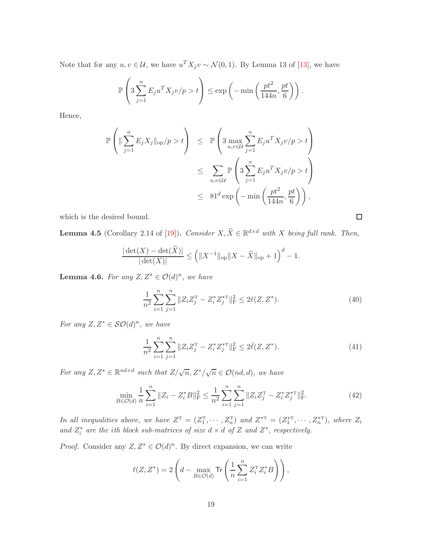Note that for any  $u, v \in \mathcal{U}$ , we have  $u^T X_j v \sim \mathcal{N}(0, 1)$ . By Lemma 13 of [\[13\]](#page-38-12), we have

$$
\mathbb{P}\left(3\sum_{j=1}^n E_j u^T X_j v / p > t\right) \le \exp\left(-\min\left(\frac{pt^2}{144n}, \frac{pt}{6}\right)\right).
$$

Hence,

$$
\mathbb{P}\left(\|\sum_{j=1}^{n} E_j X_j\|_{\text{op}}/p > t\right) \leq \mathbb{P}\left(3 \max_{u,v \in \mathcal{U}} \sum_{j=1}^{n} E_j u^T X_j v/p > t\right)
$$
  

$$
\leq \sum_{u,v \in \mathcal{U}} \mathbb{P}\left(3 \sum_{j=1}^{n} E_j u^T X_j v/p > t\right)
$$
  

$$
\leq 81^d \exp\left(-\min\left(\frac{pt^2}{144n}, \frac{pt}{6}\right)\right),
$$

which is the desired bound.

<span id="page-18-4"></span>**Lemma 4.5** (Corollary 2.14 of [\[19\]](#page-38-13)). Consider  $X, \tilde{X} \in \mathbb{R}^{d \times d}$  with X being full rank. Then,

$$
\frac{|\det(X) - \det(\widetilde{X})|}{|\det(X)|} \le \left( \|X^{-1}\|_{\text{op}} \|X - \widetilde{X}\|_{\text{op}} + 1 \right)^d - 1.
$$

<span id="page-18-0"></span>**Lemma 4.6.** For any  $Z, Z^* \in \mathcal{O}(d)^n$ , we have

<span id="page-18-1"></span>
$$
\frac{1}{n^2} \sum_{i=1}^n \sum_{j=1}^n \|Z_i Z_j^{\mathrm{T}} - Z_i^* Z_j^{*\mathrm{T}}\|_{\mathrm{F}}^2 \le 2\ell(Z, Z^*). \tag{40}
$$

For any  $Z, Z^* \in \mathcal{SO}(d)^n$ , we have

<span id="page-18-2"></span>
$$
\frac{1}{n^2} \sum_{i=1}^n \sum_{j=1}^n \|Z_i Z_j^{\mathrm{T}} - Z_i^* Z_j^{*\mathrm{T}}\|_{\mathrm{F}}^2 \le 2\bar{\ell}(Z, Z^*). \tag{41}
$$

For any  $Z, Z^* \in \mathbb{R}^{nd \times d}$  such that  $Z/\sqrt{n}, Z^*/\sqrt{n} \in \mathcal{O}(nd, d)$ , we have

<span id="page-18-3"></span>
$$
\min_{B \in \mathcal{O}(d)} \frac{1}{n} \sum_{i=1}^{n} \|Z_i - Z_i^* B\|_{\mathrm{F}}^2 \le \frac{1}{n^2} \sum_{i=1}^{n} \sum_{j=1}^{n} \|Z_i Z_j^{\mathrm{T}} - Z_i^* Z_j^{*\mathrm{T}}\|_{\mathrm{F}}^2.
$$
\n(42)

In all inequalities above, we have  $Z^T = (Z_1^T, \dots, Z_n^T)$  and  $Z^{*T} = (Z_1^{*T}, \dots, Z_n^{*T})$ , where  $Z_i$ and  $Z_i^*$  are the ith block sub-matrices of size  $d \times d$  of Z and  $Z^*$ , respectively.

*Proof.* Consider any  $Z, Z^* \in \mathcal{O}(d)^n$ . By direct expansion, we can write

$$
\ell(Z, Z^*) = 2\left(d - \max_{B \in \mathcal{O}(d)} \text{Tr}\left(\frac{1}{n} \sum_{i=1}^n Z_i^{\text{T}} Z_i^* B\right)\right),
$$

 $\Box$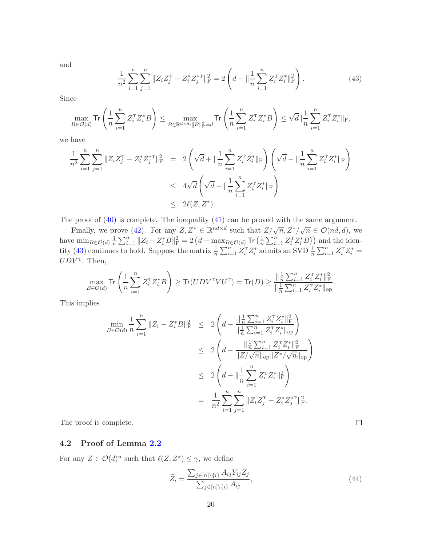and

<span id="page-19-0"></span>
$$
\frac{1}{n^2} \sum_{i=1}^n \sum_{j=1}^n \|Z_i Z_j^{\mathrm{T}} - Z_i^* Z_j^{*\mathrm{T}}\|_{\mathrm{F}}^2 = 2 \left(d - \|\frac{1}{n} \sum_{i=1}^n Z_i^{\mathrm{T}} Z_i^*\|_{\mathrm{F}}^2\right).
$$
 (43)

Since

$$
\max_{B\in\mathcal{O}(d)}\text{Tr}\left(\frac{1}{n}\sum_{i=1}^nZ_i^{\sf T}Z_i^*B\right)\leq\max_{B\in\mathbb{R}^{d\times d}:\|B\|_{\rm F}^2=d}\text{Tr}\left(\frac{1}{n}\sum_{i=1}^nZ_i^{\sf T}Z_i^*B\right)\leq\sqrt{d}\|\frac{1}{n}\sum_{i=1}^nZ_i^{\sf T}Z_i^*\|_{\rm F},
$$

we have

$$
\frac{1}{n^2} \sum_{i=1}^n \sum_{j=1}^n \|Z_i Z_j^{\mathrm{T}} - Z_i^* Z_j^{*\mathrm{T}}\|_{\mathrm{F}}^2 = 2 \left(\sqrt{d} + \|\frac{1}{n} \sum_{i=1}^n Z_i^{\mathrm{T}} Z_i^*\|_{\mathrm{F}}\right) \left(\sqrt{d} - \|\frac{1}{n} \sum_{i=1}^n Z_i^{\mathrm{T}} Z_i^*\|_{\mathrm{F}}\right)
$$
  
\n
$$
\leq 4\sqrt{d} \left(\sqrt{d} - \|\frac{1}{n} \sum_{i=1}^n Z_i^{\mathrm{T}} Z_i^*\|_{\mathrm{F}}\right)
$$
  
\n
$$
\leq 2\ell(Z, Z^*).
$$

The proof of [\(40\)](#page-18-1) is complete. The inequality [\(41\)](#page-18-2) can be proved with the same argument.

Finally, we prove [\(42\)](#page-18-3). For any  $Z, Z^* \in \mathbb{R}^{nd \times d}$  such that  $Z/\sqrt{n}, Z^*/\sqrt{n} \in \mathcal{O}(nd, d)$ , we have  $\min_{B \in \mathcal{O}(d)} \frac{1}{n}$  $\frac{1}{n} \sum_{i=1}^{n} \|Z_i - Z_i^*B\|_{\rm F}^2 = 2\left(d - \max_{B \in \mathcal{O}(d)} \mathsf{Tr}\left(\frac{1}{n}\right)\right)$  $\frac{1}{n} \sum_{i=1}^{n} Z_i^{\mathrm{T}} Z_i^* B)$  and the iden-tity [\(43\)](#page-19-0) continues to hold. Suppose the matrix  $\frac{1}{n} \sum_{i=1}^{n} Z_i^T Z_i^*$  admits an SVD  $\frac{1}{n} \sum_{i=1}^{n} Z_i^T Z_i^*$  $UDV<sup>T</sup>$ . Then,

$$
\max_{B \in \mathcal{O}(d)} \text{Tr}\left(\frac{1}{n} \sum_{i=1}^n Z_i^{\text{T}} Z_i^* B\right) \ge \text{Tr}(UDV^{\text{T}} V U^{\text{T}}) = \text{Tr}(D) \ge \frac{\|\frac{1}{n} \sum_{i=1}^n Z_i^{\text{T}} Z_i^* \|^2_{\text{F}}}{\|\frac{1}{n} \sum_{i=1}^n Z_i^{\text{T}} Z_i^* \|^2_{\text{op}}}.
$$

This implies

$$
\min_{B \in \mathcal{O}(d)} \frac{1}{n} \sum_{i=1}^{n} \|Z_i - Z_i^* B\|_{\mathrm{F}}^2 \le 2 \left( d - \frac{\|\frac{1}{n} \sum_{i=1}^{n} Z_i^{\mathrm{T}} Z_i^* \|_{\mathrm{F}}^2}{\|\frac{1}{n} \sum_{i=1}^{n} Z_i^{\mathrm{T}} Z_i^* \|_{\mathrm{op}}^2} \right) \n\le 2 \left( d - \frac{\|\frac{1}{n} \sum_{i=1}^{n} Z_i^{\mathrm{T}} Z_i^* \|_{\mathrm{F}}^2}{\|Z / \sqrt{n} \|_{\mathrm{op}} \|Z^* / \sqrt{n} \|_{\mathrm{op}}} \right) \n\le 2 \left( d - \|\frac{1}{n} \sum_{i=1}^{n} Z_i^{\mathrm{T}} Z_i^* \|_{\mathrm{F}}^2 \right) \n= \frac{1}{n^2} \sum_{i=1}^{n} \sum_{j=1}^{n} \|Z_i Z_j^{\mathrm{T}} - Z_i^* Z_j^{*\mathrm{T}} \|_{\mathrm{F}}^2.
$$

The proof is complete.

## 4.2 Proof of Lemma [2.2](#page-8-0)

For any  $Z \in \mathcal{O}(d)^n$  such that  $\ell(Z, Z^*) \leq \gamma$ , we define

<span id="page-19-1"></span>
$$
\widetilde{Z}_i = \frac{\sum_{j \in [n] \setminus \{i\}} A_{ij} Y_{ij} Z_j}{\sum_{j \in [n] \setminus \{i\}} A_{ij}},\tag{44}
$$

 $\Box$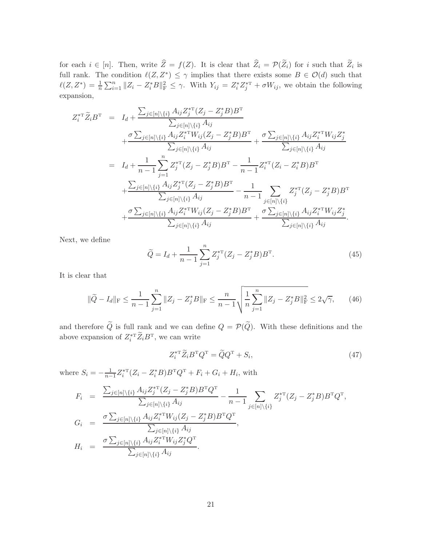for each  $i \in [n]$ . Then, write  $Z = f(Z)$ . It is clear that  $Z_i = \mathcal{P}(Z_i)$  for i such that  $Z_i$  is full rank. The condition  $\ell(Z, Z^*) \leq \gamma$  implies that there exists some  $B \in \mathcal{O}(d)$  such that  $\ell(Z, Z^*) = \frac{1}{n} \sum_{i=1}^n \|Z_i - Z_i^* B\|_{\text{F}}^2 \leq \gamma$ . With  $Y_{ij} = Z_i^* Z_j^{*\text{T}} + \sigma W_{ij}$ , we obtain the following expansion,

$$
Z_{i}^{*T} \widetilde{Z}_{i} B^{T} = I_{d} + \frac{\sum_{j \in [n] \setminus \{i\}} A_{ij} Z_{j}^{*T} (Z_{j} - Z_{j}^{*} B) B^{T}}{\sum_{j \in [n] \setminus \{i\}} A_{ij}} + \frac{\sigma \sum_{j \in [n] \setminus \{i\}} A_{ij} Z_{i}^{*T} W_{ij} (Z_{j} - Z_{j}^{*} B) B^{T}}{\sum_{j \in [n] \setminus \{i\}} A_{ij}} + \frac{\sigma \sum_{j \in [n] \setminus \{i\}} A_{ij} Z_{i}^{*T} W_{ij} Z_{j}^{*}}{\sum_{j \in [n] \setminus \{i\}} A_{ij}}}{I_{d} + \frac{1}{n-1} \sum_{j=1}^{n} Z_{j}^{*T} (Z_{j} - Z_{j}^{*} B) B^{T} - \frac{1}{n-1} Z_{i}^{*T} (Z_{i} - Z_{i}^{*} B) B^{T}}{n-1} + \frac{\sum_{j \in [n] \setminus \{i\}} A_{ij} Z_{j}^{*T} (Z_{j} - Z_{j}^{*} B) B^{T}}{\sum_{j \in [n] \setminus \{i\}} A_{ij}} - \frac{1}{n-1} \sum_{j \in [n] \setminus \{i\}} Z_{j}^{*T} (Z_{j} - Z_{j}^{*} B) B^{T}}{n-1} + \frac{\sigma \sum_{j \in [n] \setminus \{i\}} A_{ij} Z_{i}^{*T} W_{ij} (Z_{j} - Z_{j}^{*} B) B^{T}}{\sum_{j \in [n] \setminus \{i\}} A_{ij} Z_{i}^{*T} W_{ij} Z_{j}^{*}}}{\sum_{j \in [n] \setminus \{i\}} A_{ij}} + \frac{\sigma \sum_{j \in [n] \setminus \{i\}} A_{ij} Z_{i}^{*T} W_{ij} Z_{j}^{*}}{\sum_{j \in [n] \setminus \{i\}} A_{ij}}
$$

Next, we define

<span id="page-20-2"></span>
$$
\widetilde{Q} = I_d + \frac{1}{n-1} \sum_{j=1}^{n} Z_j^{*T} (Z_j - Z_j^* B) B^T.
$$
\n(45)

It is clear that

<span id="page-20-1"></span>
$$
\|\widetilde{Q} - I_d\|_{\rm F} \le \frac{1}{n-1} \sum_{j=1}^n \|Z_j - Z_j^* B\|_{\rm F} \le \frac{n}{n-1} \sqrt{\frac{1}{n} \sum_{j=1}^n \|Z_j - Z_j^* B\|_{\rm F}^2} \le 2\sqrt{\gamma},\qquad(46)
$$

and therefore  $\tilde{Q}$  is full rank and we can define  $Q = \mathcal{P}(\tilde{Q})$ . With these definitions and the above expansion of  $Z_i^{*T} Z_i B^T$ , we can write

<span id="page-20-0"></span>
$$
Z_i^{*\mathrm{T}} \widetilde{Z}_i B^\mathrm{T} Q^\mathrm{T} = \widetilde{Q} Q^\mathrm{T} + S_i,\tag{47}
$$

where  $S_i = -\frac{1}{n-1}Z_i^{*T}(Z_i - Z_i^*B)B^TQ^T + F_i + G_i + H_i$ , with

$$
F_i = \frac{\sum_{j \in [n] \setminus \{i\}} A_{ij} Z_j^{*T} (Z_j - Z_j^* B) B^T Q^T}{\sum_{j \in [n] \setminus \{i\}} A_{ij}} - \frac{1}{n-1} \sum_{j \in [n] \setminus \{i\}} Z_j^{*T} (Z_j - Z_j^* B) B^T Q^T,
$$
  
\n
$$
G_i = \frac{\sigma \sum_{j \in [n] \setminus \{i\}} A_{ij} Z_i^{*T} W_{ij} (Z_j - Z_j^* B) B^T Q^T}{\sum_{j \in [n] \setminus \{i\}} A_{ij}},
$$
  
\n
$$
H_i = \frac{\sigma \sum_{j \in [n] \setminus \{i\}} A_{ij} Z_i^{*T} W_{ij} Z_j^* Q^T}{\sum_{j \in [n] \setminus \{i\}} A_{ij}}.
$$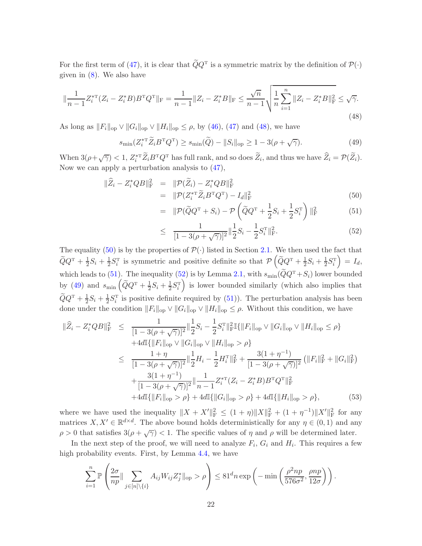For the first term of [\(47\)](#page-20-0), it is clear that  $QQ^T$  is a symmetric matrix by the definition of  $\mathcal{P}(\cdot)$ given in  $(8)$ . We also have

<span id="page-21-0"></span>
$$
\|\frac{1}{n-1}Z_i^{*T}(Z_i - Z_i^*B)B^TQ^T\|_F = \frac{1}{n-1}||Z_i - Z_i^*B||_F \le \frac{\sqrt{n}}{n-1}\sqrt{\frac{1}{n}\sum_{i=1}^n ||Z_i - Z_i^*B||_F^2} \le \sqrt{\gamma}.
$$
\n(48)

As long as  $||F_i||_{op} \vee ||G_i||_{op} \vee ||H_i||_{op} \le \rho$ , by [\(46\)](#page-20-1), [\(47\)](#page-20-0) and [\(48\)](#page-21-0), we have

<span id="page-21-2"></span>
$$
s_{\min}(Z_i^{*T}\widetilde{Z}_i B^T Q^T) \ge s_{\min}(\widetilde{Q}) - \|S_i\|_{\text{op}} \ge 1 - 3(\rho + \sqrt{\gamma}).\tag{49}
$$

When  $3(\rho + \sqrt{\gamma}) < 1$ ,  $Z_i^{*T} \widetilde{Z}_i B^{T} Q^{T}$  has full rank, and so does  $\widetilde{Z}_i$ , and thus we have  $\widehat{Z}_i = \mathcal{P}(\widetilde{Z}_i)$ . Now we can apply a perturbation analysis to [\(47\)](#page-20-0),

<span id="page-21-1"></span>
$$
\|\hat{Z}_i - Z_i^* QB\|_{\mathcal{F}}^2 = \|\mathcal{P}(\tilde{Z}_i) - Z_i^*QB\|_{\mathcal{F}}^2
$$
  
= 
$$
\|\mathcal{P}(Z_i^{*T}\tilde{Z}_iB^TQ^T) - I_d\|_{\mathcal{F}}^2
$$
(50)

$$
= \|\mathcal{P}(\tilde{Q}Q^{T} + S_{i}) - \mathcal{P}\left(\tilde{Q}Q^{T} + \frac{1}{2}S_{i} + \frac{1}{2}S_{i}^{T}\right)\|_{\text{F}}^{2}
$$
(51)

$$
\leq \frac{1}{[1 - 3(\rho + \sqrt{\gamma})]^2} \|\frac{1}{2}S_i - \frac{1}{2}S_i^{\mathrm{T}}\|_{\mathrm{F}}^2.
$$
\n(52)

The equality [\(50\)](#page-21-1) is by the properties of  $\mathcal{P}(\cdot)$  listed in Section [2.1.](#page-4-1) We then used the fact that  $\widetilde{Q}Q^{\scriptscriptstyle{\mathrm{T}}} + \frac{1}{2}$  $\frac{1}{2}S_i + \frac{1}{2}$  $\frac{1}{2}S_i^{\mathrm{T}}$  is symmetric and positive definite so that  $\mathcal{P}(\widetilde{Q}Q^{\mathrm{T}}+\frac{1}{2})$  $\frac{1}{2}S_i + \frac{1}{2}$  $\frac{1}{2}S_i^{\mathrm{T}}$  $= I_d$ which leads to [\(51\)](#page-21-1). The inequality [\(52\)](#page-21-1) is by Lemma [2.1,](#page-6-0) with  $s_{\min}(\tilde{Q}Q^{T}+S_{i})$  lower bounded by [\(49\)](#page-21-2) and  $s_{\text{min}}\left(\widetilde{Q}Q^{\text{T}}+\frac{1}{2}\right)$  $\frac{1}{2}S_i + \frac{1}{2}$  $\frac{1}{2}S_i^{\mathrm{T}}$  $\int$  is lower bounded similarly (which also implies that  $\widetilde{Q}Q^{\rm T} + \frac{1}{2}$  $\frac{1}{2}S_i + \frac{1}{2}$  $\frac{1}{2}S_i^T$  is positive definite required by  $(51)$ ). The perturbation analysis has been done under the condition  $||F_i||_{op} \vee ||G_i||_{op} \vee ||H_i||_{op} \leq \rho$ . Without this condition, we have

<span id="page-21-3"></span>
$$
\|\widehat{Z}_{i} - Z_{i}^{*}QB\|_{\mathrm{F}}^{2} \leq \frac{1}{[1 - 3(\rho + \sqrt{\gamma})]^{2}} \|\frac{1}{2}S_{i} - \frac{1}{2}S_{i}^{\mathrm{T}}\|_{\mathrm{F}}^{2}\mathbb{I}\{\|F_{i}\|_{\mathrm{op}} \vee \|G_{i}\|_{\mathrm{op}} \vee \|H_{i}\|_{\mathrm{op}} \leq \rho\} + 4d\mathbb{I}\{\|F_{i}\|_{\mathrm{op}} \vee \|G_{i}\|_{\mathrm{op}} \vee \|H_{i}\|_{\mathrm{op}} > \rho\} \leq \frac{1 + \eta}{[1 - 3(\rho + \sqrt{\gamma})]^{2}} \|\frac{1}{2}H_{i} - \frac{1}{2}H_{i}^{\mathrm{T}}\|_{\mathrm{F}}^{2} + \frac{3(1 + \eta^{-1})}{[1 - 3(\rho + \sqrt{\gamma})]^{2}} \left(\|F_{i}\|_{\mathrm{F}}^{2} + \|G_{i}\|_{\mathrm{F}}^{2}\right) + \frac{3(1 + \eta^{-1})}{[1 - 3(\rho + \sqrt{\gamma})]^{2}} \|\frac{1}{n - 1}Z_{i}^{* \mathrm{T}}(Z_{i} - Z_{i}^{*}B)B^{\mathrm{T}}Q^{\mathrm{T}}\|_{\mathrm{F}}^{2} + 4d\mathbb{I}\{\|F_{i}\|_{\mathrm{op}} > \rho\} + 4d\mathbb{I}\{\|G_{i}\|_{\mathrm{op}} > \rho\} + 4d\mathbb{I}\{\|H_{i}\|_{\mathrm{op}} > \rho\}, \qquad (53)
$$

where we have used the inequality  $||X + X'||_F^2 \le (1 + \eta) ||X||_F^2 + (1 + \eta^{-1}) ||X'||_F^2$  for any matrices  $X, X' \in \mathbb{R}^{d \times d}$ . The above bound holds deterministically for any  $\eta \in (0, 1)$  and any  $\rho > 0$  that satisfies  $3(\rho + \sqrt{\gamma}) < 1$ . The specific values of  $\eta$  and  $\rho$  will be determined later.

In the next step of the proof, we will need to analyze  $F_i$ ,  $G_i$  and  $H_i$ . This requires a few high probability events. First, by Lemma [4.4,](#page-17-0) we have

$$
\sum_{i=1}^n \mathbb{P}\left(\frac{2\sigma}{np} \|\sum_{j\in[n]\setminus\{i\}} A_{ij}W_{ij}Z_j^*\|_{\text{op}} > \rho\right) \leq 81^d n \exp\left(-\min\left(\frac{\rho^2 np}{576\sigma^2}, \frac{pnp}{12\sigma}\right)\right).
$$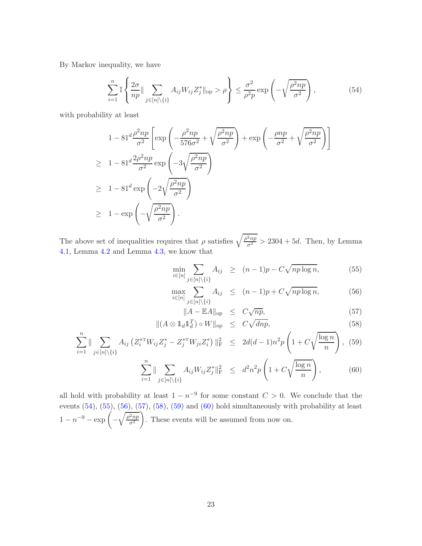By Markov inequality, we have

<span id="page-22-0"></span>
$$
\sum_{i=1}^{n} \mathbb{I} \left\{ \frac{2\sigma}{np} \|\sum_{j \in [n] \setminus \{i\}} A_{ij} W_{ij} Z_{j}^{*} \|_{\text{op}} > \rho \right\} \leq \frac{\sigma^{2}}{\rho^{2} p} \exp\left(-\sqrt{\frac{\rho^{2} np}{\sigma^{2}}}\right),\tag{54}
$$

with probability at least

 $\boldsymbol{n}$ 

$$
1 - 81^d \frac{\rho^2 np}{\sigma^2} \left[ \exp\left( -\frac{\rho^2 np}{576\sigma^2} + \sqrt{\frac{\rho^2 np}{\sigma^2}} \right) + \exp\left( -\frac{pnp}{\sigma^2} + \sqrt{\frac{\rho^2 np}{\sigma^2}} \right) \right]
$$
  
\n
$$
\geq 1 - 81^d \frac{2\rho^2 np}{\sigma^2} \exp\left( -3\sqrt{\frac{\rho^2 np}{\sigma^2}} \right)
$$
  
\n
$$
\geq 1 - 81^d \exp\left( -2\sqrt{\frac{\rho^2 np}{\sigma^2}} \right)
$$
  
\n
$$
\geq 1 - \exp\left( -\sqrt{\frac{\rho^2 np}{\sigma^2}} \right).
$$

The above set of inequalities requires that  $\rho$  satisfies  $\sqrt{\frac{\rho^2 np}{\sigma^2}} > 2304 + 5d$ . Then, by Lemma [4.1,](#page-14-5) Lemma [4.2](#page-15-0) and Lemma [4.3,](#page-15-1) we know that

<span id="page-22-1"></span>
$$
\min_{i \in [n]} \sum_{j \in [n] \setminus \{i\}} A_{ij} \ge (n-1)p - C\sqrt{np \log n}, \tag{55}
$$

$$
\max_{i \in [n]} \sum_{j \in [n] \setminus \{i\}} A_{ij} \le (n-1)p + C\sqrt{np \log n}, \tag{56}
$$

$$
||A - \mathbb{E}A||_{op} \le C\sqrt{np},
$$
  
\n
$$
\mathbb{E}[\mathbf{A} \mathbf{I}] \le T
$$
\n
$$
\mathbb{E}[\mathbf{A} \mathbf{I}] \le T
$$
\n
$$
\mathbb{E}[\mathbf{A} \mathbf{I}] \le T
$$
\n
$$
\mathbb{E}[\mathbf{A} \mathbf{I}] \le T
$$
\n
$$
\mathbb{E}[\mathbf{A} \mathbf{I}] \le T
$$
\n
$$
\mathbb{E}[\mathbf{A} \mathbf{I}] \le T
$$
\n
$$
\mathbb{E}[\mathbf{A} \mathbf{I}] \le T
$$
\n
$$
\mathbb{E}[\mathbf{A} \mathbf{I}] \le T
$$
\n
$$
\mathbb{E}[\mathbf{A} \mathbf{I}] \le T
$$
\n
$$
\mathbb{E}[\mathbf{A} \mathbf{I}] \le T
$$
\n
$$
\mathbb{E}[\mathbf{A} \mathbf{I}] \le T
$$
\n
$$
\mathbb{E}[\mathbf{A} \mathbf{I}] \le T
$$
\n
$$
\mathbb{E}[\mathbf{A} \mathbf{I}] \le T
$$
\n
$$
\mathbb{E}[\mathbf{A} \mathbf{I}] \le T
$$
\n
$$
\mathbb{E}[\mathbf{A} \mathbf{I}] \le T
$$
\n
$$
\mathbb{E}[\mathbf{A} \mathbf{I}] \le T
$$
\n
$$
\mathbb{E}[\mathbf{A} \mathbf{I}] \le T
$$
\n
$$
\mathbb{E}[\mathbf{A} \mathbf{I}] \le T
$$
\n
$$
\mathbb{E}[\mathbf{A} \mathbf{I}] \le T
$$
\n
$$
\mathbb{E}[\mathbf{A} \mathbf{I}] \le T
$$
\n
$$
\mathbb{E}[\mathbf{A} \mathbf{I}] \le T
$$
\n
$$
\mathbb{E}[\mathbf{A} \mathbf{I}] \le T
$$
\n
$$
\mathbb{E}[\mathbf{A} \mathbf{I}] \le T
$$
\n
$$
\mathbb{E}[\mathbf{A} \mathbf{I}] \le T
$$
\n
$$
\mathbb{E}
$$

$$
||(A \otimes 1_d 1_d^T) \circ W||_{op} \leq C\sqrt{dnp},
$$
\n
$$
(58)
$$
\n
$$
(59)
$$
\n
$$
(7^* \text{THV} \quad 7^* \quad 7^* \text{THV} \quad 7^* \quad 1^2 \leq 2d(d-1) \cdot 2 \cdot \left(1 + C\sqrt{\log n}\right)
$$

$$
\sum_{i=1}^{n} \|\sum_{j\in[n]\backslash\{i\}} A_{ij} \left( Z_i^{*T} W_{ij} Z_j^* - Z_j^{*T} W_{ji} Z_i^* \right) \|_{\mathcal{F}}^2 \le 2d(d-1)n^2 p \left( 1 + C \sqrt{\frac{\log n}{n}} \right), (59)
$$

$$
\sum_{i=1}^{n} \|\sum_{j\in[n]\setminus\{i\}} A_{ij} W_{ij} Z_j^* \|_{\mathcal{F}}^2 \leq d^2 n^2 p \left( 1 + C \sqrt{\frac{\log n}{n}} \right), \tag{60}
$$

all hold with probability at least  $1 - n^{-9}$  for some constant  $C > 0$ . We conclude that the events  $(54)$ ,  $(55)$ ,  $(56)$ ,  $(57)$ ,  $(58)$ ,  $(59)$  and  $(60)$  hold simultaneously with probability at least  $1 - n^{-9} - \exp( \sqrt{\rho^2 np}$  $\sigma^2$  $\setminus$ . These events will be assumed from now on.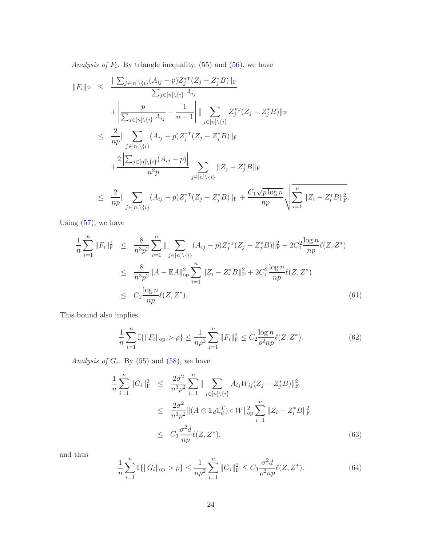Analysis of  $F_i$ . By triangle inequality,  $(55)$  and  $(56)$ , we have

$$
||F_{i}||_{F} \leq \frac{||\sum_{j\in[n]\backslash\{i\}}(A_{ij}-p)Z_{j}^{*T}(Z_{j}-Z_{j}^{*}B)||_{F}}{\sum_{j\in[n]\backslash\{i\}}A_{ij}} + \frac{p}{\sum_{j\in[n]\backslash\{i\}}A_{ij}} - \frac{1}{n-1} \Big| ||\sum_{j\in[n]\backslash\{i\}}Z_{j}^{*T}(Z_{j}-Z_{j}^{*}B)||_{F}
$$
  

$$
\leq \frac{2}{np} || \sum_{j\in[n]\backslash\{i\}}(A_{ij}-p)Z_{j}^{*T}(Z_{j}-Z_{j}^{*}B)||_{F}
$$
  

$$
+ \frac{2|\sum_{j\in[n]\backslash\{i\}}(A_{ij}-p)|}{n^{2}p} \sum_{j\in[n]\backslash\{i\}} ||Z_{j}-Z_{j}^{*}B||_{F}
$$
  

$$
\leq \frac{2}{np} || \sum_{j\in[n]\backslash\{i\}}(A_{ij}-p)Z_{j}^{*T}(Z_{j}-Z_{j}^{*}B)||_{F} + \frac{C_{1}\sqrt{p\log n}}{np} \sqrt{\sum_{i=1}^{n} ||Z_{i}-Z_{i}^{*}B||_{F}^{2}}.
$$

Using  $(57)$ , we have

<span id="page-23-0"></span>
$$
\frac{1}{n} \sum_{i=1}^{n} \|F_{i}\|_{\mathrm{F}}^{2} \leq \frac{8}{n^{3} p^{2}} \sum_{i=1}^{n} \| \sum_{j \in [n] \setminus \{i\}} (A_{ij} - p) Z_{j}^{* \mathrm{T}}(Z_{j} - Z_{j}^{*} B) \|_{\mathrm{F}}^{2} + 2C_{1}^{2} \frac{\log n}{np} \ell(Z, Z^{*})
$$
\n
$$
\leq \frac{8}{n^{3} p^{2}} \|A - \mathbb{E}A\|_{\mathrm{op}}^{2} \sum_{i=1}^{n} \|Z_{i} - Z_{i}^{*} B\|_{\mathrm{F}}^{2} + 2C_{1}^{2} \frac{\log n}{np} \ell(Z, Z^{*})
$$
\n
$$
\leq C_{2} \frac{\log n}{np} \ell(Z, Z^{*}). \tag{61}
$$

This bound also implies

<span id="page-23-1"></span>
$$
\frac{1}{n}\sum_{i=1}^{n}\mathbb{I}\{\|F_{i}\|_{\text{op}} > \rho\} \le \frac{1}{n\rho^{2}}\sum_{i=1}^{n}\|F_{i}\|_{\text{F}}^{2} \le C_{2}\frac{\log n}{\rho^{2}np}\ell(Z, Z^{*}).\tag{62}
$$

Analysis of  $G_i$ . By  $(55)$  and  $(58)$ , we have

<span id="page-23-2"></span>
$$
\frac{1}{n} \sum_{i=1}^{n} \|G_{i}\|_{\mathrm{F}}^{2} \leq \frac{2\sigma^{2}}{n^{3}p^{2}} \sum_{i=1}^{n} \| \sum_{j \in [n] \setminus \{i\}} A_{ij} W_{ij} (Z_{j} - Z_{j}^{*} B) \|_{\mathrm{F}}^{2}
$$
\n
$$
\leq \frac{2\sigma^{2}}{n^{3}p^{2}} \| (A \otimes \mathbb{1}_{d} \mathbb{1}_{d}^{T}) \circ W \|_{\mathrm{op}}^{2} \sum_{i=1}^{n} \| Z_{i} - Z_{i}^{*} B \|_{\mathrm{F}}^{2}
$$
\n
$$
\leq C_{3} \frac{\sigma^{2} d}{np} \ell(Z, Z^{*}), \tag{63}
$$

and thus

<span id="page-23-3"></span>
$$
\frac{1}{n}\sum_{i=1}^{n}\mathbb{I}\{\|G_i\|_{\text{op}} > \rho\} \le \frac{1}{n\rho^2}\sum_{i=1}^{n}\|G_i\|_{\text{F}}^2 \le C_3 \frac{\sigma^2 d}{\rho^2 n p} \ell(Z, Z^*). \tag{64}
$$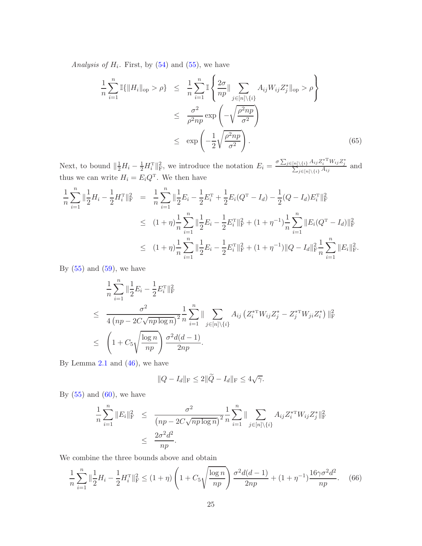Analysis of  $H_i$ . First, by  $(54)$  and  $(55)$ , we have

<span id="page-24-0"></span>
$$
\frac{1}{n} \sum_{i=1}^{n} \mathbb{I}\{\|H_i\|_{\text{op}} > \rho\} \leq \frac{1}{n} \sum_{i=1}^{n} \mathbb{I}\left\{\frac{2\sigma}{np} \|\sum_{j \in [n] \setminus \{i\}} A_{ij} W_{ij} Z_j^* \|_{\text{op}} > \rho\right\}
$$
\n
$$
\leq \frac{\sigma^2}{\rho^2 np} \exp\left(-\sqrt{\frac{\rho^2 np}{\sigma^2}}\right)
$$
\n
$$
\leq \exp\left(-\frac{1}{2}\sqrt{\frac{\rho^2 np}{\sigma^2}}\right). \tag{65}
$$

Next, to bound  $\|\frac{1}{2}H_i - \frac{1}{2}H_i^{\mathrm{T}}\|_{\mathrm{F}}^2$ , we introduce the notation  $E_i = \frac{\sigma \sum_{j\in[n]\backslash\{i\}} A_{ij} Z_i^{* \mathrm{T}} W_{ij} Z_j^{*}}{\sum_{j\in[n]\backslash\{i\}} A_{ij}}$  and thus we can write  $H_i = E_i Q^T$ . We then have

$$
\frac{1}{n}\sum_{i=1}^{n}\|\frac{1}{2}H_{i}-\frac{1}{2}H_{i}^{T}\|_{\mathrm{F}}^{2} = \frac{1}{n}\sum_{i=1}^{n}\|\frac{1}{2}E_{i}-\frac{1}{2}E_{i}^{T}+\frac{1}{2}E_{i}(Q^{T}-I_{d})-\frac{1}{2}(Q-I_{d})E_{i}^{T}\|_{\mathrm{F}}^{2}
$$
\n
$$
\leq (1+\eta)\frac{1}{n}\sum_{i=1}^{n}\|\frac{1}{2}E_{i}-\frac{1}{2}E_{i}^{T}\|_{\mathrm{F}}^{2}+(1+\eta^{-1})\frac{1}{n}\sum_{i=1}^{n}\|E_{i}(Q^{T}-I_{d})\|_{\mathrm{F}}^{2}
$$
\n
$$
\leq (1+\eta)\frac{1}{n}\sum_{i=1}^{n}\|\frac{1}{2}E_{i}-\frac{1}{2}E_{i}^{T}\|_{\mathrm{F}}^{2}+(1+\eta^{-1})\|Q-I_{d}\|_{\mathrm{F}}^{2}\frac{1}{n}\sum_{i=1}^{n}\|E_{i}\|_{\mathrm{F}}^{2}.
$$

By  $(55)$  and  $(59)$ , we have

$$
\frac{1}{n} \sum_{i=1}^{n} \|\frac{1}{2}E_i - \frac{1}{2}E_i^{\mathrm{T}}\|_{\mathrm{F}}^2
$$
\n
$$
\leq \frac{\sigma^2}{4\left(np - 2C\sqrt{np\log n}\right)^2} \frac{1}{n} \sum_{i=1}^{n} \|\sum_{j \in [n] \setminus \{i\}} A_{ij} \left(Z_i^{*\mathrm{T}} W_{ij} Z_j^* - Z_j^{*\mathrm{T}} W_{ji} Z_i^*\right)\|_{\mathrm{F}}^2
$$
\n
$$
\leq \left(1 + C_5 \sqrt{\frac{\log n}{np}}\right) \frac{\sigma^2 d(d-1)}{2np}.
$$

By Lemma [2.1](#page-6-0) and  $(46)$ , we have

$$
||Q - I_d||_{\mathcal{F}} \le 2||\widetilde{Q} - I_d||_{\mathcal{F}} \le 4\sqrt{\gamma}.
$$

By  $(55)$  and  $(60)$ , we have

$$
\frac{1}{n} \sum_{i=1}^{n} \|E_i\|_{\mathrm{F}}^2 \leq \frac{\sigma^2}{(np - 2C\sqrt{np \log n})^2} \frac{1}{n} \sum_{i=1}^{n} \| \sum_{j \in [n] \setminus \{i\}} A_{ij} Z_i^{* \mathrm{T}} W_{ij} Z_j^* \|_{\mathrm{F}}^2
$$

$$
\leq \frac{2\sigma^2 d^2}{np}.
$$

We combine the three bounds above and obtain

<span id="page-24-1"></span>
$$
\frac{1}{n}\sum_{i=1}^{n} \|\frac{1}{2}H_i - \frac{1}{2}H_i^{\mathrm{T}}\|_{\mathrm{F}}^2 \le (1+\eta) \left(1 + C_5 \sqrt{\frac{\log n}{np}}\right) \frac{\sigma^2 d(d-1)}{2np} + (1+\eta^{-1}) \frac{16\gamma \sigma^2 d^2}{np}.\tag{66}
$$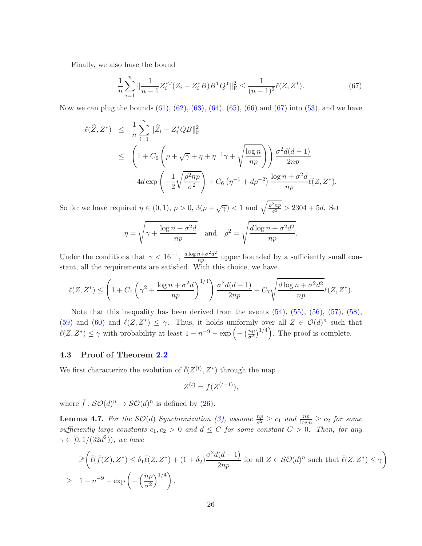Finally, we also have the bound

<span id="page-25-2"></span>
$$
\frac{1}{n}\sum_{i=1}^{n} \|\frac{1}{n-1}Z_i^{*\mathrm{T}}(Z_i - Z_i^*B)B^{\mathrm{T}}Q^{\mathrm{T}}\|_{\mathrm{F}}^2 \le \frac{1}{(n-1)^2} \ell(Z, Z^*). \tag{67}
$$

Now we can plug the bounds  $(61)$ ,  $(62)$ ,  $(63)$ ,  $(64)$ ,  $(65)$ ,  $(66)$  and  $(67)$  into  $(53)$ , and we have

$$
\ell(\widehat{Z}, Z^*) \leq \frac{1}{n} \sum_{i=1}^n \|\widehat{Z}_i - Z_i^* QB\|_{\rm F}^2
$$
  
\$\leq \left(1 + C\_6 \left(\rho + \sqrt{\gamma} + \eta + \eta^{-1}\gamma + \sqrt{\frac{\log n}{np}}\right)\right) \frac{\sigma^2 d(d-1)}{2np}\$  
 
$$
+ 4d \exp\left(-\frac{1}{2}\sqrt{\frac{\rho^2 np}{\sigma^2}}\right) + C_6 \left(\eta^{-1} + d\rho^{-2}\right) \frac{\log n + \sigma^2 d}{np} \ell(Z, Z^*).
$$

So far we have required  $\eta \in (0,1)$ ,  $\rho > 0$ ,  $3(\rho + \sqrt{\gamma}) < 1$  and  $\sqrt{\frac{\rho^2 np}{\sigma^2}} > 2304 + 5d$ . Set

$$
\eta = \sqrt{\gamma + \frac{\log n + \sigma^2 d}{np}} \quad \text{and} \quad \rho^2 = \sqrt{\frac{d \log n + \sigma^2 d^2}{np}}.
$$

Under the conditions that  $\gamma < 16^{-1}$ ,  $\frac{d \log n + \sigma^2 d^2}{n}$  $\frac{n+1}{np}$  upper bounded by a sufficiently small constant, all the requirements are satisfied. With this choice, we have

$$
\ell(Z, Z^*) \le \left(1 + C_7 \left(\gamma^2 + \frac{\log n + \sigma^2 d}{np}\right)^{1/4}\right) \frac{\sigma^2 d(d-1)}{2np} + C_7 \sqrt{\frac{d \log n + \sigma^2 d^2}{np}} \ell(Z, Z^*).
$$

Note that this inequality has been derived from the events  $(54)$ ,  $(55)$ ,  $(56)$ ,  $(57)$ ,  $(58)$ , [\(59\)](#page-22-1) and [\(60\)](#page-22-1) and  $\ell(Z, Z^*) \leq \gamma$ . Thus, it holds uniformly over all  $Z \in \mathcal{O}(d)^n$  such that  $\ell(Z, Z^*) \leq \gamma$  with probability at least  $1 - n^{-9} - \exp\left(-\left(\frac{np}{\sigma^2}\right)\right)$  $\left(\frac{np}{\sigma^2}\right)^{1/4}$ . The proof is complete.

#### <span id="page-25-1"></span>4.3 Proof of Theorem [2.2](#page-11-0)

We first characterize the evolution of  $\bar{\ell}(Z^{(t)}, Z^*)$  through the map

$$
Z^{(t)} = \bar{f}(Z^{(t-1)}),
$$

where  $\bar{f}: \mathcal{SO}(d)^n \to \mathcal{SO}(d)^n$  is defined by [\(26\)](#page-11-1).

<span id="page-25-0"></span>**Lemma 4.7.** For the  $SO(d)$  Synchronization [\(3\)](#page-0-4), assume  $\frac{np}{\sigma^2} \ge c_1$  and  $\frac{np}{\log n} \ge c_2$  for some sufficiently large constants  $c_1, c_2 > 0$  and  $d \leq C$  for some constant  $C > 0$ . Then, for any  $\gamma \in [0, 1/(32d^2))$ , we have

$$
\mathbb{P}\left(\bar{\ell}(\bar{f}(Z), Z^*) \le \delta_1 \bar{\ell}(Z, Z^*) + (1 + \delta_2) \frac{\sigma^2 d(d-1)}{2np} \text{ for all } Z \in \mathcal{SO}(d)^n \text{ such that } \bar{\ell}(Z, Z^*) \le \gamma\right)
$$
  
\n
$$
\ge 1 - n^{-9} - \exp\left(-\left(\frac{np}{\sigma^2}\right)^{1/4}\right),
$$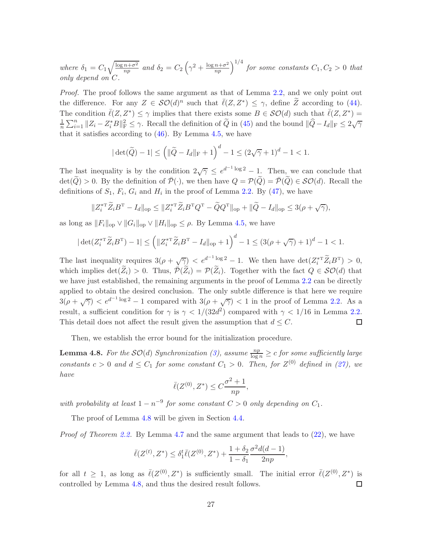where  $\delta_1 = C_1 \sqrt{\frac{\log n + \sigma^2}{np}}$  $\frac{\overline{n+\sigma^2}}{np}$  and  $\delta_2 = C_2 \left(\gamma^2 + \frac{\log n + \sigma^2}{np}\right)^{1/4}$  for some constants  $C_1, C_2 > 0$  that only depend on C.

Proof. The proof follows the same argument as that of Lemma [2.2,](#page-8-0) and we only point out the difference. For any  $Z \in \mathcal{SO}(d)^n$  such that  $\overline{\ell}(Z, Z^*) \leq \gamma$ , define  $\widetilde{Z}$  according to [\(44\)](#page-19-1). The condition  $\bar{\ell}(Z, Z^*) \leq \gamma$  implies that there exists some  $B \in \mathcal{SO}(d)$  such that  $\bar{\ell}(Z, Z^*) =$ 1  $\frac{1}{n}\sum_{i=1}^{n}||Z_i - Z_i^*B||_{\text{F}}^2 \leq \gamma$ . Recall the definition of  $\widetilde{Q}$  in [\(45\)](#page-20-2) and the bound  $\|\widehat{Q} - I_d\|_{\text{F}} \leq 2\sqrt{\gamma}$ that it satisfies according to  $(46)$ . By Lemma [4.5,](#page-18-4) we have

$$
|\det(\widetilde{Q}) - 1| \le \left( \|\widetilde{Q} - I_d\|_{\mathrm{F}} + 1 \right)^d - 1 \le (2\sqrt{\gamma} + 1)^d - 1 < 1.
$$

The last inequality is by the condition  $2\sqrt{\gamma} \leq e^{d^{-1}\log 2} - 1$ . Then, we can conclude that  $\det(\widetilde{Q}) > 0$ . By the definition of  $\overline{\mathcal{P}}(\cdot)$ , we then have  $Q = \mathcal{P}(\widetilde{Q}) = \overline{\mathcal{P}}(\widetilde{Q}) \in \mathcal{SO}(d)$ . Recall the definitions of  $S_1$ ,  $F_i$ ,  $G_i$  and  $H_i$  in the proof of Lemma [2.2.](#page-8-0) By [\(47\)](#page-20-0), we have

$$
||Z_i^{*\mathrm{T}} \widetilde{Z}_i B^{\mathrm{T}} - I_d||_{\mathrm{op}} \leq ||Z_i^{*\mathrm{T}} \widetilde{Z}_i B^{\mathrm{T}} Q^{\mathrm{T}} - \widetilde{Q} Q^{\mathrm{T}}||_{\mathrm{op}} + ||\widetilde{Q} - I_d||_{\mathrm{op}} \leq 3(\rho + \sqrt{\gamma}),
$$

as long as  $||F_i||_{op} \vee ||G_i||_{op} \vee ||H_i||_{op} \leq \rho$ . By Lemma [4.5,](#page-18-4) we have

$$
|\det(Z_i^{*\mathrm{T}} \widetilde{Z}_i B^{\mathrm{T}}) - 1| \le \left( \|Z_i^{*\mathrm{T}} \widetilde{Z}_i B^{\mathrm{T}} - I_d\|_{\mathrm{op}} + 1 \right)^d - 1 \le \left( 3(\rho + \sqrt{\gamma}) + 1 \right)^d - 1 < 1.
$$

The last inequality requires  $3(\rho + \sqrt{\gamma}) < e^{d^{-1}\log 2} - 1$ . We then have  $\det(Z_i^{*\mathrm{T}} \widetilde{Z}_i B^{\mathrm{T}}) > 0$ , which implies  $\det(\widetilde{Z}_i) > 0$ . Thus,  $\overline{P}(\widetilde{Z}_i) = P(\widetilde{Z}_i)$ . Together with the fact  $Q \in \mathcal{SO}(d)$  that we have just established, the remaining arguments in the proof of Lemma [2.2](#page-8-0) can be directly applied to obtain the desired conclusion. The only subtle difference is that here we require  $3(\rho + \sqrt{\gamma}) < e^{d^{-1}\log 2} - 1$  compared with  $3(\rho + \sqrt{\gamma}) < 1$  in the proof of Lemma [2.2.](#page-8-0) As a result, a sufficient condition for  $\gamma$  is  $\gamma < 1/(32d^2)$  compared with  $\gamma < 1/16$  in Lemma [2.2.](#page-8-0) This detail does not affect the result given the assumption that  $d \leq C$ .  $\Box$ 

Then, we establish the error bound for the initialization procedure.

<span id="page-26-0"></span>**Lemma 4.8.** For the  $SO(d)$  Synchronization [\(3\)](#page-0-4), assume  $\frac{np}{\log n} \geq c$  for some sufficiently large constants  $c > 0$  and  $d \leq C_1$  for some constant  $C_1 > 0$ . Then, for  $Z^{(0)}$  defined in [\(27\)](#page-11-2), we have

$$
\bar{\ell}(Z^{(0)}, Z^*) \le C \frac{\sigma^2 + 1}{np},
$$

with probability at least  $1 - n^{-9}$  for some constant  $C > 0$  only depending on  $C_1$ .

The proof of Lemma [4.8](#page-26-0) will be given in Section [4.4.](#page-27-0)

Proof of Theorem [2.2.](#page-11-0) By Lemma [4.7](#page-25-0) and the same argument that leads to [\(22\)](#page-8-2), we have

$$
\bar{\ell}(Z^{(t)}, Z^*) \le \delta_1^t \bar{\ell}(Z^{(0)}, Z^*) + \frac{1 + \delta_2}{1 - \delta_1} \frac{\sigma^2 d(d - 1)}{2np},
$$

for all  $t \geq 1$ , as long as  $\bar{\ell}(Z^{(0)}, Z^*)$  is sufficiently small. The initial error  $\bar{\ell}(Z^{(0)}, Z^*)$  is controlled by Lemma [4.8,](#page-26-0) and thus the desired result follows.  $\Box$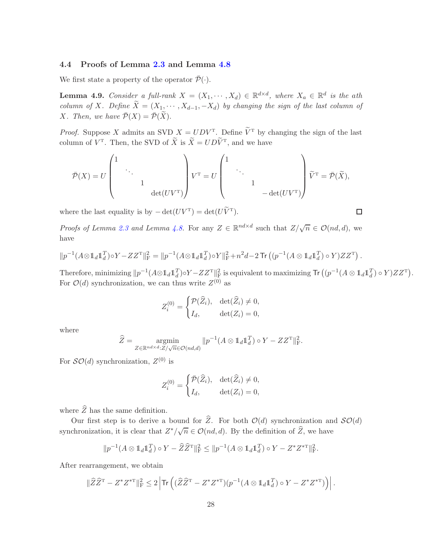## <span id="page-27-0"></span>4.4 Proofs of Lemma [2.3](#page-9-2) and Lemma [4.8](#page-26-0)

We first state a property of the operator  $\bar{\mathcal{P}}(\cdot)$ .

<span id="page-27-1"></span>**Lemma 4.9.** Consider a full-rank  $X = (X_1, \dots, X_d) \in \mathbb{R}^{d \times d}$ , where  $X_a \in \mathbb{R}^d$  is the ath column of X. Define  $\widetilde{X} = (X_1, \cdots, X_{d-1}, -X_d)$  by changing the sign of the last column of *X*. Then, we have  $\overline{\mathcal{P}}(X) = \overline{\mathcal{P}}(\widetilde{X})$ .

*Proof.* Suppose X admits an SVD  $X = UDV^T$ . Define  $V^T$  by changing the sign of the last column of  $V^{\mathrm{T}}$ . Then, the SVD of X is  $X = UDV^{\mathrm{T}}$ , and we have

$$
\bar{\mathcal{P}}(X) = U \begin{pmatrix} 1 & & & & \\ & \ddots & & & \\ & & 1 & & \\ & & & \mathrm{det}(UV^{\mathrm{T}}) \end{pmatrix} V^{\mathrm{T}} = U \begin{pmatrix} 1 & & & & \\ & \ddots & & & \\ & & 1 & & \\ & & & -\mathrm{det}(UV^{\mathrm{T}}) \end{pmatrix} \widetilde{V}^{\mathrm{T}} = \bar{\mathcal{P}}(\widetilde{X}),
$$

where the last equality is by  $-\det(UV^T) = \det(UV^T)$ .

Z

*Proofs of Lemma [2.3](#page-9-2) and Lemma [4.8.](#page-26-0)* For any  $Z \in \mathbb{R}^{nd \times d}$  such that  $Z/\sqrt{n} \in \mathcal{O}(nd,d)$ , we have

$$
||p^{-1}(A\otimes \mathbb{1}_d\mathbb{1}_d^T)\circ Y - ZZ^{\mathrm{T}}||_F^2 = ||p^{-1}(A\otimes \mathbb{1}_d\mathbb{1}_d^T)\circ Y||_F^2 + n^2d - 2\operatorname{Tr}\left((p^{-1}(A\otimes \mathbb{1}_d\mathbb{1}_d^T)\circ Y)ZZ^{\mathrm{T}}\right).
$$

Therefore, minimizing  $||p^{-1}(A\otimes 1_d 1_d^T)\circ Y - ZZ^T||_F^2$  is equivalent to maximizing  $\textsf{Tr}\left((p^{-1}(A\otimes 1_d 1_d^T)\circ Y)ZZ^T\right)$ . For  $\mathcal{O}(d)$  synchronization, we can thus write  $Z^{(0)}$  as

$$
Z_i^{(0)} = \begin{cases} \mathcal{P}(\widehat{Z}_i), & \det(\widehat{Z}_i) \neq 0, \\ I_d, & \det(Z_i) = 0, \end{cases}
$$

where

$$
\widehat{Z} = \underset{Z \in \mathbb{R}^{nd \times d}: Z/\sqrt{n} \in \mathcal{O}(nd,d)}{\operatorname{argmin}} \|p^{-1}(A \otimes \mathbb{1}_d \mathbb{1}_d^T) \circ Y - ZZ^{\mathrm{T}}\|_{\mathrm{F}}^2.
$$

For  $\mathcal{SO}(d)$  synchronization,  $Z^{(0)}$  is

$$
Z_i^{(0)} = \begin{cases} \bar{\mathcal{P}}(\widehat{Z}_i), & \det(\widehat{Z}_i) \neq 0, \\ I_d, & \det(Z_i) = 0, \end{cases}
$$

where  $\widehat{Z}$  has the same definition.

Our first step is to derive a bound for  $\widehat{Z}$ . For both  $\mathcal{O}(d)$  synchronization and  $\mathcal{SO}(d)$ synchronization, it is clear that  $Z^*/\sqrt{n} \in \mathcal{O}(nd, d)$ . By the definition of  $\widehat{Z}$ , we have

$$
||p^{-1}(A \otimes 1_d 1_d^T) \circ Y - \widehat{Z} \widehat{Z}^T||_F^2 \le ||p^{-1}(A \otimes 1_d 1_d^T) \circ Y - Z^* Z^{*T}||_F^2.
$$

After rearrangement, we obtain

$$
\|\widehat{Z}\widehat{Z}^{\scriptscriptstyle{\text{T}}}-Z^*Z^{*\scriptscriptstyle{\text{T}}}\|_{\rm F}^2\leq 2\left|\text{Tr}\left((\widehat{Z}\widehat{Z}^{\scriptscriptstyle{\text{T}}}-Z^*Z^{*\scriptscriptstyle{\text{T}}})(p^{-1}(A\otimes 1_d1_d^T)\circ Y-Z^*Z^{*\scriptscriptstyle{\text{T}}})\right)\right|.
$$

 $\Box$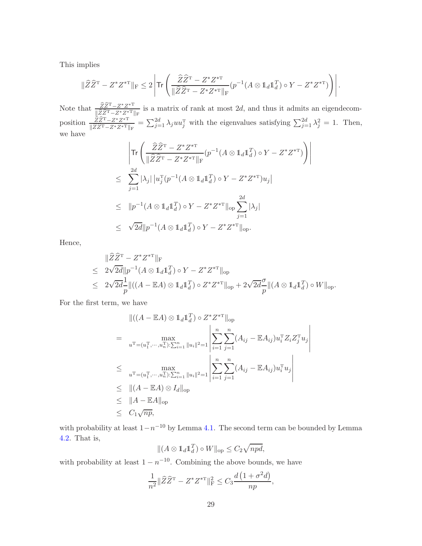This implies

$$
\|\widehat{Z}\widehat{Z}^{\rm T} - Z^*Z^{*\rm T}\|_{\rm F} \leq 2\left|\text{Tr}\left(\frac{\widehat{Z}\widehat{Z}^{\rm T} - Z^*Z^{*\rm T}}{\|\widehat{Z}\widehat{Z}^{\rm T} - Z^*Z^{*\rm T}\|_{\rm F}}(p^{-1}(A\otimes 1_d1_d^T)\circ Y - Z^*Z^{*\rm T})\right)\right|.
$$

Note that  $\frac{\widehat{Z}\widehat{Z}^{T}-Z^{*}Z^{*}^{T}}{\sqrt{\widehat{Z}}\widehat{Z}^{T}-Z^{*}Z^{*}^{T}}$  $\frac{ZZ^{-1}-Z^*Z^{*T}}{\sqrt{ZZ^{-1}-Z^*Z^{*T}}\Vert_F}$  is a matrix of rank at most 2d, and thus it admits an eigendecomposition  $\frac{\widehat{Z}\widehat{Z}^{T}-Z^{*}Z^{*}^{T}}{\sum_{i=1}^{n}Z^{*}Z^{*}^{T}}$  $\frac{ZZ^T - Z^*Z^{*T}}{\|\widehat{Z}\widehat{Z}^T - Z^*Z^{*T}\|_F} = \sum_{j=1}^{2d} \lambda_j u u_j^T$  with the eigenvalues satisfying  $\sum_{j=1}^{2d} \lambda_j^2 = 1$ . Then, we have

$$
\left| \text{Tr} \left( \frac{\widehat{Z}\widehat{Z}^{\text{T}} - Z^* Z^{*\text{T}}}{\|\widehat{Z}\widehat{Z}^{\text{T}} - Z^* Z^{*\text{T}}\|_{\text{F}}} (p^{-1}(A \otimes \mathbb{1}_d \mathbb{1}_d^{\text{T}}) \circ Y - Z^* Z^{*\text{T}}) \right) \right|
$$
  
\n
$$
\leq \sum_{j=1}^{2d} |\lambda_j| |u_j^{\text{T}}(p^{-1}(A \otimes \mathbb{1}_d \mathbb{1}_d^{\text{T}}) \circ Y - Z^* Z^{*\text{T}})u_j|
$$
  
\n
$$
\leq ||p^{-1}(A \otimes \mathbb{1}_d \mathbb{1}_d^{\text{T}}) \circ Y - Z^* Z^{*\text{T}}||_{\text{op}} \sum_{j=1}^{2d} |\lambda_j|
$$
  
\n
$$
\leq \sqrt{2d} ||p^{-1}(A \otimes \mathbb{1}_d \mathbb{1}_d^{\text{T}}) \circ Y - Z^* Z^{*\text{T}}||_{\text{op}}.
$$

Hence,

$$
\|\widehat{Z}\widehat{Z}^{\mathrm{T}} - Z^* Z^{*\mathrm{T}}\|_{\mathrm{F}}
$$
  
\n
$$
\leq 2\sqrt{2d} \|p^{-1}(A \otimes \mathbf{1}_d \mathbf{1}_d^T) \circ Y - Z^* Z^{*\mathrm{T}}\|_{\mathrm{op}}
$$
  
\n
$$
\leq 2\sqrt{2d} \frac{1}{p} \|((A - \mathbb{E}A) \otimes \mathbf{1}_d \mathbf{1}_d^T) \circ Z^* Z^{*\mathrm{T}}\|_{\mathrm{op}} + 2\sqrt{2d} \frac{\sigma}{p} \|(A \otimes \mathbf{1}_d \mathbf{1}_d^T) \circ W\|_{\mathrm{op}}.
$$

 $\begin{array}{c} \hline \end{array}$  $\overline{\phantom{a}}$ I  $\overline{\phantom{a}}$ 

For the first term, we have

$$
\|((A - \mathbb{E}A) \otimes \mathbb{1}_d \mathbb{1}_d^T) \circ Z^* Z^{*\mathrm{T}}\|_{\mathrm{op}}
$$
\n
$$
= \max_{u^{\mathrm{T}} = (u_1^{\mathrm{T}}, \dots, u_n^{\mathrm{T}}): \sum_{i=1}^n \|u_i\|^2 = 1} \left| \sum_{i=1}^n \sum_{j=1}^n (A_{ij} - \mathbb{E}A_{ij}) u_i^{\mathrm{T}} Z_i Z_j^{\mathrm{T}} u_j \right|
$$
\n
$$
\leq \max_{u^{\mathrm{T}} = (u_1^{\mathrm{T}}, \dots, u_n^{\mathrm{T}}): \sum_{i=1}^n \|u_i\|^2 = 1} \left| \sum_{i=1}^n \sum_{j=1}^n (A_{ij} - \mathbb{E}A_{ij}) u_i^{\mathrm{T}} u_j \right|
$$
\n
$$
\leq \| (A - \mathbb{E}A) \otimes I_d \|_{\mathrm{op}}
$$
\n
$$
\leq (A - \mathbb{E}A)_{\mathrm{op}}
$$
\n
$$
\leq C_1 \sqrt{np},
$$

with probability at least  $1-n^{-10}$  by Lemma [4.1.](#page-14-5) The second term can be bounded by Lemma [4.2.](#page-15-0) That is,

$$
\|(A \otimes \mathbb{1}_d \mathbb{1}_d^T) \circ W\|_{\text{op}} \leq C_2 \sqrt{npd},
$$

with probability at least  $1 - n^{-10}$ . Combining the above bounds, we have

$$
\frac{1}{n^2} \|\widehat{Z}\widehat{Z}^{\mathrm{T}} - Z^* Z^{*\mathrm{T}}\|_{\mathrm{F}}^2 \leq C_3 \frac{d\left(1 + \sigma^2 d\right)}{np},
$$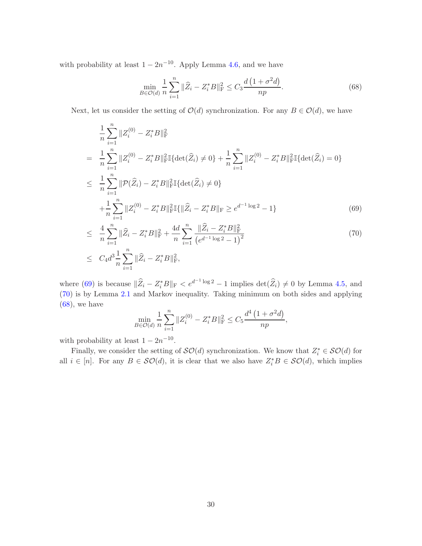with probability at least  $1 - 2n^{-10}$ . Apply Lemma [4.6,](#page-18-0) and we have

<span id="page-29-1"></span>
$$
\min_{B \in \mathcal{O}(d)} \frac{1}{n} \sum_{i=1}^{n} \|\widehat{Z}_i - Z_i^* B\|_{\mathrm{F}}^2 \le C_3 \frac{d\left(1 + \sigma^2 d\right)}{np}.\tag{68}
$$

Next, let us consider the setting of  $\mathcal{O}(d)$  synchronization. For any  $B \in \mathcal{O}(d)$ , we have

<span id="page-29-0"></span>
$$
\frac{1}{n} \sum_{i=1}^{n} \|Z_i^{(0)} - Z_i^* B\|_{\mathrm{F}}^2
$$
\n
$$
= \frac{1}{n} \sum_{i=1}^{n} \|Z_i^{(0)} - Z_i^* B\|_{\mathrm{F}}^2 \mathbb{I} \{ \det(\widehat{Z}_i) \neq 0 \} + \frac{1}{n} \sum_{i=1}^{n} \|Z_i^{(0)} - Z_i^* B\|_{\mathrm{F}}^2 \mathbb{I} \{ \det(\widehat{Z}_i) = 0 \}
$$
\n
$$
\leq \frac{1}{n} \sum_{i=1}^{n} \|\mathcal{P}(\widehat{Z}_i) - Z_i^* B\|_{\mathrm{F}}^2 \mathbb{I} \{ \det(\widehat{Z}_i) \neq 0 \}
$$
\n
$$
+ \frac{1}{n} \sum_{i=1}^{n} \|Z_i^{(0)} - Z_i^* B\|_{\mathrm{F}}^2 \mathbb{I} \{ \|\widehat{Z}_i - Z_i^* B\|_{\mathrm{F}} \ge e^{d^{-1} \log 2} - 1 \}
$$
\n
$$
+ \frac{1}{n} \sum_{i=1}^{n} \|Z_i^{(0)} - Z_i^* B\|_{\mathrm{F}}^2 \mathbb{I} \{ \|\widehat{Z}_i - Z_i^* B\|_{\mathrm{F}} \ge e^{d^{-1} \log 2} - 1 \}
$$
\n
$$
(69)
$$

$$
\leq \frac{4}{n} \sum_{i=1}^{n} \|\widehat{Z}_i - Z_i^* B\|_{\mathrm{F}}^2 + \frac{4d}{n} \sum_{i=1}^{n} \frac{\|\widehat{Z}_i - Z_i^* B\|_{\mathrm{F}}^2}{\left(e^{d-1} \log 2 - 1\right)^2} \leq C_4 d^3 \frac{1}{n} \sum_{i=1}^{n} \|\widehat{Z}_i - Z_i^* B\|_{\mathrm{F}}^2,
$$
\n(70)

where [\(69\)](#page-29-0) is because  $\|\widehat{Z}_i - Z_i^*B\|_{\mathcal{F}} < e^{d^{-1}\log 2} - 1$  implies  $\det(\widehat{Z}_i) \neq 0$  by Lemma [4.5,](#page-18-4) and [\(70\)](#page-29-0) is by Lemma [2.1](#page-6-0) and Markov inequality. Taking minimum on both sides and applying  $(68)$ , we have

$$
\min_{B \in \mathcal{O}(d)} \frac{1}{n} \sum_{i=1}^{n} \|Z_i^{(0)} - Z_i^* B\|_{\mathrm{F}}^2 \le C_5 \frac{d^4 \left(1 + \sigma^2 d\right)}{np},
$$

with probability at least  $1 - 2n^{-10}$ .

Finally, we consider the setting of  $\mathcal{SO}(d)$  synchronization. We know that  $Z_i^* \in \mathcal{SO}(d)$  for all  $i \in [n]$ . For any  $B \in \mathcal{SO}(d)$ , it is clear that we also have  $Z_i^*B \in \mathcal{SO}(d)$ , which implies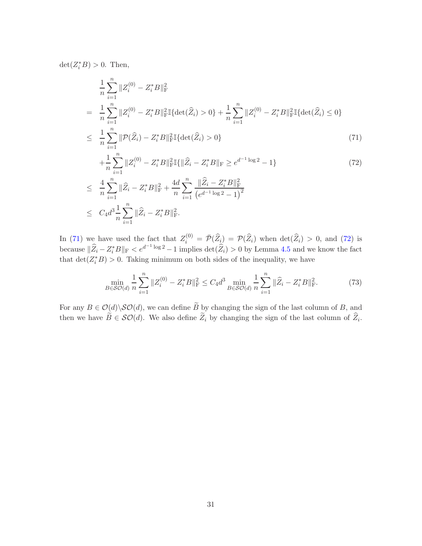$\det(Z_i^*B) > 0$ . Then,

<span id="page-30-0"></span>
$$
\frac{1}{n} \sum_{i=1}^{n} \|Z_{i}^{(0)} - Z_{i}^{*}B\|_{\mathrm{F}}^{2}
$$
\n
$$
= \frac{1}{n} \sum_{i=1}^{n} \|Z_{i}^{(0)} - Z_{i}^{*}B\|_{\mathrm{F}}^{2} \mathbb{I} \{\det(\widehat{Z}_{i}) > 0\} + \frac{1}{n} \sum_{i=1}^{n} \|Z_{i}^{(0)} - Z_{i}^{*}B\|_{\mathrm{F}}^{2} \mathbb{I} \{\det(\widehat{Z}_{i}) \le 0\}
$$
\n
$$
\leq \frac{1}{n} \sum_{i=1}^{n} \|\mathcal{P}(\widehat{Z}_{i}) - Z_{i}^{*}B\|_{\mathrm{F}}^{2} \mathbb{I} \{\det(\widehat{Z}_{i}) > 0\}
$$
\n
$$
+ \frac{1}{n} \sum_{i=1}^{n} \|Z_{i}^{(0)} - Z_{i}^{*}B\|_{\mathrm{F}}^{2} \mathbb{I} \{ \|\widehat{Z}_{i} - Z_{i}^{*}B\|_{\mathrm{F}} \ge e^{d^{-1} \log 2} - 1 \}
$$
\n
$$
\leq \frac{4}{n} \sum_{i=1}^{n} \|\widehat{Z}_{i} - Z_{i}^{*}B\|_{\mathrm{F}}^{2} + \frac{4d}{n} \sum_{i=1}^{n} \frac{\|\widehat{Z}_{i} - Z_{i}^{*}B\|_{\mathrm{F}}^{2}}{(e^{d^{-1} \log 2} - 1)^{2}}
$$
\n
$$
\leq C_{4} d^{3} \frac{1}{n} \sum_{i=1}^{n} \|\widehat{Z}_{i} - Z_{i}^{*}B\|_{\mathrm{F}}^{2}.
$$
\n(72)

In [\(71\)](#page-30-0) we have used the fact that  $Z_i^{(0)} = \overline{\mathcal{P}}(\widehat{Z}_i) = \mathcal{P}(\widehat{Z}_i)$  when  $\det(\widehat{Z}_i) > 0$ , and [\(72\)](#page-30-0) is because  $\|\widehat{Z}_i - Z_i^*B\|_{\mathcal{F}} < e^{d^{-1}\log 2} - 1$  implies  $\det(\widehat{Z}_i) > 0$  by Lemma [4.5](#page-18-4) and we know the fact that  $\det(Z_i^*B) > 0$ . Taking minimum on both sides of the inequality, we have

<span id="page-30-1"></span>
$$
\min_{B \in \mathcal{SO}(d)} \frac{1}{n} \sum_{i=1}^{n} \|Z_i^{(0)} - Z_i^* B\|_{\mathcal{F}}^2 \le C_4 d^3 \min_{B \in \mathcal{SO}(d)} \frac{1}{n} \sum_{i=1}^{n} \|\widehat{Z}_i - Z_i^* B\|_{\mathcal{F}}^2.
$$
\n(73)

For any  $B \in \mathcal{O}(d) \backslash \mathcal{SO}(d)$ , we can define  $\widetilde{B}$  by changing the sign of the last column of B, and then we have  $B \in \mathcal{SO}(d)$ . We also define  $Z_i$  by changing the sign of the last column of  $Z_i$ .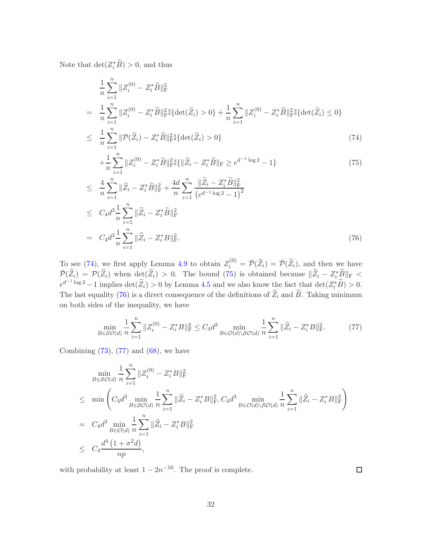Note that  $\det(Z_i^*B) > 0$ , and thus

<span id="page-31-0"></span>
$$
\frac{1}{n} \sum_{i=1}^{n} \|Z_{i}^{(0)} - Z_{i}^{*} \tilde{B}\|_{\mathrm{F}}^{2}
$$
\n
$$
= \frac{1}{n} \sum_{i=1}^{n} \|Z_{i}^{(0)} - Z_{i}^{*} \tilde{B}\|_{\mathrm{F}}^{2} \mathbb{I} \{\det(\tilde{Z}_{i}) > 0\} + \frac{1}{n} \sum_{i=1}^{n} \|Z_{i}^{(0)} - Z_{i}^{*} \tilde{B}\|_{\mathrm{F}}^{2} \mathbb{I} \{\det(\tilde{Z}_{i}) \le 0\}
$$
\n
$$
\leq \frac{1}{n} \sum_{i=1}^{n} \|\mathcal{P}(\tilde{Z}_{i}) - Z_{i}^{*} \tilde{B}\|_{\mathrm{F}}^{2} \mathbb{I} \{\det(\tilde{Z}_{i}) > 0\}
$$
\n
$$
+ \frac{1}{n} \sum_{i=1}^{n} \|Z_{i}^{(0)} - Z_{i}^{*} \tilde{B}\|_{\mathrm{F}}^{2} \mathbb{I} \{\|\tilde{Z}_{i} - Z_{i}^{*} \tilde{B}\|_{\mathrm{F}} \ge e^{d^{-1} \log 2} - 1\}
$$
\n
$$
\leq \frac{4}{n} \sum_{i=1}^{n} \|\tilde{Z}_{i} - Z_{i}^{*} \tilde{B}\|_{\mathrm{F}}^{2} + \frac{4d}{n} \sum_{i=1}^{n} \frac{\|\tilde{Z}_{i} - Z_{i}^{*} \tilde{B}\|_{\mathrm{F}}^{2}}{(e^{d^{-1} \log 2} - 1)^{2}}
$$
\n
$$
\leq C_{4} d^{3} \frac{1}{n} \sum_{i=1}^{n} \|\tilde{Z}_{i} - Z_{i}^{*} \tilde{B}\|_{\mathrm{F}}^{2}
$$
\n
$$
= C_{4} d^{3} \frac{1}{n} \sum_{i=1}^{n} \|\widehat{Z}_{i} - Z_{i}^{*} B\|_{\mathrm{F}}^{2}.
$$
\n
$$
(76)
$$

To see [\(74\)](#page-31-0), we first apply Lemma [4.9](#page-27-1) to obtain  $Z_i^{(0)} = \bar{\mathcal{P}}(\widehat{Z}_i) = \bar{\mathcal{P}}(\widetilde{Z}_i)$ , and then we have  $\overline{\mathcal{P}}(\widetilde{Z}_i) = \mathcal{P}(\widetilde{Z}_i)$  when  $\det(\widetilde{Z}_i) > 0$ . The bound [\(75\)](#page-31-0) is obtained because  $\|\widetilde{Z}_i - Z_i^*\widetilde{B}\|_{\text{F}} <$  $e^{d^{-1}\log 2} - 1$  implies  $\det(\widetilde{Z}_i) > 0$  by Lemma [4.5](#page-18-4) and we also know the fact that  $\det(Z_i^*\widetilde{B}) > 0$ . The last equality [\(76\)](#page-31-0) is a direct consequence of the definitions of  $\widetilde{Z}_i$  and  $\widetilde{B}$ . Taking minimum on both sides of the inequality, we have

<span id="page-31-1"></span>
$$
\min_{B \in \mathcal{SO}(d)} \frac{1}{n} \sum_{i=1}^{n} \|Z_i^{(0)} - Z_i^* B\|_{\mathcal{F}}^2 \le C_4 d^3 \min_{B \in \mathcal{O}(d) \setminus \mathcal{SO}(d)} \frac{1}{n} \sum_{i=1}^{n} \|\widehat{Z}_i - Z_i^* B\|_{\mathcal{F}}^2. \tag{77}
$$

Combining  $(73)$ ,  $(77)$  and  $(68)$ , we have

$$
\min_{B \in \mathcal{SO}(d)} \frac{1}{n} \sum_{i=1}^{n} \|Z_i^{(0)} - Z_i^* B\|_{\mathrm{F}}^2
$$
\n
$$
\leq \min \left( C_4 d^3 \min_{B \in \mathcal{SO}(d)} \frac{1}{n} \sum_{i=1}^{n} \|\widehat{Z}_i - Z_i^* B\|_{\mathrm{F}}^2, C_4 d^3 \min_{B \in \mathcal{O}(d) \setminus \mathcal{SO}(d)} \frac{1}{n} \sum_{i=1}^{n} \|\widehat{Z}_i - Z_i^* B\|_{\mathrm{F}}^2 \right)
$$
\n
$$
= C_4 d^3 \min_{B \in \mathcal{O}(d)} \frac{1}{n} \sum_{i=1}^{n} \|\widehat{Z}_i - Z_i^* B\|_{\mathrm{F}}^2
$$
\n
$$
\leq C_4 \frac{d^4 \left(1 + \sigma^2 d\right)}{np},
$$

with probability at least  $1 - 2n^{-10}$ . The proof is complete.

 $\Box$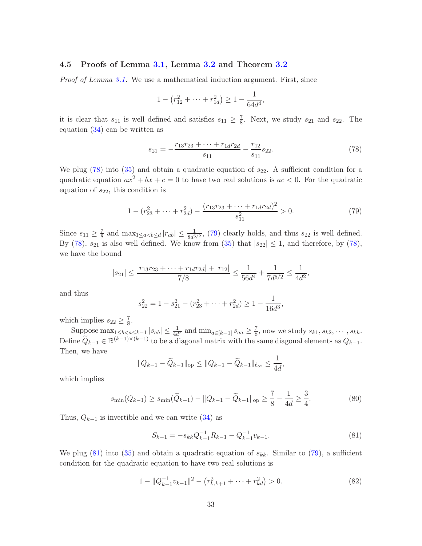## <span id="page-32-0"></span>4.5 Proofs of Lemma [3.1,](#page-13-0) Lemma [3.2](#page-14-4) and Theorem [3.2](#page-14-1)

Proof of Lemma [3.1.](#page-13-0) We use a mathematical induction argument. First, since

$$
1 - (r_{12}^2 + \dots + r_{1d}^2) \ge 1 - \frac{1}{64d^4},
$$

it is clear that  $s_{11}$  is well defined and satisfies  $s_{11} \geq \frac{7}{8}$  $\frac{7}{8}$ . Next, we study  $s_{21}$  and  $s_{22}$ . The equation [\(34\)](#page-13-1) can be written as

<span id="page-32-1"></span>
$$
s_{21} = -\frac{r_{13}r_{23} + \dots + r_{1d}r_{2d}}{s_{11}} - \frac{r_{12}}{s_{11}}s_{22}.
$$
 (78)

We plug  $(78)$  into  $(35)$  and obtain a quadratic equation of  $s_{22}$ . A sufficient condition for a quadratic equation  $ax^2 + bx + c = 0$  to have two real solutions is  $ac < 0$ . For the quadratic equation of  $s_{22}$ , this condition is

<span id="page-32-2"></span>
$$
1 - (r_{23}^2 + \dots + r_{2d}^2) - \frac{(r_{13}r_{23} + \dots + r_{1d}r_{2d})^2}{s_{11}^2} > 0.
$$
 (79)

Since  $s_{11} \geq \frac{7}{8}$  and  $\max_{1 \leq a < b \leq d} |r_{ab}| \leq \frac{1}{8d^{5/2}}$ , [\(79\)](#page-32-2) clearly holds, and thus  $s_{22}$  is well defined. By [\(78\)](#page-32-1),  $s_{21}$  is also well defined. We know from [\(35\)](#page-13-1) that  $|s_{22}| \leq 1$ , and therefore, by (78), we have the bound

$$
|s_{21}|\leq \frac{|r_{13}r_{23}+\cdots+r_{1d}r_{2d}|+|r_{12}|}{7/8}\leq \frac{1}{56d^4}+\frac{1}{7d^{5/2}}\leq \frac{1}{4d^2},
$$

and thus

$$
s_{22}^2 = 1 - s_{21}^2 - (r_{23}^2 + \dots + r_{2d}^2) \ge 1 - \frac{1}{16d^3}
$$

which implies  $s_{22} \geq \frac{7}{8}$ .

Suppose  $\max_{1 \leq b < a \leq k-1} |s_{ab}| \leq \frac{1}{4d^2}$  and  $\min_{a \in [k-1]} s_{aa} \geq \frac{7}{8}$  $\frac{7}{8}$ , now we study  $s_{k1}, s_{k2}, \cdots, s_{kk}$ . Define  $\widetilde{Q}_{k-1} \in \mathbb{R}^{(k-1)\times (k-1)}$  to be a diagonal matrix with the same diagonal elements as  $Q_{k-1}$ . Then, we have

$$
||Q_{k-1} - \widetilde{Q}_{k-1}||_{\text{op}} \le ||Q_{k-1} - \widetilde{Q}_{k-1}||_{\ell_{\infty}} \le \frac{1}{4d},
$$

which implies

<span id="page-32-4"></span>
$$
s_{\min}(Q_{k-1}) \ge s_{\min}(\widetilde{Q}_{k-1}) - ||Q_{k-1} - \widetilde{Q}_{k-1}||_{\text{op}} \ge \frac{7}{8} - \frac{1}{4d} \ge \frac{3}{4}.
$$
 (80)

Thus,  $Q_{k-1}$  is invertible and we can write [\(34\)](#page-13-1) as

<span id="page-32-3"></span>
$$
S_{k-1} = -s_{kk} Q_{k-1}^{-1} R_{k-1} - Q_{k-1}^{-1} v_{k-1}.
$$
\n(81)

,

We plug [\(81\)](#page-32-3) into [\(35\)](#page-13-1) and obtain a quadratic equation of  $s_{kk}$ . Similar to [\(79\)](#page-32-2), a sufficient condition for the quadratic equation to have two real solutions is

<span id="page-32-5"></span>
$$
1 - \|Q_{k-1}^{-1}v_{k-1}\|^2 - \left(r_{k,k+1}^2 + \dots + r_{kd}^2\right) > 0. \tag{82}
$$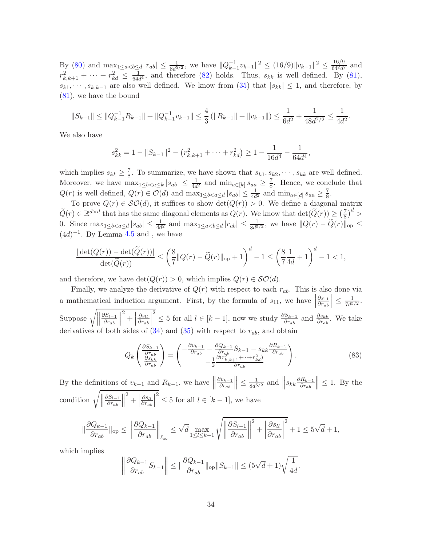By [\(80\)](#page-32-4) and  $\max_{1 \leq a < b \leq d} |r_{ab}| \leq \frac{1}{8d^{5/2}}$ , we have  $||Q_{k-}^{-1}|$  $\frac{-1}{k-1}v_{k-1}\|^2 \leq (16/9)\|v_{k-1}\|^2 \leq \frac{16/9}{64^2d^6}$  $rac{10/9}{64^2 d^7}$  and  $r_{k,k+1}^2 + \cdots + r_{kd}^2 \leq \frac{1}{64d}$  $\frac{1}{64d^4}$ , and therefore [\(82\)](#page-32-5) holds. Thus,  $s_{kk}$  is well defined. By [\(81\)](#page-32-3),  $s_{k1}, \dots, s_{k,k-1}$  are also well defined. We know from [\(35\)](#page-13-1) that  $|s_{kk}| \leq 1$ , and therefore, by [\(81\)](#page-32-3), we have the bound

$$
||S_{k-1}|| \le ||Q_{k-1}^{-1}R_{k-1}|| + ||Q_{k-1}^{-1}v_{k-1}|| \le \frac{4}{3} \left( ||R_{k-1}|| + ||v_{k-1}|| \right) \le \frac{1}{6d^2} + \frac{1}{48d^{7/2}} \le \frac{1}{4d^2}.
$$

We also have

$$
s_{kk}^2 = 1 - ||S_{k-1}||^2 - (r_{k,k+1}^2 + \dots + r_{kd}^2) \ge 1 - \frac{1}{16d^4} - \frac{1}{64d^4},
$$

which implies  $s_{kk} \geq \frac{7}{8}$  $\frac{7}{8}$ . To summarize, we have shown that  $s_{k1}, s_{k2}, \cdots, s_{kk}$  are well defined. Moreover, we have  $\max_{1 \leq b < a \leq k} |s_{ab}| \leq \frac{1}{4d^2}$  and  $\min_{a \in [k]} s_{aa} \geq \frac{7}{8}$  $\frac{7}{8}$ . Hence, we conclude that  $Q(r)$  is well defined,  $Q(r) \in \mathcal{O}(d)$  and  $\max_{1 \leq b < a \leq d} |s_{ab}| \leq \frac{1}{4d^2}$  and  $\min_{a \in [d]} s_{aa} \geq \frac{7}{8}$  $\frac{7}{8}$ .

To prove  $Q(r) \in \mathcal{SO}(d)$ , it suffices to show  $\det(Q(r)) > 0$ . We define a diagonal matrix  $\widetilde{Q}(r) \in \mathbb{R}^{d \times d}$  that has the same diagonal elements as  $Q(r)$ . We know that  $\det(\widetilde{Q}(r)) \geq \left(\frac{7}{8}\right)^{d}$  $\left(\frac{7}{8}\right)^d$ 0. Since  $\max_{1 \leq b < a \leq d} |s_{ab}| \leq \frac{1}{4d^2}$  and  $\max_{1 \leq a < b \leq d} |r_{ab}| \leq \frac{1}{8d^{5/2}}$ , we have  $||Q(r) - \widetilde{Q}(r)||_{\text{op}} \leq$  $(4d)^{-1}$ . By Lemma [4.5](#page-18-4) and, we have

$$
\frac{|\det(Q(r)) - \det(\widetilde{Q}(r))|}{|\det(\widetilde{Q}(r))|} \le \left(\frac{8}{7}||Q(r) - \widetilde{Q}(r)||_{\text{op}} + 1\right)^d - 1 \le \left(\frac{8}{7}\frac{1}{4d} + 1\right)^d - 1 < 1,
$$

and therefore, we have  $\det(Q(r)) > 0$ , which implies  $Q(r) \in \mathcal{SO}(d)$ .

Finally, we analyze the derivative of  $Q(r)$  with respect to each  $r_{ab}$ . This is also done via a mathematical induction argument. First, by the formula of  $s_{11}$ , we have  $\partial s_{11}$  $\partial r_{ab}$  $\left| \right. \leq \frac{1}{7d^5}$  $\frac{1}{7d^{5/2}}$ . Suppose  $\sqrt{\Big\|}$  $\partial S_{l-1}$  $\partial r_{ab}$   $\left| \begin{array}{c} 2 \\ + \end{array} \right|$  $\partial s_{ll}$  $\partial r_{ab}$  <sup>2</sup> ≤ 5 for all  $l \in [k-1]$ , now we study  $\frac{\partial S_{k-1}}{\partial r_{ab}}$  and  $\frac{\partial s_{kk}}{\partial r_{ab}}$ . We take derivatives of both sides of  $(34)$  and  $(35)$  with respect to  $r_{ab}$ , and obtain

<span id="page-33-0"></span>
$$
Q_k \left( \frac{\frac{\partial S_{k-1}}{\partial r_{ab}}}{\frac{\partial S_{k}}{\partial r_{ab}}} \right) = \left( \frac{-\frac{\partial v_{k-1}}{\partial r_{ab}} - \frac{\partial Q_{k-1}}{\partial r_{ab}} S_{k-1} - s_{kk} \frac{\partial R_{k-1}}{\partial r_{ab}}}{-\frac{1}{2} \frac{\partial (r_{k,k+1}^2 + \dots + r_{kd}^2)}{\partial r_{ab}}} \right). \tag{83}
$$

By the definitions of  $v_{k-1}$  and  $R_{k-1}$ , we have  $\parallel$  $\partial v_{k-1}$  $\partial r_{ab}$  $\Big\| \leq \frac{1}{8d^5}$  $rac{1}{8d^{5/2}}$  and  $||s_{kk} \frac{\partial R_{k-1}}{\partial r_{ab}}$  $\partial r_{ab}$  $\Big\| \leq 1$ . By the condition  $\sqrt{\Big\|}$  $\partial S_{l-1}$  $\partial r_{ab}$   $\left| \begin{array}{c} 2 \\ + \end{array} \right|$  $\partial s_{ll}$  $\partial r_{ab}$  <sup>2</sup>  $\leq$  5 for all  $l \in [k-1]$ , we have

$$
\|\frac{\partial Q_{k-1}}{\partial r_{ab}}\|_{\text{op}} \leq \left\|\frac{\partial Q_{k-1}}{\partial r_{ab}}\right\|_{\ell_{\infty}} \leq \sqrt{d} \max_{1 \leq l \leq k-1} \sqrt{\left\|\frac{\partial S_{l-1}}{\partial r_{ab}}\right\|^{2} + \left|\frac{\partial s_{ll}}{\partial r_{ab}}\right|^{2}} + 1 \leq 5\sqrt{d} + 1,
$$

which implies

$$
\left\|\frac{\partial Q_{k-1}}{\partial r_{ab}}S_{k-1}\right\| \le \|\frac{\partial Q_{k-1}}{\partial r_{ab}}\|_{\text{op}}\|S_{k-1}\| \le (5\sqrt{d}+1)\sqrt{\frac{1}{4d}}.
$$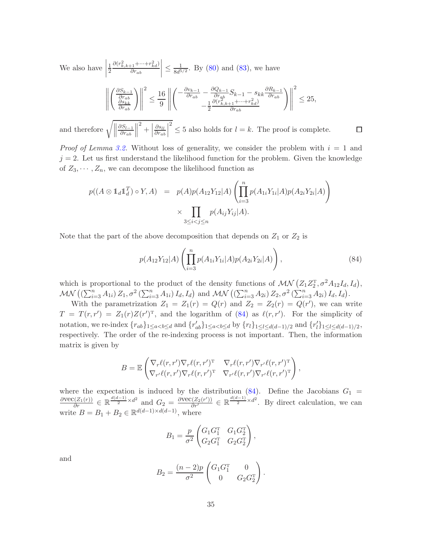We also have 1 2  $\partial(r_{k,k+1}^2 + \cdots + r_{kd}^2)$  $\partial r_{ab}$  $\leq \frac{1}{8d^5}$  $\frac{1}{8d^{5/2}}$ . By [\(80\)](#page-32-4) and [\(83\)](#page-33-0), we have

$$
\left\| \left( \frac{\frac{\partial S_{k-1}}{\partial r_{ab}}}{\frac{\partial S_{kk}}{\partial r_{ab}}} \right) \right\|^2 \leq \frac{16}{9} \left\| \left( \frac{-\frac{\partial v_{k-1}}{\partial r_{ab}} - \frac{\partial Q_{k-1}}{\partial r_{ab}} S_{k-1} - S_{kk} \frac{\partial R_{k-1}}{\partial r_{ab}}}{-\frac{1}{2} \frac{\partial (r_{k,k+1}^2 + \dots + r_{kd}^2)}{\partial r_{ab}}} - \frac{1}{2} \frac{\partial (r_{k,k+1}^2 + \dots + r_{kd}^2)}{\partial r_{ab}} \right)^2 \right\|^2 \leq 25,
$$

and therefore  $\sqrt{\mathcal{L}}$  $\partial S_{l-1}$  $\partial r_{ab}$  $\parallel^2 + \parallel$  $\partial s_{ll}$  $\partial r_{ab}$  $\int_{0}^{2} \leq 5$  also holds for  $l = k$ . The proof is complete.

*Proof of Lemma [3.2.](#page-14-4)* Without loss of generality, we consider the problem with  $i = 1$  and  $j = 2$ . Let us first understand the likelihood function for the problem. Given the knowledge of  $Z_3, \dots, Z_n$ , we can decompose the likelihood function as

$$
p((A \otimes 1_d 1_d^T) \circ Y, A) = p(A)p(A_{12}Y_{12}|A) \left( \prod_{i=3}^n p(A_{1i}Y_{1i}|A)p(A_{2i}Y_{2i}|A) \right) \times \prod_{3 \le i < j \le n} p(A_{ij}Y_{ij}|A).
$$

Note that the part of the above decomposition that depends on  $Z_1$  or  $Z_2$  is

<span id="page-34-0"></span>
$$
p(A_{12}Y_{12}|A)\left(\prod_{i=3}^{n}p(A_{1i}Y_{1i}|A)p(A_{2i}Y_{2i}|A)\right),\tag{84}
$$

 $\Box$ 

which is proportional to the product of the density functions of  $\mathcal{MN} (Z_1 Z_2^T, \sigma^2 A_{12} I_d, I_d)$ ,  $MN ((\sum_{i=3}^{n} A_{1i}) Z_1, \sigma^2 (\sum_{i=3}^{n} A_{1i}) I_d, I_d)$  and  $MN ((\sum_{i=3}^{n} A_{2i}) Z_2, \sigma^2 (\sum_{i=3}^{n} A_{2i}) I_d, I_d)$ .

With the parametrization  $Z_1 = Z_1(r) = Q(r)$  and  $Z_2 = Z_2(r) = Q(r')$ , we can write  $T = T(r,r') = Z_1(r)Z(r')^T$ , and the logarithm of [\(84\)](#page-34-0) as  $\ell(r,r')$ . For the simplicity of notation, we re-index  $\{r_{ab}\}_{1\leq a and  $\{r'_{ab}\}_{1\leq a by  $\{r_l\}_{1\leq l\leq d(d-1)/2}$  and  $\{r'_l\}_{1\leq l\leq d(d-1)/2}$ ,$$ respectively. The order of the re-indexing process is not important. Then, the information matrix is given by

$$
B = \mathbb{E}\left(\nabla_r \ell(r,r')\nabla_r \ell(r,r')^{\mathrm{T}} \nabla_r \ell(r,r')\nabla_{r'} \ell(r,r')^{\mathrm{T}} \right),\,
$$
  

$$
\nabla_{r'} \ell(r,r')\nabla_r \ell(r,r')^{\mathrm{T}} \nabla_{r'} \ell(r,r')\nabla_{r'} \ell(r,r')^{\mathrm{T}}\right),
$$

where the expectation is induced by the distribution  $(84)$ . Define the Jacobians  $G_1$  =  $\frac{\partial \text{vec}(Z_1(r))}{\partial r} \in \mathbb{R}^{\frac{d(d-1)}{2} \times d^2}$  and  $G_2 = \frac{\partial \text{vec}(Z_2(r'))}{\partial r'} \in \mathbb{R}^{\frac{d(d-1)}{2} \times d^2}$ . By direct calculation, we can write  $B = B_1 + B_2 \in \mathbb{R}^{d(d-1)\times d(d-1)}$ , where

$$
B_1 = \frac{p}{\sigma^2} \begin{pmatrix} G_1 G_1^{\mathrm{T}} & G_1 G_2^{\mathrm{T}} \\ G_2 G_1^{\mathrm{T}} & G_2 G_2^{\mathrm{T}} \end{pmatrix},
$$

and

$$
B_2 = \frac{(n-2)p}{\sigma^2} \begin{pmatrix} G_1 G_1^{\mathrm{T}} & 0 \\ 0 & G_2 G_2^{\mathrm{T}} \end{pmatrix}.
$$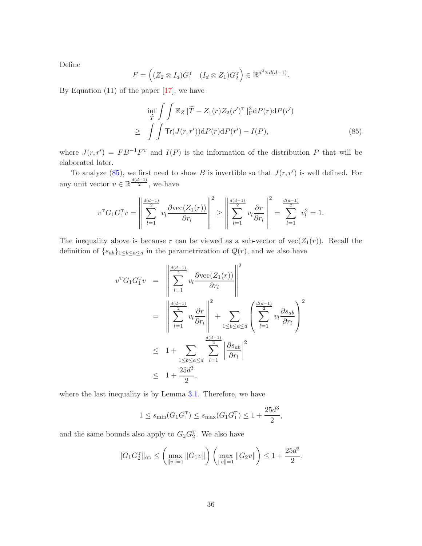Define

$$
F = \left( (Z_2 \otimes I_d) G_1^{\mathrm{T}} \quad (I_d \otimes Z_1) G_2^{\mathrm{T}} \right) \in \mathbb{R}^{d^2 \times d(d-1)}.
$$

By Equation  $(11)$  of the paper  $[17]$ , we have

<span id="page-35-0"></span>
$$
\inf_{\widehat{T}} \int \int \mathbb{E}_Z ||\widehat{T} - Z_1(r)Z_2(r')^{\mathrm{T}}||_{\mathrm{F}}^2 \mathrm{d}P(r) \mathrm{d}P(r')
$$
\n
$$
\geq \int \int \mathrm{Tr}(J(r,r')) \mathrm{d}P(r) \mathrm{d}P(r') - I(P), \tag{85}
$$

where  $J(r, r') = FB^{-1}F^{T}$  and  $I(P)$  is the information of the distribution P that will be elaborated later.

To analyze  $(85)$ , we first need to show B is invertible so that  $J(r, r')$  is well defined. For any unit vector  $v \in \mathbb{R}^{\frac{d(d-1)}{2}}$ , we have

$$
v^{T}G_{1}G_{1}^{T}v = \left\| \sum_{l=1}^{\frac{d(d-1)}{2}} v_{l} \frac{\partial \text{vec}(Z_{1}(r))}{\partial r_{l}} \right\|^{2} \ge \left\| \sum_{l=1}^{\frac{d(d-1)}{2}} v_{l} \frac{\partial r}{\partial r_{l}} \right\|^{2} = \sum_{l=1}^{\frac{d(d-1)}{2}} v_{l}^{2} = 1.
$$

The inequality above is because r can be viewed as a sub-vector of  $vec(Z_1(r))$ . Recall the definition of  $\{s_{ab}\}_{1\leq b\leq a\leq d}$  in the parametrization of  $Q(r)$ , and we also have

$$
v^{T}G_{1}G_{1}^{T}v = \left\| \sum_{l=1}^{\frac{d(d-1)}{2}} v_{l} \frac{\partial \text{vec}(Z_{1}(r))}{\partial r_{l}} \right\|^{2}
$$
  

$$
= \left\| \sum_{l=1}^{\frac{d(d-1)}{2}} v_{l} \frac{\partial r}{\partial r_{l}} \right\|^{2} + \sum_{1 \leq b \leq a \leq d} \left( \sum_{l=1}^{\frac{d(d-1)}{2}} v_{l} \frac{\partial s_{ab}}{\partial r_{l}} \right)^{2}
$$
  

$$
\leq 1 + \sum_{1 \leq b \leq a \leq d} \sum_{l=1}^{\frac{d(d-1)}{2}} \left| \frac{\partial s_{ab}}{\partial r_{l}} \right|^{2}
$$
  

$$
\leq 1 + \frac{25d^{3}}{2},
$$

where the last inequality is by Lemma [3.1.](#page-13-0) Therefore, we have

$$
1 \le s_{\min}(G_1 G_1^{\mathrm{T}}) \le s_{\max}(G_1 G_1^{\mathrm{T}}) \le 1 + \frac{25d^3}{2},
$$

and the same bounds also apply to  $G_2G_2^T$ . We also have

$$
||G_1 G_2^{\mathrm{T}}||_{\mathrm{op}} \le \left(\max_{||v||=1} ||G_1 v||\right) \left(\max_{||v||=1} ||G_2 v||\right) \le 1 + \frac{25d^3}{2}.
$$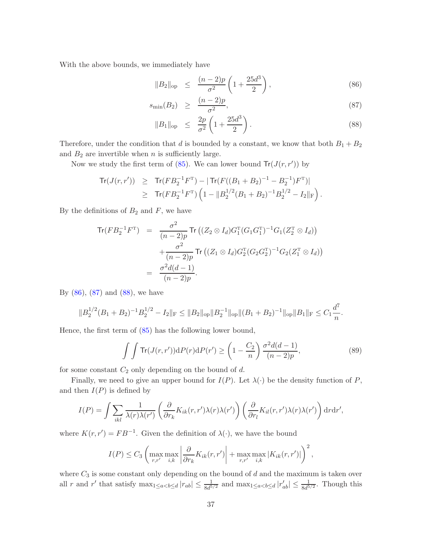With the above bounds, we immediately have

<span id="page-36-0"></span>
$$
||B_2||_{op} \le \frac{(n-2)p}{\sigma^2} \left( 1 + \frac{25d^3}{2} \right), \tag{86}
$$

$$
s_{\min}(B_2) \ge \frac{(n-2)p}{\sigma^2},\tag{87}
$$

$$
||B_1||_{op} \le \frac{2p}{\sigma^2} \left( 1 + \frac{25d^3}{2} \right). \tag{88}
$$

Therefore, under the condition that d is bounded by a constant, we know that both  $B_1 + B_2$ and  $B_2$  are invertible when n is sufficiently large.

Now we study the first term of  $(85)$ . We can lower bound  $Tr(J(r, r'))$  by

$$
\begin{array}{lcl} \mathsf{Tr}(J(r,r')) & \geq & \mathsf{Tr}(FB_2^{-1}F^{\mathrm{T}}) - |\mathsf{Tr}(F((B_1 + B_2)^{-1} - B_2^{-1})F^{\mathrm{T}})| \\ & \geq & \mathsf{Tr}(FB_2^{-1}F^{\mathrm{T}}) \left(1 - \|B_2^{1/2}(B_1 + B_2)^{-1}B_2^{1/2} - I_2\|_{\mathrm{F}}\right). \end{array}
$$

By the definitions of  $B_2$  and  $F$ , we have

$$
\text{Tr}(FB_2^{-1}F^{\text{T}}) = \frac{\sigma^2}{(n-2)p} \text{Tr}\left((Z_2 \otimes I_d)G_1^{\text{T}}(G_1G_1^{\text{T}})^{-1}G_1(Z_2^{\text{T}} \otimes I_d)\right) \n+ \frac{\sigma^2}{(n-2)p} \text{Tr}\left((Z_1 \otimes I_d)G_2^{\text{T}}(G_2G_2^{\text{T}})^{-1}G_2(Z_1^{\text{T}} \otimes I_d)\right) \n= \frac{\sigma^2d(d-1)}{(n-2)p}.
$$

By  $(86)$ ,  $(87)$  and  $(88)$ , we have

$$
||B_2^{1/2}(B_1+B_2)^{-1}B_2^{1/2}-I_2||_F \le ||B_2||_{op}||B_2^{-1}||_{op}||(B_1+B_2)^{-1}||_{op}||B_1||_F \le C_1\frac{d^7}{n}.
$$

Hence, the first term of [\(85\)](#page-35-0) has the following lower bound,

<span id="page-36-1"></span>
$$
\int \int \text{Tr}(J(r,r'))\mathrm{d}P(r)\mathrm{d}P(r') \ge \left(1 - \frac{C_2}{n}\right)\frac{\sigma^2 d(d-1)}{(n-2)p},\tag{89}
$$

for some constant  $C_2$  only depending on the bound of d.

Finally, we need to give an upper bound for  $I(P)$ . Let  $\lambda(\cdot)$  be the density function of P, and then  $I(P)$  is defined by

$$
I(P) = \int \sum_{ikl} \frac{1}{\lambda(r)\lambda(r')} \left( \frac{\partial}{\partial r_k} K_{ik}(r, r')\lambda(r)\lambda(r') \right) \left( \frac{\partial}{\partial r_l} K_{il}(r, r')\lambda(r)\lambda(r') \right) dr dr',
$$

where  $K(r, r') = FB^{-1}$ . Given the definition of  $\lambda(\cdot)$ , we have the bound

$$
I(P) \leq C_3 \left( \max_{r,r'} \max_{i,k} \left| \frac{\partial}{\partial r_k} K_{ik}(r,r') \right| + \max_{r,r'} \max_{i,k} |K_{ik}(r,r')| \right)^2,
$$

where  $C_3$  is some constant only depending on the bound of  $d$  and the maximum is taken over all r and r' that satisfy  $\max_{1 \leq a < b \leq d} |r_{ab}| \leq \frac{1}{8d^{5/2}}$  and  $\max_{1 \leq a < b \leq d} |r'_{ab}| \leq \frac{1}{8d^{5/2}}$ . Though this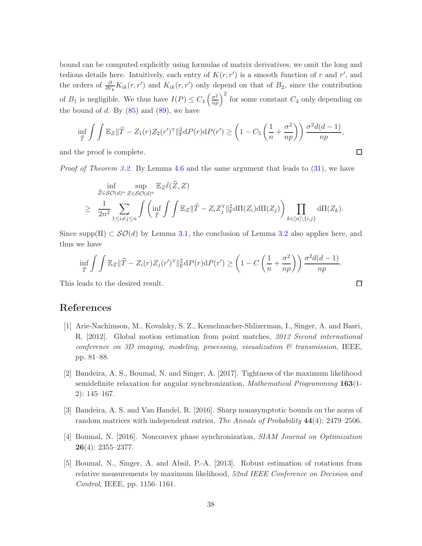bound can be computed explicitly using formulas of matrix derivatives, we omit the long and tedious details here. Intuitively, each entry of  $K(r, r')$  is a smooth function of r and r', and the orders of  $\frac{\partial}{\partial r_k} K_{ik}(r,r')$  and  $K_{ik}(r,r')$  only depend on that of  $B_2$ , since the contribution of  $B_1$  is negligible. We thus have  $I(P) \leq C_4 \left(\frac{\sigma^2}{np}\right)^2$  for some constant  $C_4$  only depending on the bound of d. By  $(85)$  and  $(89)$ , we have

$$
\inf_{\widehat{T}} \int \int \mathbb{E}_Z ||\widehat{T} - Z_1(r)Z_2(r')^{\mathrm{T}}||_{\mathrm{F}}^2 dP(r) dP(r') \ge \left(1 - C_5 \left(\frac{1}{n} + \frac{\sigma^2}{np}\right)\right) \frac{\sigma^2 d(d-1)}{np},
$$

 $\Box$ 

 $\Box$ 

and the proof is complete.

Proof of Theorem [3.2.](#page-14-1) By Lemma [4.6](#page-18-0) and the same argument that leads to [\(31\)](#page-12-2), we have

$$
\inf_{\widehat{Z}\in\mathcal{SO}(d)^n}\sup_{Z\in\mathcal{SO}(d)^n}\mathbb{E}_{Z}\overline{\ell}(\widehat{Z},Z)
$$
\n
$$
\geq \frac{1}{2n^2}\sum_{1\leq i\neq j\leq n}\int\left(\inf_{\widehat{T}}\int\int\mathbb{E}_{Z}\|\widehat{T}-Z_{i}Z_{j}^{\mathrm{T}}\|_{\mathrm{F}}^2\mathrm{d}\Pi(Z_{i})\mathrm{d}\Pi(Z_{j})\right)\prod_{k\in[n]\backslash\{i,j\}}\mathrm{d}\Pi(Z_{k}).
$$

Since supp $(\Pi) \subset \mathcal{SO}(d)$  by Lemma [3.1,](#page-13-0) the conclusion of Lemma [3.2](#page-14-4) also applies here, and thus we have

$$
\inf_{\widehat{T}} \int \int \mathbb{E}_Z ||\widehat{T} - Z_i(r)Z_j(r')^{\mathrm{T}}||_{\mathrm{F}}^2 dP(r) dP(r') \ge \left(1 - C\left(\frac{1}{n} + \frac{\sigma^2}{np}\right)\right) \frac{\sigma^2 d(d-1)}{np}.
$$

This leads to the desired result.

# References

- <span id="page-37-0"></span>[1] Arie-Nachimson, M., Kovalsky, S. Z., Kemelmacher-Shlizerman, I., Singer, A. and Basri, R. [2012]. Global motion estimation from point matches, 2012 Second international conference on 3D imaging, modeling, processing, visualization  $\mathcal{B}$  transmission, IEEE, pp. 81–88.
- <span id="page-37-3"></span>[2] Bandeira, A. S., Boumal, N. and Singer, A. [2017]. Tightness of the maximum likelihood semidefinite relaxation for angular synchronization, Mathematical Programming 163(1- 2): 145–167.
- <span id="page-37-4"></span>[3] Bandeira, A. S. and Van Handel, R. [2016]. Sharp nonasymptotic bounds on the norm of random matrices with independent entries, The Annals of Probability 44(4): 2479–2506.
- <span id="page-37-1"></span>[4] Boumal, N. [2016]. Nonconvex phase synchronization, SIAM Journal on Optimization 26(4): 2355–2377.
- <span id="page-37-2"></span>[5] Boumal, N., Singer, A. and Absil, P.-A. [2013]. Robust estimation of rotations from relative measurements by maximum likelihood, 52nd IEEE Conference on Decision and Control, IEEE, pp. 1156–1161.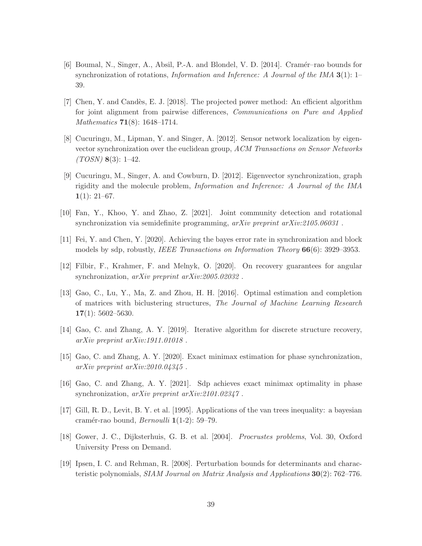- <span id="page-38-5"></span>[6] Boumal, N., Singer, A., Absil, P.-A. and Blondel, V. D. [2014]. Cramér–rao bounds for synchronization of rotations, *Information and Inference: A Journal of the IMA*  $3(1)$ : 1– 39.
- <span id="page-38-3"></span>[7] Chen, Y. and Cand`es, E. J. [2018]. The projected power method: An efficient algorithm for joint alignment from pairwise differences, Communications on Pure and Applied Mathematics 71(8): 1648–1714.
- <span id="page-38-0"></span>[8] Cucuringu, M., Lipman, Y. and Singer, A. [2012]. Sensor network localization by eigenvector synchronization over the euclidean group, ACM Transactions on Sensor Networks  $(TOSN)$  8(3): 1–42.
- <span id="page-38-1"></span>[9] Cucuringu, M., Singer, A. and Cowburn, D. [2012]. Eigenvector synchronization, graph rigidity and the molecule problem, Information and Inference: A Journal of the IMA  $1(1): 21-67.$
- <span id="page-38-8"></span>[10] Fan, Y., Khoo, Y. and Zhao, Z. [2021]. Joint community detection and rotational synchronization via semidefinite programming,  $arXiv$  preprint  $arXiv:2105.06031$ .
- <span id="page-38-6"></span>[11] Fei, Y. and Chen, Y. [2020]. Achieving the bayes error rate in synchronization and block models by sdp, robustly, IEEE Transactions on Information Theory 66(6): 3929–3953.
- <span id="page-38-11"></span>[12] Filbir, F., Krahmer, F. and Melnyk, O. [2020]. On recovery guarantees for angular synchronization, arXiv preprint arXiv:2005.02032 .
- <span id="page-38-12"></span>[13] Gao, C., Lu, Y., Ma, Z. and Zhou, H. H. [2016]. Optimal estimation and completion of matrices with biclustering structures, The Journal of Machine Learning Research  $17(1): 5602 - 5630.$
- <span id="page-38-2"></span>[14] Gao, C. and Zhang, A. Y. [2019]. Iterative algorithm for discrete structure recovery, arXiv preprint arXiv:1911.01018 .
- <span id="page-38-9"></span>[15] Gao, C. and Zhang, A. Y. [2020]. Exact minimax estimation for phase synchronization,  $arXiv$  preprint  $arXiv:2010.04345$ .
- <span id="page-38-7"></span>[16] Gao, C. and Zhang, A. Y. [2021]. Sdp achieves exact minimax optimality in phase synchronization, arXiv preprint arXiv:2101.02347.
- <span id="page-38-4"></span>[17] Gill, R. D., Levit, B. Y. et al. [1995]. Applications of the van trees inequality: a bayesian cramér-rao bound, Bernoulli  $1(1-2)$ : 59–79.
- <span id="page-38-10"></span>[18] Gower, J. C., Dijksterhuis, G. B. et al. [2004]. Procrustes problems, Vol. 30, Oxford University Press on Demand.
- <span id="page-38-13"></span>[19] Ipsen, I. C. and Rehman, R. [2008]. Perturbation bounds for determinants and characteristic polynomials, SIAM Journal on Matrix Analysis and Applications 30(2): 762–776.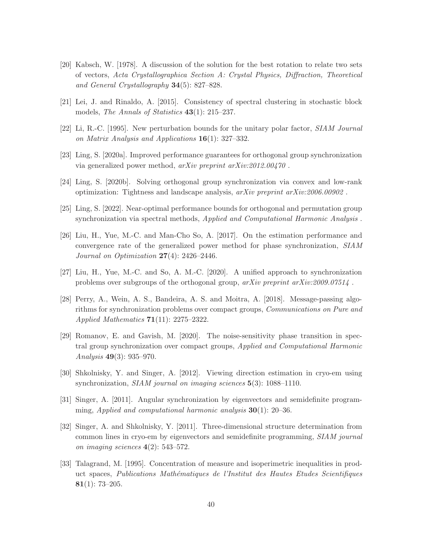- <span id="page-39-11"></span>[20] Kabsch, W. [1978]. A discussion of the solution for the best rotation to relate two sets of vectors, Acta Crystallographica Section A: Crystal Physics, Diffraction, Theoretical and General Crystallography 34(5): 827–828.
- <span id="page-39-12"></span>[21] Lei, J. and Rinaldo, A. [2015]. Consistency of spectral clustering in stochastic block models, The Annals of Statistics 43(1): 215–237.
- <span id="page-39-10"></span>[22] Li, R.-C. [1995]. New perturbation bounds for the unitary polar factor, SIAM Journal on Matrix Analysis and Applications  $16(1)$ : 327–332.
- <span id="page-39-2"></span>[23] Ling, S. [2020a]. Improved performance guarantees for orthogonal group synchronization via generalized power method, arXiv preprint arXiv:2012.00470 .
- <span id="page-39-5"></span>[24] Ling, S. [2020b]. Solving orthogonal group synchronization via convex and low-rank optimization: Tightness and landscape analysis, arXiv preprint arXiv:2006.00902 .
- <span id="page-39-7"></span>[25] Ling, S. [2022]. Near-optimal performance bounds for orthogonal and permutation group synchronization via spectral methods, Applied and Computational Harmonic Analysis .
- <span id="page-39-9"></span>[26] Liu, H., Yue, M.-C. and Man-Cho So, A. [2017]. On the estimation performance and convergence rate of the generalized power method for phase synchronization, SIAM Journal on Optimization  $27(4)$ : 2426-2446.
- <span id="page-39-3"></span>[27] Liu, H., Yue, M.-C. and So, A. M.-C. [2020]. A unified approach to synchronization problems over subgroups of the orthogonal group,  $arXiv$  preprint  $arXiv:2009.07514$ .
- <span id="page-39-4"></span>[28] Perry, A., Wein, A. S., Bandeira, A. S. and Moitra, A. [2018]. Message-passing algorithms for synchronization problems over compact groups, Communications on Pure and Applied Mathematics 71(11): 2275–2322.
- <span id="page-39-6"></span>[29] Romanov, E. and Gavish, M. [2020]. The noise-sensitivity phase transition in spectral group synchronization over compact groups, Applied and Computational Harmonic Analysis 49(3): 935–970.
- <span id="page-39-0"></span>[30] Shkolnisky, Y. and Singer, A. [2012]. Viewing direction estimation in cryo-em using synchronization, *SIAM journal on imaging sciences* **5**(3): 1088–1110.
- <span id="page-39-8"></span>[31] Singer, A. [2011]. Angular synchronization by eigenvectors and semidefinite programming, Applied and computational harmonic analysis  $30(1)$ : 20–36.
- <span id="page-39-1"></span>[32] Singer, A. and Shkolnisky, Y. [2011]. Three-dimensional structure determination from common lines in cryo-em by eigenvectors and semidefinite programming, SIAM journal on imaging sciences 4(2): 543–572.
- <span id="page-39-13"></span>[33] Talagrand, M. [1995]. Concentration of measure and isoperimetric inequalities in product spaces, Publications Mathématiques de l'Institut des Hautes Etudes Scientifiques 81(1): 73–205.